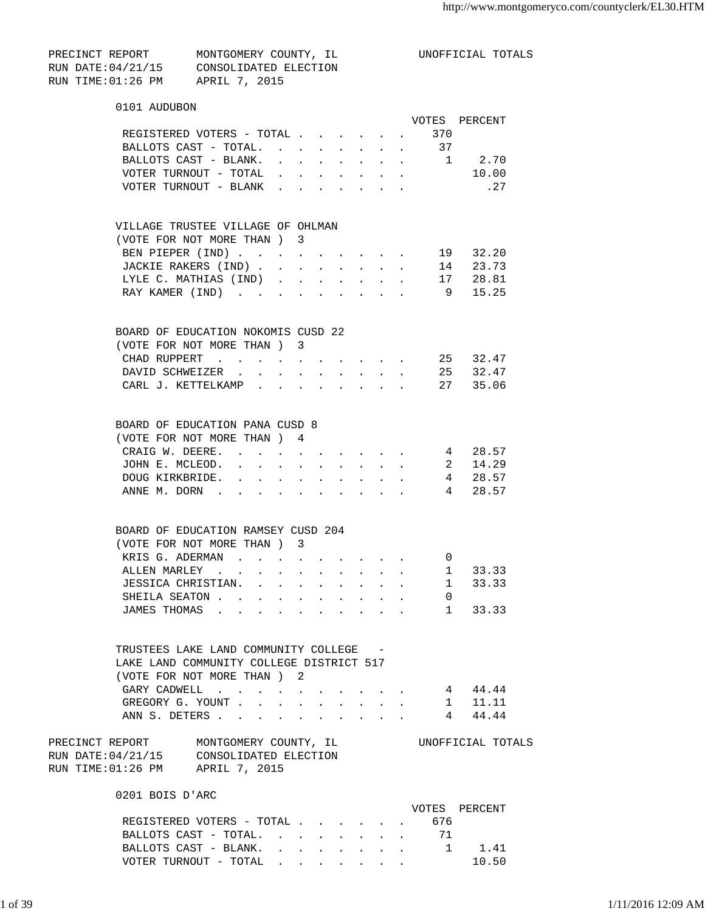| PRECINCT REPORT    | MONTGOMERY COUNTY, IL |  |
|--------------------|-----------------------|--|
| RUN DATE: 04/21/15 | CONSOLIDATED ELECTION |  |
| RUN TIME:01:26 PM  | APRIL 7, 2015         |  |

UNOFFICIAL TOTALS

| 0101 AUDUBON                                                                                                                                             |                                                           |                                                   |
|----------------------------------------------------------------------------------------------------------------------------------------------------------|-----------------------------------------------------------|---------------------------------------------------|
|                                                                                                                                                          |                                                           | VOTES PERCENT                                     |
| REGISTERED VOTERS - TOTAL 370                                                                                                                            |                                                           |                                                   |
|                                                                                                                                                          |                                                           |                                                   |
| BALLOTS CAST - BLANK.<br>. 1 2.70                                                                                                                        |                                                           |                                                   |
| VOTER TURNOUT - TOTAL $\cdot \cdot \cdot$<br>$\bullet$<br>$\sim 10^{-10}$                                                                                |                                                           | 10.00                                             |
| VOTER TURNOUT - BLANK<br>$\bullet$                                                                                                                       |                                                           | . 27                                              |
| VILLAGE TRUSTEE VILLAGE OF OHLMAN                                                                                                                        |                                                           |                                                   |
| (VOTE FOR NOT MORE THAN ) 3                                                                                                                              |                                                           |                                                   |
| BEN PIEPER (IND)<br>$\mathbf{r}$ , and $\mathbf{r}$ , and $\mathbf{r}$<br>$\sim$ 100 $\pm$                                                               |                                                           | 19 32.20                                          |
| JACKIE RAKERS (IND)<br>$\mathbf{r}$ , $\mathbf{r}$ , $\mathbf{r}$<br>$\sim$ $-$<br>$\sim$                                                                |                                                           | 14 23.73                                          |
| LYLE C. MATHIAS (IND)<br>$\mathbf{z} = \mathbf{z} + \mathbf{z}$ , where $\mathbf{z} = \mathbf{z}$<br>$\ddot{\phantom{a}}$                                |                                                           | 17 28.81                                          |
| RAY KAMER (IND)<br>$\mathbf{r}$<br>and the state of the state of<br>$\ddot{\phantom{a}}$                                                                 |                                                           | $9^{\circ}$<br>15.25                              |
| BOARD OF EDUCATION NOKOMIS CUSD 22                                                                                                                       |                                                           |                                                   |
| (VOTE FOR NOT MORE THAN) 3                                                                                                                               |                                                           |                                                   |
| CHAD RUPPERT                                                                                                                                             |                                                           | 25 32.47                                          |
| DAVID SCHWEIZER.                                                                                                                                         |                                                           | 25 32.47                                          |
| CARL J. KETTELKAMP                                                                                                                                       |                                                           | 27 35.06                                          |
| BOARD OF EDUCATION PANA CUSD 8                                                                                                                           |                                                           |                                                   |
| (VOTE FOR NOT MORE THAN ) 4                                                                                                                              |                                                           |                                                   |
| CRAIG W. DEERE. 4 28.57                                                                                                                                  |                                                           |                                                   |
| JOHN E. MCLEOD.<br>$\mathbf{z} = \mathbf{z} + \mathbf{z}$ , where $\mathbf{z} = \mathbf{z}$<br>$\ddot{\phantom{0}}$                                      |                                                           | 2 14.29                                           |
| DOUG KIRKBRIDE.<br>and a series of the series of the series of<br>and a state of the state<br>$\ddot{\phantom{0}}$                                       |                                                           | 4 28.57                                           |
| ANNE M. DORN                                                                                                                                             |                                                           | 4 28.57                                           |
|                                                                                                                                                          |                                                           |                                                   |
| BOARD OF EDUCATION RAMSEY CUSD 204                                                                                                                       |                                                           |                                                   |
| (VOTE FOR NOT MORE THAN) 3                                                                                                                               |                                                           |                                                   |
| KRIS G. ADERMAN<br>$\mathbf{r} = \mathbf{r}$ , and $\mathbf{r} = \mathbf{r}$<br>$\ddot{\phantom{0}}$<br>$\sim$                                           |                                                           | 0<br>1 33.33                                      |
| ALLEN MARLEY<br>$\sim$<br>JESSICA CHRISTIAN.<br>$\mathbf{r} = \mathbf{r}$                                                                                |                                                           | $\mathcal{L}^{\text{max}}$<br>$1$ $\,$<br>33.33   |
| SHEILA SEATON                                                                                                                                            | $\mathbf{L}^{\text{max}}$ , and $\mathbf{L}^{\text{max}}$ | $\overline{0}$                                    |
| $\sim$<br>$\sim$<br>$\ddot{\phantom{a}}$<br>$\ddot{\phantom{0}}$<br>JAMES THOMAS<br>$\ddot{\phantom{0}}$<br>$\ddot{\phantom{a}}$<br>$\ddot{\phantom{a}}$ |                                                           | 1 33.33                                           |
|                                                                                                                                                          |                                                           |                                                   |
| TRUSTEES LAKE LAND COMMUNITY COLLEGE -                                                                                                                   |                                                           |                                                   |
| LAKE LAND COMMUNITY COLLEGE DISTRICT 517                                                                                                                 |                                                           |                                                   |
| (VOTE FOR NOT MORE THAN) 2                                                                                                                               |                                                           |                                                   |
| GARY CADWELL                                                                                                                                             |                                                           | 4 44.44                                           |
| GREGORY G. YOUNT<br>ANN S. DETERS<br>$\ddot{\phantom{a}}$                                                                                                |                                                           | $1$ 11.11<br>$\mathbf{L}^{\text{max}}$<br>4 44.44 |
|                                                                                                                                                          |                                                           |                                                   |
| PRECINCT REPORT MONTGOMERY COUNTY, IL<br>RUN DATE: 04/21/15 CONSOLIDATED ELECTION                                                                        |                                                           | UNOFFICIAL TOTALS                                 |
| RUN TIME: 01:26 PM APRIL 7, 2015                                                                                                                         |                                                           |                                                   |
| 0201 BOIS D'ARC                                                                                                                                          |                                                           |                                                   |
|                                                                                                                                                          |                                                           | VOTES PERCENT                                     |
| REGISTERED VOTERS - TOTAL 676                                                                                                                            |                                                           |                                                   |
| BALLOTS CAST - TOTAL. 71                                                                                                                                 |                                                           |                                                   |
| BALLOTS CAST - BLANK.                                                                                                                                    |                                                           | 1.41                                              |

VOTER TURNOUT - TOTAL . . . . . . . 10.50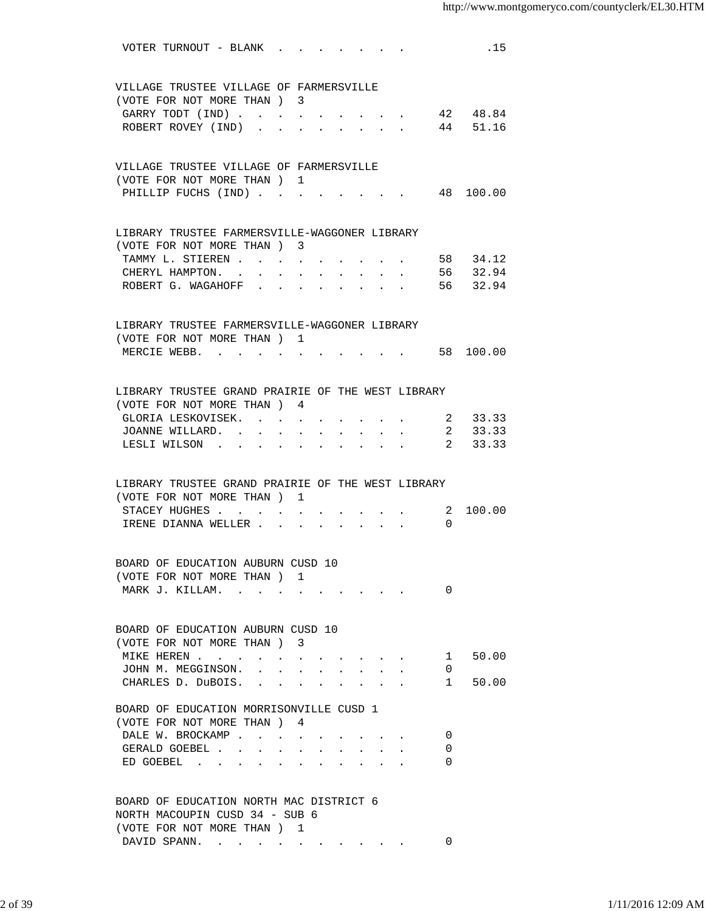| VOTER TURNOUT - BLANK<br>.15                                                                                                            |  |
|-----------------------------------------------------------------------------------------------------------------------------------------|--|
|                                                                                                                                         |  |
| VILLAGE TRUSTEE VILLAGE OF FARMERSVILLE                                                                                                 |  |
| (VOTE FOR NOT MORE THAN) 3                                                                                                              |  |
| 42 48.84<br>GARRY TODT (IND)<br>$\sim 10^{-10}$                                                                                         |  |
| 44 51.16<br>ROBERT ROVEY (IND)<br>$\Delta \sim 10^{-11}$<br>$\sim$<br>$\sim$                                                            |  |
|                                                                                                                                         |  |
| VILLAGE TRUSTEE VILLAGE OF FARMERSVILLE                                                                                                 |  |
| (VOTE FOR NOT MORE THAN) 1<br>PHILLIP FUCHS (IND) 48 100.00                                                                             |  |
|                                                                                                                                         |  |
|                                                                                                                                         |  |
| LIBRARY TRUSTEE FARMERSVILLE-WAGGONER LIBRARY<br>(VOTE FOR NOT MORE THAN) 3                                                             |  |
| 58 34.12<br>TAMMY L. STIEREN                                                                                                            |  |
| 56 32.94<br>CHERYL HAMPTON. .<br>$\ddot{\phantom{0}}$<br>$\sim$ $\sim$ $\sim$ $\sim$<br>$\sim$                                          |  |
| ROBERT G. WAGAHOFF .<br>56 32.94                                                                                                        |  |
|                                                                                                                                         |  |
| LIBRARY TRUSTEE FARMERSVILLE-WAGGONER LIBRARY                                                                                           |  |
| (VOTE FOR NOT MORE THAN) 1                                                                                                              |  |
| MERCIE WEBB. 58 100.00                                                                                                                  |  |
|                                                                                                                                         |  |
| LIBRARY TRUSTEE GRAND PRAIRIE OF THE WEST LIBRARY                                                                                       |  |
| (VOTE FOR NOT MORE THAN) 4                                                                                                              |  |
| 2 33.33<br>GLORIA LESKOVISEK.                                                                                                           |  |
| 2 33.33<br>JOANNE WILLARD<br>$\sim$                                                                                                     |  |
| 2 33.33<br>LESLI WILSON<br>$\mathbf{r} = \mathbf{r} + \mathbf{r}$ .                                                                     |  |
|                                                                                                                                         |  |
| LIBRARY TRUSTEE GRAND PRAIRIE OF THE WEST LIBRARY                                                                                       |  |
| (VOTE FOR NOT MORE THAN) 1                                                                                                              |  |
| STACEY HUGHES 2 100.00                                                                                                                  |  |
| IRENE DIANNA WELLER<br>$\Omega$                                                                                                         |  |
|                                                                                                                                         |  |
| BOARD OF EDUCATION AUBURN CUSD 10                                                                                                       |  |
| (VOTE FOR NOT MORE THAN) 1                                                                                                              |  |
| MARK J. KILLAM.<br>0<br>the contract of the contract of the contract of the contract of the contract of the contract of the contract of |  |
|                                                                                                                                         |  |
| BOARD OF EDUCATION AUBURN CUSD 10                                                                                                       |  |
| (VOTE FOR NOT MORE THAN) 3                                                                                                              |  |
| 50.00<br>MIKE HEREN<br>$1 \quad$                                                                                                        |  |
| JOHN M. MEGGINSON.<br>0                                                                                                                 |  |
| CHARLES D. DuBOIS.<br>50.00<br>$1 \quad$<br>$\cdot$ $\cdot$ $\cdot$ $\cdot$<br>$\sim$ $\sim$                                            |  |
|                                                                                                                                         |  |
| BOARD OF EDUCATION MORRISONVILLE CUSD 1<br>(VOTE FOR NOT MORE THAN) 4                                                                   |  |
| DALE W. BROCKAMP<br>0                                                                                                                   |  |
| GERALD GOEBEL<br>0<br>$\sim$ 100 $\mu$<br>$\ddot{\phantom{a}}$                                                                          |  |
| ED GOEBEL<br>0                                                                                                                          |  |
|                                                                                                                                         |  |
| BOARD OF EDUCATION NORTH MAC DISTRICT 6                                                                                                 |  |
| NORTH MACOUPIN CUSD 34 - SUB 6                                                                                                          |  |
| (VOTE FOR NOT MORE THAN) 1                                                                                                              |  |
| DAVID SPANN.<br>0                                                                                                                       |  |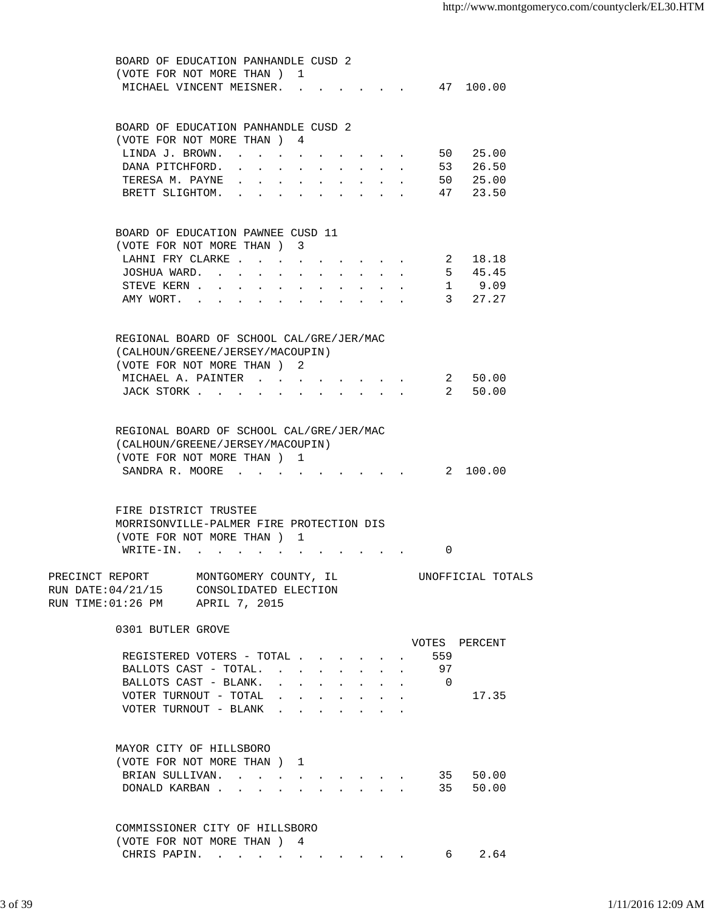| BOARD OF EDUCATION PANHANDLE CUSD 2      |                       |                                                             |                                          |                                                                       |                      |                                                                                               |                      |  |                                                                                                                                                                                                                                                                                                                                                           |  |
|------------------------------------------|-----------------------|-------------------------------------------------------------|------------------------------------------|-----------------------------------------------------------------------|----------------------|-----------------------------------------------------------------------------------------------|----------------------|--|-----------------------------------------------------------------------------------------------------------------------------------------------------------------------------------------------------------------------------------------------------------------------------------------------------------------------------------------------------------|--|
| (VOTE FOR NOT MORE THAN) 1               |                       |                                                             |                                          |                                                                       |                      |                                                                                               |                      |  |                                                                                                                                                                                                                                                                                                                                                           |  |
| MICHAEL VINCENT MEISNER.                 |                       |                                                             |                                          |                                                                       |                      |                                                                                               |                      |  |                                                                                                                                                                                                                                                                                                                                                           |  |
|                                          |                       |                                                             |                                          |                                                                       |                      |                                                                                               |                      |  |                                                                                                                                                                                                                                                                                                                                                           |  |
|                                          |                       |                                                             |                                          |                                                                       |                      |                                                                                               |                      |  |                                                                                                                                                                                                                                                                                                                                                           |  |
|                                          |                       |                                                             |                                          |                                                                       |                      |                                                                                               |                      |  | 47 100.00<br>50 25.00<br>26.50<br>53<br>50<br>25.00<br>47 23.50<br>18.18<br>5, 45.45<br>STEVE KERN 1 9.09<br>3 27.27<br>50.00<br>$\overline{\phantom{a}}$ 2<br>$\overline{2}$<br>50.00<br>$\overline{2}$<br>100.00<br>$\Omega$<br>UNOFFICIAL TOTALS<br>VOTES PERCENT<br>559<br>97<br>$\overline{0}$<br>17.35<br>35<br>50.00<br>50.00<br>35<br>2.64<br>6 — |  |
| BOARD OF EDUCATION PANHANDLE CUSD 2      |                       |                                                             |                                          |                                                                       |                      |                                                                                               |                      |  |                                                                                                                                                                                                                                                                                                                                                           |  |
| (VOTE FOR NOT MORE THAN) 4               |                       |                                                             |                                          |                                                                       |                      |                                                                                               |                      |  |                                                                                                                                                                                                                                                                                                                                                           |  |
| LINDA J. BROWN.                          |                       |                                                             |                                          |                                                                       |                      |                                                                                               |                      |  |                                                                                                                                                                                                                                                                                                                                                           |  |
| DANA PITCHFORD. .                        |                       | and the second contract of the second second                |                                          |                                                                       |                      |                                                                                               |                      |  |                                                                                                                                                                                                                                                                                                                                                           |  |
| TERESA M. PAYNE                          |                       | $\bullet$ .<br><br><br><br><br><br><br><br><br><br><br><br> | $\mathbf{z} = \mathbf{z} + \mathbf{z}$ . |                                                                       |                      | $\mathbf{r}$ , $\mathbf{r}$ , $\mathbf{r}$ , $\mathbf{r}$                                     |                      |  |                                                                                                                                                                                                                                                                                                                                                           |  |
| BRETT SLIGHTOM.                          |                       |                                                             |                                          |                                                                       |                      |                                                                                               |                      |  |                                                                                                                                                                                                                                                                                                                                                           |  |
|                                          |                       |                                                             |                                          |                                                                       |                      |                                                                                               |                      |  |                                                                                                                                                                                                                                                                                                                                                           |  |
|                                          |                       |                                                             |                                          |                                                                       |                      |                                                                                               |                      |  |                                                                                                                                                                                                                                                                                                                                                           |  |
|                                          |                       |                                                             |                                          |                                                                       |                      |                                                                                               |                      |  |                                                                                                                                                                                                                                                                                                                                                           |  |
| BOARD OF EDUCATION PAWNEE CUSD 11        |                       |                                                             |                                          |                                                                       |                      |                                                                                               |                      |  |                                                                                                                                                                                                                                                                                                                                                           |  |
| (VOTE FOR NOT MORE THAN ) 3              |                       |                                                             |                                          |                                                                       |                      |                                                                                               |                      |  |                                                                                                                                                                                                                                                                                                                                                           |  |
| LAHNI FRY CLARKE 2                       |                       |                                                             |                                          |                                                                       |                      |                                                                                               |                      |  |                                                                                                                                                                                                                                                                                                                                                           |  |
| JOSHUA WARD.                             |                       |                                                             |                                          |                                                                       |                      |                                                                                               |                      |  |                                                                                                                                                                                                                                                                                                                                                           |  |
|                                          |                       |                                                             |                                          |                                                                       |                      |                                                                                               |                      |  |                                                                                                                                                                                                                                                                                                                                                           |  |
|                                          |                       |                                                             |                                          |                                                                       |                      |                                                                                               |                      |  |                                                                                                                                                                                                                                                                                                                                                           |  |
| AMY WORT.                                |                       |                                                             |                                          |                                                                       |                      |                                                                                               |                      |  |                                                                                                                                                                                                                                                                                                                                                           |  |
|                                          |                       |                                                             |                                          |                                                                       |                      |                                                                                               |                      |  |                                                                                                                                                                                                                                                                                                                                                           |  |
|                                          |                       |                                                             |                                          |                                                                       |                      |                                                                                               |                      |  |                                                                                                                                                                                                                                                                                                                                                           |  |
| REGIONAL BOARD OF SCHOOL CAL/GRE/JER/MAC |                       |                                                             |                                          |                                                                       |                      |                                                                                               |                      |  |                                                                                                                                                                                                                                                                                                                                                           |  |
|                                          |                       |                                                             |                                          |                                                                       |                      |                                                                                               |                      |  |                                                                                                                                                                                                                                                                                                                                                           |  |
| (CALHOUN/GREENE/JERSEY/MACOUPIN)         |                       |                                                             |                                          |                                                                       |                      |                                                                                               |                      |  |                                                                                                                                                                                                                                                                                                                                                           |  |
| (VOTE FOR NOT MORE THAN) 2               |                       |                                                             |                                          |                                                                       |                      |                                                                                               |                      |  |                                                                                                                                                                                                                                                                                                                                                           |  |
| MICHAEL A. PAINTER                       |                       |                                                             |                                          |                                                                       |                      | $\mathbf{r} = \mathbf{r} \cdot \mathbf{r}$ , where $\mathbf{r} = \mathbf{r} \cdot \mathbf{r}$ |                      |  |                                                                                                                                                                                                                                                                                                                                                           |  |
| JACK STORK                               |                       |                                                             |                                          |                                                                       |                      | and a strong control of the strong                                                            |                      |  |                                                                                                                                                                                                                                                                                                                                                           |  |
|                                          |                       |                                                             |                                          |                                                                       |                      |                                                                                               |                      |  |                                                                                                                                                                                                                                                                                                                                                           |  |
|                                          |                       |                                                             |                                          |                                                                       |                      |                                                                                               |                      |  |                                                                                                                                                                                                                                                                                                                                                           |  |
|                                          |                       |                                                             |                                          |                                                                       |                      |                                                                                               |                      |  |                                                                                                                                                                                                                                                                                                                                                           |  |
| REGIONAL BOARD OF SCHOOL CAL/GRE/JER/MAC |                       |                                                             |                                          |                                                                       |                      |                                                                                               |                      |  |                                                                                                                                                                                                                                                                                                                                                           |  |
| (CALHOUN/GREENE/JERSEY/MACOUPIN)         |                       |                                                             |                                          |                                                                       |                      |                                                                                               |                      |  |                                                                                                                                                                                                                                                                                                                                                           |  |
| (VOTE FOR NOT MORE THAN) 1               |                       |                                                             |                                          |                                                                       |                      |                                                                                               |                      |  |                                                                                                                                                                                                                                                                                                                                                           |  |
| SANDRA R. MOORE                          |                       |                                                             |                                          |                                                                       |                      |                                                                                               |                      |  |                                                                                                                                                                                                                                                                                                                                                           |  |
|                                          |                       |                                                             |                                          |                                                                       |                      |                                                                                               |                      |  |                                                                                                                                                                                                                                                                                                                                                           |  |
|                                          |                       |                                                             |                                          |                                                                       |                      |                                                                                               |                      |  |                                                                                                                                                                                                                                                                                                                                                           |  |
|                                          |                       |                                                             |                                          |                                                                       |                      |                                                                                               |                      |  |                                                                                                                                                                                                                                                                                                                                                           |  |
| FIRE DISTRICT TRUSTEE                    |                       |                                                             |                                          |                                                                       |                      |                                                                                               |                      |  |                                                                                                                                                                                                                                                                                                                                                           |  |
| MORRISONVILLE-PALMER FIRE PROTECTION DIS |                       |                                                             |                                          |                                                                       |                      |                                                                                               |                      |  |                                                                                                                                                                                                                                                                                                                                                           |  |
| (VOTE FOR NOT MORE THAN ) 1              |                       |                                                             |                                          |                                                                       |                      |                                                                                               |                      |  |                                                                                                                                                                                                                                                                                                                                                           |  |
| $W\text{RITE}-\text{IN}.$                |                       |                                                             |                                          |                                                                       |                      |                                                                                               |                      |  |                                                                                                                                                                                                                                                                                                                                                           |  |
|                                          |                       |                                                             |                                          |                                                                       |                      |                                                                                               |                      |  |                                                                                                                                                                                                                                                                                                                                                           |  |
| PRECINCT REPORT                          | MONTGOMERY COUNTY, IL |                                                             |                                          |                                                                       |                      |                                                                                               |                      |  |                                                                                                                                                                                                                                                                                                                                                           |  |
|                                          |                       |                                                             |                                          |                                                                       |                      |                                                                                               |                      |  |                                                                                                                                                                                                                                                                                                                                                           |  |
| RUN DATE: 04/21/15 CONSOLIDATED ELECTION |                       |                                                             |                                          |                                                                       |                      |                                                                                               |                      |  |                                                                                                                                                                                                                                                                                                                                                           |  |
| RUN TIME: 01:26 PM APRIL 7, 2015         |                       |                                                             |                                          |                                                                       |                      |                                                                                               |                      |  |                                                                                                                                                                                                                                                                                                                                                           |  |
|                                          |                       |                                                             |                                          |                                                                       |                      |                                                                                               |                      |  |                                                                                                                                                                                                                                                                                                                                                           |  |
| 0301 BUTLER GROVE                        |                       |                                                             |                                          |                                                                       |                      |                                                                                               |                      |  |                                                                                                                                                                                                                                                                                                                                                           |  |
|                                          |                       |                                                             |                                          |                                                                       |                      |                                                                                               |                      |  |                                                                                                                                                                                                                                                                                                                                                           |  |
|                                          |                       |                                                             |                                          |                                                                       |                      |                                                                                               |                      |  |                                                                                                                                                                                                                                                                                                                                                           |  |
| REGISTERED VOTERS - TOTAL                |                       |                                                             |                                          |                                                                       |                      |                                                                                               |                      |  |                                                                                                                                                                                                                                                                                                                                                           |  |
| BALLOTS CAST - TOTAL.                    |                       |                                                             |                                          | $\sim$ 100 $\pm$                                                      | $\ddot{\phantom{0}}$ | $\sim$ $\sim$                                                                                 | $\sim$               |  |                                                                                                                                                                                                                                                                                                                                                           |  |
| BALLOTS CAST - BLANK.                    |                       |                                                             |                                          | $\mathbf{r} = \mathbf{r} \times \mathbf{r}$ , where                   | $\sim$               | $\sim$                                                                                        | $\ddot{\phantom{0}}$ |  |                                                                                                                                                                                                                                                                                                                                                           |  |
| VOTER TURNOUT - TOTAL                    |                       |                                                             |                                          | $\mathbf{r}$ , and $\mathbf{r}$ , and $\mathbf{r}$ , and $\mathbf{r}$ |                      |                                                                                               |                      |  |                                                                                                                                                                                                                                                                                                                                                           |  |
| VOTER TURNOUT - BLANK                    |                       |                                                             |                                          |                                                                       |                      |                                                                                               |                      |  |                                                                                                                                                                                                                                                                                                                                                           |  |
|                                          |                       |                                                             |                                          |                                                                       |                      |                                                                                               |                      |  |                                                                                                                                                                                                                                                                                                                                                           |  |
|                                          |                       |                                                             |                                          |                                                                       |                      |                                                                                               |                      |  |                                                                                                                                                                                                                                                                                                                                                           |  |
|                                          |                       |                                                             |                                          |                                                                       |                      |                                                                                               |                      |  |                                                                                                                                                                                                                                                                                                                                                           |  |
| MAYOR CITY OF HILLSBORO                  |                       |                                                             |                                          |                                                                       |                      |                                                                                               |                      |  |                                                                                                                                                                                                                                                                                                                                                           |  |
| (VOTE FOR NOT MORE THAN) 1               |                       |                                                             |                                          |                                                                       |                      |                                                                                               |                      |  |                                                                                                                                                                                                                                                                                                                                                           |  |
| BRIAN SULLIVAN.                          |                       |                                                             |                                          |                                                                       |                      |                                                                                               |                      |  |                                                                                                                                                                                                                                                                                                                                                           |  |
|                                          |                       |                                                             |                                          |                                                                       |                      |                                                                                               |                      |  |                                                                                                                                                                                                                                                                                                                                                           |  |
| DONALD KARBAN                            |                       |                                                             |                                          |                                                                       |                      |                                                                                               |                      |  |                                                                                                                                                                                                                                                                                                                                                           |  |
|                                          |                       |                                                             |                                          |                                                                       |                      |                                                                                               |                      |  |                                                                                                                                                                                                                                                                                                                                                           |  |
|                                          |                       |                                                             |                                          |                                                                       |                      |                                                                                               |                      |  |                                                                                                                                                                                                                                                                                                                                                           |  |
| COMMISSIONER CITY OF HILLSBORO           |                       |                                                             |                                          |                                                                       |                      |                                                                                               |                      |  |                                                                                                                                                                                                                                                                                                                                                           |  |
| (VOTE FOR NOT MORE THAN) 4               |                       |                                                             |                                          |                                                                       |                      |                                                                                               |                      |  |                                                                                                                                                                                                                                                                                                                                                           |  |
| CHRIS PAPIN.                             |                       |                                                             |                                          |                                                                       |                      |                                                                                               |                      |  |                                                                                                                                                                                                                                                                                                                                                           |  |
|                                          |                       |                                                             |                                          |                                                                       |                      |                                                                                               |                      |  |                                                                                                                                                                                                                                                                                                                                                           |  |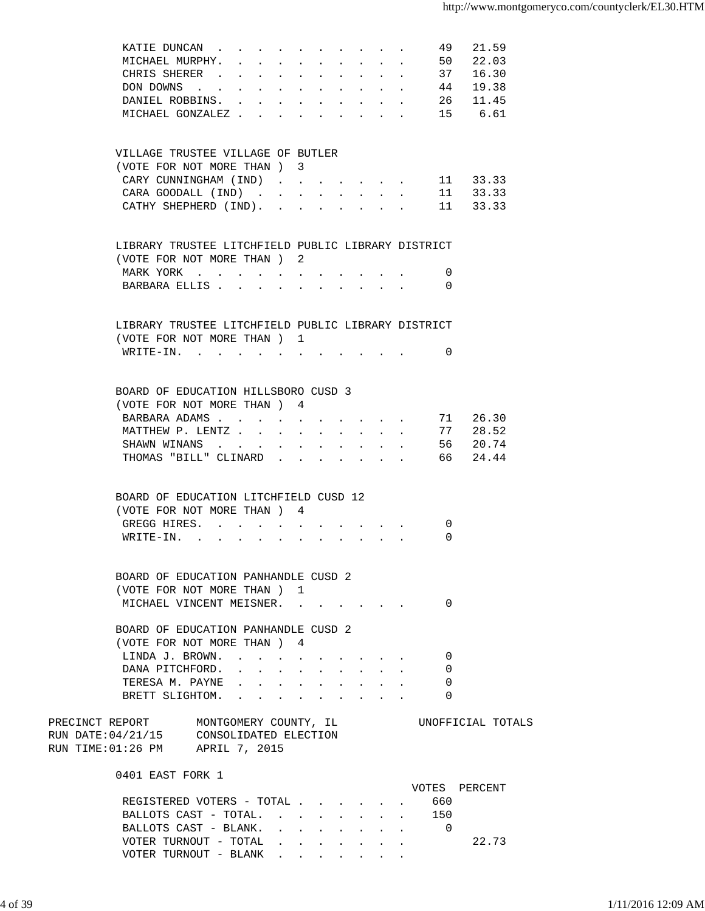| KATIE DUNCAN                                                                      |                                                                                                                                                                                                                                |                                                |        |                                                         |                      |                           |                                        | 49                       | 21.59             |  |
|-----------------------------------------------------------------------------------|--------------------------------------------------------------------------------------------------------------------------------------------------------------------------------------------------------------------------------|------------------------------------------------|--------|---------------------------------------------------------|----------------------|---------------------------|----------------------------------------|--------------------------|-------------------|--|
| MICHAEL MURPHY.                                                                   | $\sim$                                                                                                                                                                                                                         |                                                |        |                                                         |                      |                           | $\sim$                                 | 50                       | 22.03             |  |
| CHRIS SHERER                                                                      | $\sim$                                                                                                                                                                                                                         |                                                | $\sim$ |                                                         | $\ddot{\phantom{0}}$ | $\ddot{\phantom{0}}$      | $\mathcal{L}^{\text{max}}$             | 37                       | 16.30             |  |
| DON DOWNS                                                                         |                                                                                                                                                                                                                                | $\mathbf{L} = \mathbf{L} \mathbf{L}$           |        | $\mathbf{L} = \mathbf{L}$                               |                      | $\mathbf{r} = \mathbf{r}$ | $\mathbf{r} = \mathbf{r} \mathbf{r}$ . | 44                       | 19.38             |  |
| DANIEL ROBBINS.                                                                   |                                                                                                                                                                                                                                |                                                |        |                                                         |                      |                           |                                        |                          | 26 11.45          |  |
| MICHAEL GONZALEZ                                                                  |                                                                                                                                                                                                                                |                                                |        |                                                         |                      |                           |                                        |                          | 15 6.61           |  |
|                                                                                   |                                                                                                                                                                                                                                |                                                |        |                                                         |                      |                           |                                        |                          |                   |  |
| VILLAGE TRUSTEE VILLAGE OF BUTLER                                                 |                                                                                                                                                                                                                                |                                                |        |                                                         |                      |                           |                                        |                          |                   |  |
| (VOTE FOR NOT MORE THAN ) 3                                                       |                                                                                                                                                                                                                                |                                                |        |                                                         |                      |                           |                                        |                          |                   |  |
| CARY CUNNINGHAM (IND)                                                             |                                                                                                                                                                                                                                |                                                |        |                                                         |                      |                           |                                        |                          | 11 33.33          |  |
| CARA GOODALL (IND)                                                                |                                                                                                                                                                                                                                |                                                |        |                                                         |                      |                           |                                        |                          | 11 33.33          |  |
| CATHY SHEPHERD (IND).                                                             |                                                                                                                                                                                                                                |                                                |        |                                                         |                      |                           |                                        |                          | 11 33.33          |  |
|                                                                                   |                                                                                                                                                                                                                                |                                                |        |                                                         |                      |                           |                                        |                          |                   |  |
| LIBRARY TRUSTEE LITCHFIELD PUBLIC LIBRARY DISTRICT                                |                                                                                                                                                                                                                                |                                                |        |                                                         |                      |                           |                                        |                          |                   |  |
| (VOTE FOR NOT MORE THAN) 2                                                        |                                                                                                                                                                                                                                |                                                |        |                                                         |                      |                           |                                        |                          |                   |  |
| MARK YORK                                                                         |                                                                                                                                                                                                                                |                                                |        |                                                         |                      |                           |                                        | 0                        |                   |  |
| BARBARA ELLIS                                                                     |                                                                                                                                                                                                                                |                                                |        |                                                         |                      |                           |                                        | $\Omega$                 |                   |  |
|                                                                                   |                                                                                                                                                                                                                                |                                                |        |                                                         |                      |                           |                                        |                          |                   |  |
| LIBRARY TRUSTEE LITCHFIELD PUBLIC LIBRARY DISTRICT                                |                                                                                                                                                                                                                                |                                                |        |                                                         |                      |                           |                                        |                          |                   |  |
| (VOTE FOR NOT MORE THAN) 1                                                        |                                                                                                                                                                                                                                |                                                |        |                                                         |                      |                           |                                        |                          |                   |  |
| WRITE-IN.                                                                         |                                                                                                                                                                                                                                |                                                |        |                                                         |                      |                           |                                        | 0                        |                   |  |
|                                                                                   |                                                                                                                                                                                                                                |                                                |        |                                                         |                      |                           |                                        |                          |                   |  |
| BOARD OF EDUCATION HILLSBORO CUSD 3                                               |                                                                                                                                                                                                                                |                                                |        |                                                         |                      |                           |                                        |                          |                   |  |
| (VOTE FOR NOT MORE THAN ) 4                                                       |                                                                                                                                                                                                                                |                                                |        |                                                         |                      |                           |                                        |                          |                   |  |
| BARBARA ADAMS 71 26.30                                                            |                                                                                                                                                                                                                                |                                                |        |                                                         |                      |                           |                                        |                          |                   |  |
| MATTHEW P. LENTZ 77 28.52                                                         |                                                                                                                                                                                                                                |                                                |        |                                                         |                      |                           |                                        |                          |                   |  |
| SHAWN WINANS 56 20.74                                                             |                                                                                                                                                                                                                                |                                                |        |                                                         |                      |                           |                                        |                          |                   |  |
| THOMAS "BILL" CLINARD 66                                                          |                                                                                                                                                                                                                                |                                                |        |                                                         |                      |                           |                                        |                          | 24.44             |  |
|                                                                                   |                                                                                                                                                                                                                                |                                                |        |                                                         |                      |                           |                                        |                          |                   |  |
| BOARD OF EDUCATION LITCHFIELD CUSD 12                                             |                                                                                                                                                                                                                                |                                                |        |                                                         |                      |                           |                                        |                          |                   |  |
| (VOTE FOR NOT MORE THAN) 4                                                        |                                                                                                                                                                                                                                |                                                |        |                                                         |                      |                           |                                        |                          |                   |  |
| GREGG HIRES.                                                                      |                                                                                                                                                                                                                                |                                                |        |                                                         |                      |                           |                                        | 0                        |                   |  |
| WRITE-IN. .                                                                       |                                                                                                                                                                                                                                |                                                |        |                                                         |                      |                           |                                        | 0                        |                   |  |
|                                                                                   |                                                                                                                                                                                                                                |                                                |        |                                                         |                      |                           |                                        |                          |                   |  |
| BOARD OF EDUCATION PANHANDLE CUSD 2                                               |                                                                                                                                                                                                                                |                                                |        |                                                         |                      |                           |                                        |                          |                   |  |
| (VOTE FOR NOT MORE THAN) 1                                                        |                                                                                                                                                                                                                                |                                                |        |                                                         |                      |                           |                                        |                          |                   |  |
| MICHAEL VINCENT MEISNER.                                                          |                                                                                                                                                                                                                                |                                                |        |                                                         |                      |                           |                                        | 0                        |                   |  |
|                                                                                   |                                                                                                                                                                                                                                |                                                |        |                                                         |                      |                           |                                        |                          |                   |  |
| BOARD OF EDUCATION PANHANDLE CUSD 2                                               |                                                                                                                                                                                                                                |                                                |        |                                                         |                      |                           |                                        |                          |                   |  |
| (VOTE FOR NOT MORE THAN ) 4                                                       |                                                                                                                                                                                                                                |                                                |        |                                                         |                      |                           |                                        |                          |                   |  |
| LINDA J. BROWN.                                                                   |                                                                                                                                                                                                                                |                                                |        |                                                         |                      |                           |                                        | 0                        |                   |  |
| DANA PITCHFORD.                                                                   |                                                                                                                                                                                                                                |                                                |        |                                                         |                      |                           |                                        | 0                        |                   |  |
| TERESA M. PAYNE                                                                   | and a series of the contract of the series of the series of the series of the series of the series of the series of the series of the series of the series of the series of the series of the series of the series of the seri |                                                |        |                                                         |                      |                           |                                        | 0                        |                   |  |
| BRETT SLIGHTOM. .                                                                 |                                                                                                                                                                                                                                | $\mathbf{A}$ and $\mathbf{A}$ and $\mathbf{A}$ | $\sim$ |                                                         |                      |                           |                                        | 0                        |                   |  |
|                                                                                   |                                                                                                                                                                                                                                |                                                |        |                                                         |                      |                           |                                        |                          |                   |  |
| PRECINCT REPORT MONTGOMERY COUNTY, IL<br>RUN DATE: 04/21/15 CONSOLIDATED ELECTION |                                                                                                                                                                                                                                |                                                |        |                                                         |                      |                           |                                        |                          | UNOFFICIAL TOTALS |  |
|                                                                                   |                                                                                                                                                                                                                                |                                                |        |                                                         |                      |                           |                                        |                          |                   |  |
| RUN TIME:01:26 PM APRIL 7, 2015                                                   |                                                                                                                                                                                                                                |                                                |        |                                                         |                      |                           |                                        |                          |                   |  |
| 0401 EAST FORK 1                                                                  |                                                                                                                                                                                                                                |                                                |        |                                                         |                      |                           |                                        |                          |                   |  |
|                                                                                   |                                                                                                                                                                                                                                |                                                |        |                                                         |                      |                           |                                        |                          | VOTES PERCENT     |  |
| REGISTERED VOTERS - TOTAL                                                         |                                                                                                                                                                                                                                |                                                |        |                                                         |                      |                           |                                        | 660                      |                   |  |
| BALLOTS CAST - TOTAL.                                                             |                                                                                                                                                                                                                                |                                                |        |                                                         |                      |                           |                                        | 150                      |                   |  |
| BALLOTS CAST - BLANK.                                                             |                                                                                                                                                                                                                                |                                                |        | and a series of the contract of the series of           |                      |                           |                                        | $\overline{\phantom{0}}$ |                   |  |
| VOTER TURNOUT - TOTAL                                                             |                                                                                                                                                                                                                                |                                                |        | $\cdot$ $\cdot$ $\cdot$ $\cdot$ $\cdot$ $\cdot$ $\cdot$ |                      |                           |                                        |                          | 22.73             |  |
| VOTER TURNOUT - BLANK                                                             |                                                                                                                                                                                                                                |                                                |        |                                                         |                      |                           |                                        |                          |                   |  |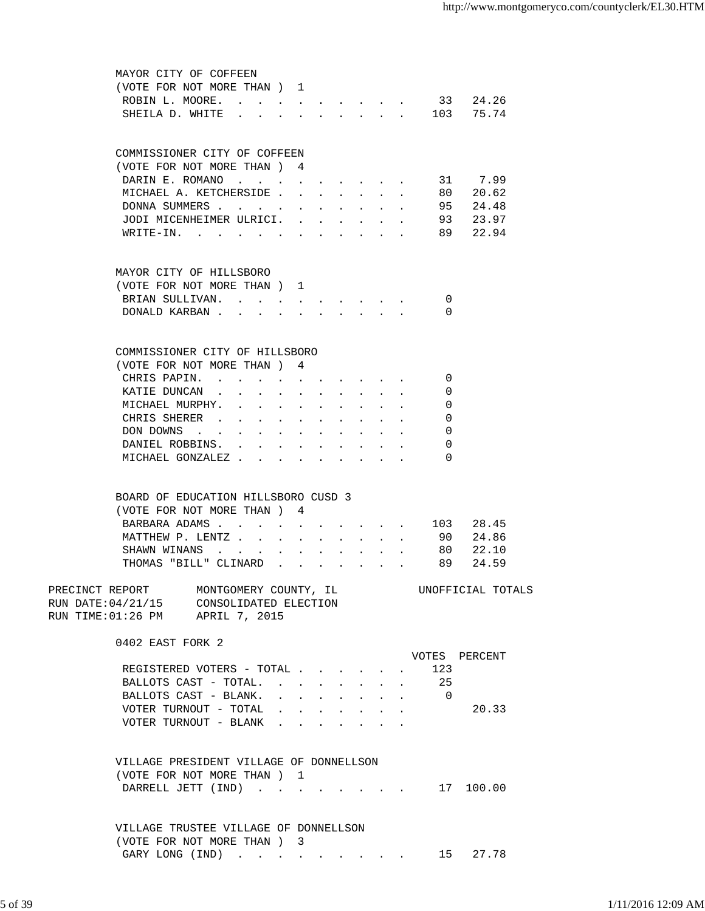| MAYOR CITY OF COFFEEN                                        |                      |                      |           |                                             |                                                              |        |                |                   |
|--------------------------------------------------------------|----------------------|----------------------|-----------|---------------------------------------------|--------------------------------------------------------------|--------|----------------|-------------------|
| (VOTE FOR NOT MORE THAN ) 1                                  |                      |                      |           |                                             |                                                              |        |                |                   |
| ROBIN L. MOORE.                                              |                      |                      |           |                                             |                                                              | $\sim$ |                | 33 24.26          |
| SHEILA D. WHITE                                              |                      |                      |           |                                             |                                                              |        |                | $\cdot$ 103 75.74 |
|                                                              |                      |                      |           |                                             |                                                              |        |                |                   |
| COMMISSIONER CITY OF COFFEEN                                 |                      |                      |           |                                             |                                                              |        |                |                   |
| (VOTE FOR NOT MORE THAN) 4                                   |                      |                      |           |                                             |                                                              |        |                |                   |
| DARIN E. ROMANO 31 7.99                                      |                      |                      |           |                                             |                                                              |        |                |                   |
| MICHAEL A. KETCHERSIDE .                                     |                      | $\mathbf{L}$         |           |                                             |                                                              |        |                | $\cdot$ 80 20.62  |
| DONNA SUMMERS                                                |                      |                      |           |                                             |                                                              |        | 95             | 24.48             |
| JODI MICENHEIMER ULRICI.                                     |                      |                      |           |                                             |                                                              |        | 93             | 23.97             |
| WRITE-IN.                                                    |                      |                      |           |                                             |                                                              |        | 89             | 22.94             |
|                                                              |                      |                      |           |                                             |                                                              |        |                |                   |
| MAYOR CITY OF HILLSBORO                                      |                      |                      |           |                                             |                                                              |        |                |                   |
| (VOTE FOR NOT MORE THAN) 1                                   |                      |                      |           |                                             |                                                              |        |                |                   |
| BRIAN SULLIVAN.                                              |                      |                      |           |                                             |                                                              |        | 0              |                   |
| DONALD KARBAN                                                |                      |                      |           |                                             |                                                              |        | $\Omega$       |                   |
|                                                              |                      |                      |           |                                             |                                                              |        |                |                   |
|                                                              |                      |                      |           |                                             |                                                              |        |                |                   |
| COMMISSIONER CITY OF HILLSBORO<br>(VOTE FOR NOT MORE THAN) 4 |                      |                      |           |                                             |                                                              |        |                |                   |
| CHRIS PAPIN.                                                 |                      |                      |           |                                             |                                                              |        | $\Omega$       |                   |
|                                                              |                      |                      |           |                                             |                                                              |        |                |                   |
| KATIE DUNCAN                                                 |                      |                      |           |                                             |                                                              |        | 0              |                   |
| MICHAEL MURPHY.<br>$\mathbf{r}$                              |                      |                      |           |                                             |                                                              |        | 0              |                   |
| CHRIS SHERER .                                               | $\ddot{\phantom{0}}$ | $\ddot{\phantom{0}}$ |           |                                             |                                                              |        | $\Omega$       |                   |
| DON DOWNS                                                    |                      |                      |           |                                             |                                                              |        | 0              |                   |
| DANIEL ROBBINS.                                              | $\mathbf{L}$         | $\mathbf{L}$         | $\sim$    | $\ddot{\phantom{a}}$                        | $\mathbf{r}$                                                 | $\sim$ | 0              |                   |
| MICHAEL GONZALEZ                                             |                      |                      |           |                                             | $\mathbf{L} = \mathbf{L} \mathbf{L} + \mathbf{L} \mathbf{L}$ |        | $\Omega$       |                   |
|                                                              |                      |                      |           |                                             |                                                              |        |                |                   |
| BOARD OF EDUCATION HILLSBORO CUSD 3                          |                      |                      |           |                                             |                                                              |        |                |                   |
| (VOTE FOR NOT MORE THAN)                                     |                      | 4                    |           |                                             |                                                              |        |                |                   |
| BARBARA ADAMS                                                |                      |                      |           |                                             |                                                              |        |                | 103 28.45         |
| MATTHEW P. LENTZ                                             |                      |                      | $\bullet$ |                                             | <b>All All Andrew</b>                                        |        | 90             | 24.86             |
| SHAWN WINANS                                                 |                      |                      |           |                                             |                                                              |        | 80             | 22.10             |
| THOMAS "BILL" CLINARD                                        | $\mathbf{L}$         |                      |           |                                             |                                                              |        | 89             | 24.59             |
| PRECINCT REPORT<br>MONTGOMERY COUNTY, IL                     |                      |                      |           |                                             |                                                              |        |                | UNOFFICIAL TOTALS |
| RUN DATE: 04/21/15 CONSOLIDATED ELECTION                     |                      |                      |           |                                             |                                                              |        |                |                   |
| RUN TIME: 01:26 PM APRIL 7, 2015                             |                      |                      |           |                                             |                                                              |        |                |                   |
| 0402 EAST FORK 2                                             |                      |                      |           |                                             |                                                              |        |                |                   |
|                                                              |                      |                      |           |                                             |                                                              |        |                | VOTES PERCENT     |
| REGISTERED VOTERS - TOTAL                                    |                      |                      |           |                                             |                                                              |        | 123            |                   |
| BALLOTS CAST - TOTAL. 25                                     |                      |                      |           |                                             |                                                              |        |                |                   |
| BALLOTS CAST - BLANK.                                        |                      |                      |           |                                             | and a series of the series of the series of                  |        | $\overline{0}$ |                   |
| VOTER TURNOUT - TOTAL                                        |                      |                      |           | and a series of the series of the series of |                                                              |        |                | 20.33             |
| VOTER TURNOUT - BLANK                                        |                      |                      |           |                                             |                                                              |        |                |                   |
|                                                              |                      |                      |           |                                             |                                                              |        |                |                   |
| VILLAGE PRESIDENT VILLAGE OF DONNELLSON                      |                      |                      |           |                                             |                                                              |        |                |                   |
| (VOTE FOR NOT MORE THAN) 1                                   |                      |                      |           |                                             |                                                              |        |                |                   |
| DARRELL JETT (IND) 17 100.00                                 |                      |                      |           |                                             |                                                              |        |                |                   |
|                                                              |                      |                      |           |                                             |                                                              |        |                |                   |
| VILLAGE TRUSTEE VILLAGE OF DONNELLSON                        |                      |                      |           |                                             |                                                              |        |                |                   |
| (VOTE FOR NOT MORE THAN) 3                                   |                      |                      |           |                                             |                                                              |        |                |                   |
| GARY LONG (IND)                                              |                      |                      |           |                                             |                                                              |        | 15             | 27.78             |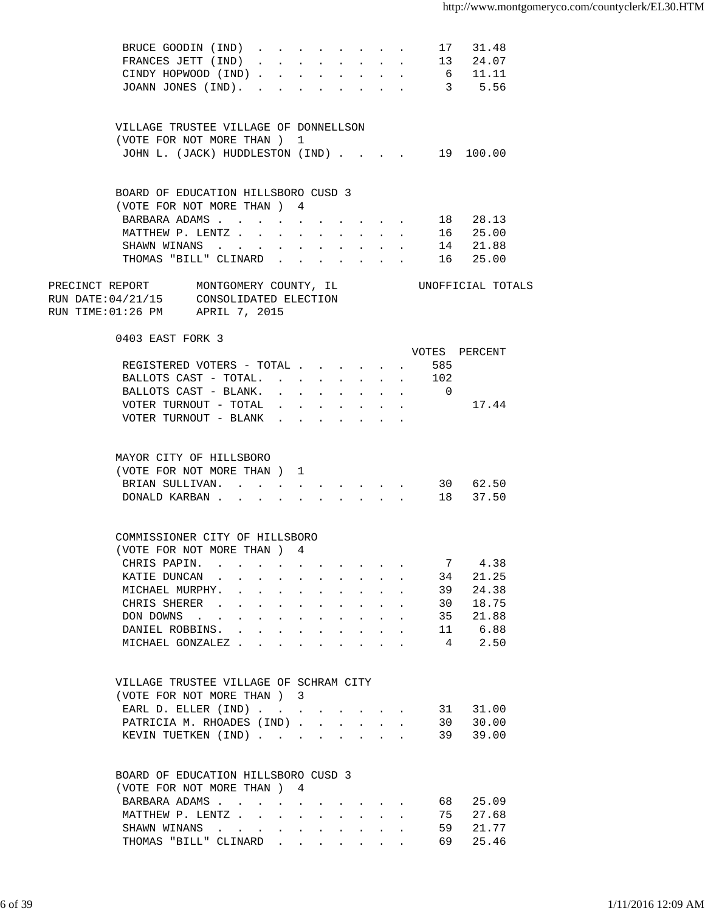| BRUCE GOODIN (IND)                                                                                    |                                                                                                                                      |                           |                                                                                                                                                                                                                                                                                                                                                                                                                              |                      |              |                                                       |              | 17              | 31.48             |  |
|-------------------------------------------------------------------------------------------------------|--------------------------------------------------------------------------------------------------------------------------------------|---------------------------|------------------------------------------------------------------------------------------------------------------------------------------------------------------------------------------------------------------------------------------------------------------------------------------------------------------------------------------------------------------------------------------------------------------------------|----------------------|--------------|-------------------------------------------------------|--------------|-----------------|-------------------|--|
| FRANCES JETT (IND)                                                                                    | $\mathbf{r} = \mathbf{r} + \mathbf{r}$ , where $\mathbf{r} = \mathbf{r} + \mathbf{r}$ , where $\mathbf{r} = \mathbf{r} + \mathbf{r}$ |                           |                                                                                                                                                                                                                                                                                                                                                                                                                              |                      |              |                                                       |              |                 | 13 24.07          |  |
| CINDY HOPWOOD (IND)                                                                                   |                                                                                                                                      |                           |                                                                                                                                                                                                                                                                                                                                                                                                                              |                      |              |                                                       |              |                 | 6 11.11           |  |
| JOANN JONES (IND).                                                                                    |                                                                                                                                      |                           |                                                                                                                                                                                                                                                                                                                                                                                                                              |                      |              |                                                       |              |                 | 3 5.56            |  |
|                                                                                                       |                                                                                                                                      |                           |                                                                                                                                                                                                                                                                                                                                                                                                                              |                      |              |                                                       |              |                 |                   |  |
| VILLAGE TRUSTEE VILLAGE OF DONNELLSON                                                                 |                                                                                                                                      |                           |                                                                                                                                                                                                                                                                                                                                                                                                                              |                      |              |                                                       |              |                 |                   |  |
| (VOTE FOR NOT MORE THAN) 1                                                                            |                                                                                                                                      |                           |                                                                                                                                                                                                                                                                                                                                                                                                                              |                      |              |                                                       |              |                 |                   |  |
| JOHN L. (JACK) HUDDLESTON (IND)                                                                       |                                                                                                                                      |                           |                                                                                                                                                                                                                                                                                                                                                                                                                              |                      |              |                                                       |              |                 | 19 100.00         |  |
|                                                                                                       |                                                                                                                                      |                           |                                                                                                                                                                                                                                                                                                                                                                                                                              |                      |              |                                                       |              |                 |                   |  |
| BOARD OF EDUCATION HILLSBORO CUSD 3                                                                   |                                                                                                                                      |                           |                                                                                                                                                                                                                                                                                                                                                                                                                              |                      |              |                                                       |              |                 |                   |  |
| (VOTE FOR NOT MORE THAN) 4                                                                            |                                                                                                                                      |                           |                                                                                                                                                                                                                                                                                                                                                                                                                              |                      |              |                                                       |              |                 |                   |  |
| BARBARA ADAMS                                                                                         |                                                                                                                                      |                           |                                                                                                                                                                                                                                                                                                                                                                                                                              |                      |              |                                                       |              |                 | 18 28.13          |  |
| MATTHEW P. LENTZ                                                                                      |                                                                                                                                      |                           |                                                                                                                                                                                                                                                                                                                                                                                                                              |                      |              |                                                       |              |                 | 16 25.00          |  |
| SHAWN WINANS                                                                                          |                                                                                                                                      |                           |                                                                                                                                                                                                                                                                                                                                                                                                                              |                      |              |                                                       |              |                 | 14 21.88          |  |
| THOMAS "BILL" CLINARD                                                                                 |                                                                                                                                      |                           |                                                                                                                                                                                                                                                                                                                                                                                                                              |                      |              |                                                       |              | 16              | 25.00             |  |
| PRECINCT REPORT MONTGOMERY COUNTY, IL<br>RUN DATE:04/21/15 CONSOLIDATED ELECTION                      |                                                                                                                                      |                           |                                                                                                                                                                                                                                                                                                                                                                                                                              |                      |              |                                                       |              |                 | UNOFFICIAL TOTALS |  |
| RUN TIME:01:26 PM APRIL 7, 2015                                                                       |                                                                                                                                      |                           |                                                                                                                                                                                                                                                                                                                                                                                                                              |                      |              |                                                       |              |                 |                   |  |
| 0403 EAST FORK 3                                                                                      |                                                                                                                                      |                           |                                                                                                                                                                                                                                                                                                                                                                                                                              |                      |              |                                                       |              |                 |                   |  |
|                                                                                                       |                                                                                                                                      |                           |                                                                                                                                                                                                                                                                                                                                                                                                                              |                      |              |                                                       |              |                 | VOTES PERCENT     |  |
| REGISTERED VOTERS - TOTAL                                                                             |                                                                                                                                      |                           |                                                                                                                                                                                                                                                                                                                                                                                                                              |                      |              |                                                       |              | 585             |                   |  |
| BALLOTS CAST - TOTAL. 102                                                                             |                                                                                                                                      |                           |                                                                                                                                                                                                                                                                                                                                                                                                                              |                      |              |                                                       |              |                 |                   |  |
| BALLOTS CAST - BLANK. 0                                                                               |                                                                                                                                      |                           |                                                                                                                                                                                                                                                                                                                                                                                                                              |                      |              |                                                       |              |                 |                   |  |
| VOTER TURNOUT - TOTAL                                                                                 |                                                                                                                                      |                           |                                                                                                                                                                                                                                                                                                                                                                                                                              |                      |              |                                                       |              |                 | 17.44             |  |
| VOTER TURNOUT - BLANK $\cdot$                                                                         |                                                                                                                                      |                           |                                                                                                                                                                                                                                                                                                                                                                                                                              |                      |              |                                                       |              |                 |                   |  |
|                                                                                                       |                                                                                                                                      |                           |                                                                                                                                                                                                                                                                                                                                                                                                                              |                      |              |                                                       |              |                 |                   |  |
| MAYOR CITY OF HILLSBORO                                                                               |                                                                                                                                      |                           |                                                                                                                                                                                                                                                                                                                                                                                                                              |                      |              |                                                       |              |                 |                   |  |
| (VOTE FOR NOT MORE THAN) 1                                                                            |                                                                                                                                      |                           |                                                                                                                                                                                                                                                                                                                                                                                                                              |                      |              |                                                       |              |                 |                   |  |
| BRIAN SULLIVAN.                                                                                       |                                                                                                                                      |                           |                                                                                                                                                                                                                                                                                                                                                                                                                              |                      |              |                                                       |              |                 | 30 62.50          |  |
| DONALD KARBAN.<br>$\mathbf{r}$                                                                        |                                                                                                                                      |                           |                                                                                                                                                                                                                                                                                                                                                                                                                              | $\ddot{\phantom{0}}$ | $\sim$ $-$   | $\sim$ $-$                                            |              |                 | 18 37.50          |  |
|                                                                                                       |                                                                                                                                      |                           |                                                                                                                                                                                                                                                                                                                                                                                                                              |                      |              |                                                       |              |                 |                   |  |
| COMMISSIONER CITY OF HILLSBORO                                                                        |                                                                                                                                      |                           |                                                                                                                                                                                                                                                                                                                                                                                                                              |                      |              |                                                       |              |                 |                   |  |
| (VOTE FOR NOT MORE THAN) 4                                                                            |                                                                                                                                      |                           |                                                                                                                                                                                                                                                                                                                                                                                                                              |                      |              |                                                       |              |                 |                   |  |
| CHRIS PAPIN. .<br>and the contract of the contract of the contract of the contract of the contract of |                                                                                                                                      |                           |                                                                                                                                                                                                                                                                                                                                                                                                                              |                      |              |                                                       |              | $7\phantom{.0}$ | 4.38              |  |
| KATIE DUNCAN                                                                                          | $\mathbf{r} = \mathbf{r} + \mathbf{r} + \mathbf{r} + \mathbf{r}$                                                                     |                           |                                                                                                                                                                                                                                                                                                                                                                                                                              | $\bullet$ .          |              | $\mathbf{r} = \mathbf{r} + \mathbf{r}$                |              | 34              | 21.25             |  |
| MICHAEL MURPHY. .                                                                                     | and a state of the                                                                                                                   |                           | $\mathbf{L} = \mathbf{0}$                                                                                                                                                                                                                                                                                                                                                                                                    | $\ddot{\phantom{0}}$ |              | and a strategic state                                 |              | 39              | 24.38             |  |
| CHRIS SHERER .<br>$\sim$<br>$\bullet$ .<br><br><br><br><br><br><br><br><br><br><br><br>               |                                                                                                                                      | $\mathbf{L} = \mathbf{L}$ | $\mathbf{L}^{\text{max}}$                                                                                                                                                                                                                                                                                                                                                                                                    | $\ddot{\phantom{0}}$ |              | All Carolina                                          |              | 30              | 18.75             |  |
| DON DOWNS<br>$\sim$                                                                                   | $\bullet$ .<br><br><br><br><br><br><br><br><br><br><br><br>                                                                          | $\sim$ $-$                | $\mathbf{L} = \mathbf{0}$                                                                                                                                                                                                                                                                                                                                                                                                    | $\ddot{\phantom{0}}$ |              | $\mathbf{z} = \mathbf{z} + \mathbf{z} + \mathbf{z}$ . |              | 35              | 21.88             |  |
| DANIEL ROBBINS.                                                                                       |                                                                                                                                      |                           |                                                                                                                                                                                                                                                                                                                                                                                                                              |                      |              |                                                       |              | 11              | 6.88              |  |
| MICHAEL GONZALEZ                                                                                      |                                                                                                                                      |                           |                                                                                                                                                                                                                                                                                                                                                                                                                              | $\ddot{\phantom{a}}$ |              |                                                       |              | $\overline{4}$  | 2.50              |  |
|                                                                                                       |                                                                                                                                      |                           |                                                                                                                                                                                                                                                                                                                                                                                                                              |                      |              |                                                       |              |                 |                   |  |
| VILLAGE TRUSTEE VILLAGE OF SCHRAM CITY                                                                |                                                                                                                                      |                           |                                                                                                                                                                                                                                                                                                                                                                                                                              |                      |              |                                                       |              |                 |                   |  |
| (VOTE FOR NOT MORE THAN ) 3                                                                           |                                                                                                                                      |                           |                                                                                                                                                                                                                                                                                                                                                                                                                              |                      |              |                                                       |              |                 |                   |  |
| EARL D. ELLER (IND)                                                                                   |                                                                                                                                      |                           |                                                                                                                                                                                                                                                                                                                                                                                                                              |                      |              |                                                       |              | 31              | 31.00             |  |
| PATRICIA M. RHOADES (IND)                                                                             |                                                                                                                                      |                           |                                                                                                                                                                                                                                                                                                                                                                                                                              |                      |              |                                                       |              | 30              | 30.00             |  |
| KEVIN TUETKEN (IND)                                                                                   |                                                                                                                                      |                           |                                                                                                                                                                                                                                                                                                                                                                                                                              |                      |              |                                                       |              | 39              | 39.00             |  |
|                                                                                                       |                                                                                                                                      |                           |                                                                                                                                                                                                                                                                                                                                                                                                                              |                      |              |                                                       |              |                 |                   |  |
| BOARD OF EDUCATION HILLSBORO CUSD 3<br>(VOTE FOR NOT MORE THAN ) 4                                    |                                                                                                                                      |                           |                                                                                                                                                                                                                                                                                                                                                                                                                              |                      |              |                                                       |              |                 |                   |  |
| BARBARA ADAMS                                                                                         |                                                                                                                                      |                           |                                                                                                                                                                                                                                                                                                                                                                                                                              |                      |              |                                                       |              | 68 —            | 25.09             |  |
| MATTHEW P. LENTZ                                                                                      | $\mathbf{r}$                                                                                                                         |                           |                                                                                                                                                                                                                                                                                                                                                                                                                              |                      |              |                                                       |              | 75              | 27.68             |  |
| SHAWN WINANS                                                                                          |                                                                                                                                      |                           |                                                                                                                                                                                                                                                                                                                                                                                                                              |                      |              |                                                       |              | 59              | 21.77             |  |
|                                                                                                       | $\sim$                                                                                                                               |                           | $\mathbf{r}$                                                                                                                                                                                                                                                                                                                                                                                                                 | $\mathbf{L}$         | $\mathbf{A}$ | $\sim$                                                |              |                 |                   |  |
| THOMAS "BILL" CLINARD                                                                                 |                                                                                                                                      |                           | $\mathbf{r} = \mathbf{r} + \mathbf{r} + \mathbf{r} + \mathbf{r} + \mathbf{r} + \mathbf{r} + \mathbf{r} + \mathbf{r} + \mathbf{r} + \mathbf{r} + \mathbf{r} + \mathbf{r} + \mathbf{r} + \mathbf{r} + \mathbf{r} + \mathbf{r} + \mathbf{r} + \mathbf{r} + \mathbf{r} + \mathbf{r} + \mathbf{r} + \mathbf{r} + \mathbf{r} + \mathbf{r} + \mathbf{r} + \mathbf{r} + \mathbf{r} + \mathbf{r} + \mathbf{r} + \mathbf{r} + \mathbf$ |                      |              |                                                       | $\mathbf{L}$ | 69              | 25.46             |  |
|                                                                                                       |                                                                                                                                      |                           |                                                                                                                                                                                                                                                                                                                                                                                                                              |                      |              |                                                       |              |                 |                   |  |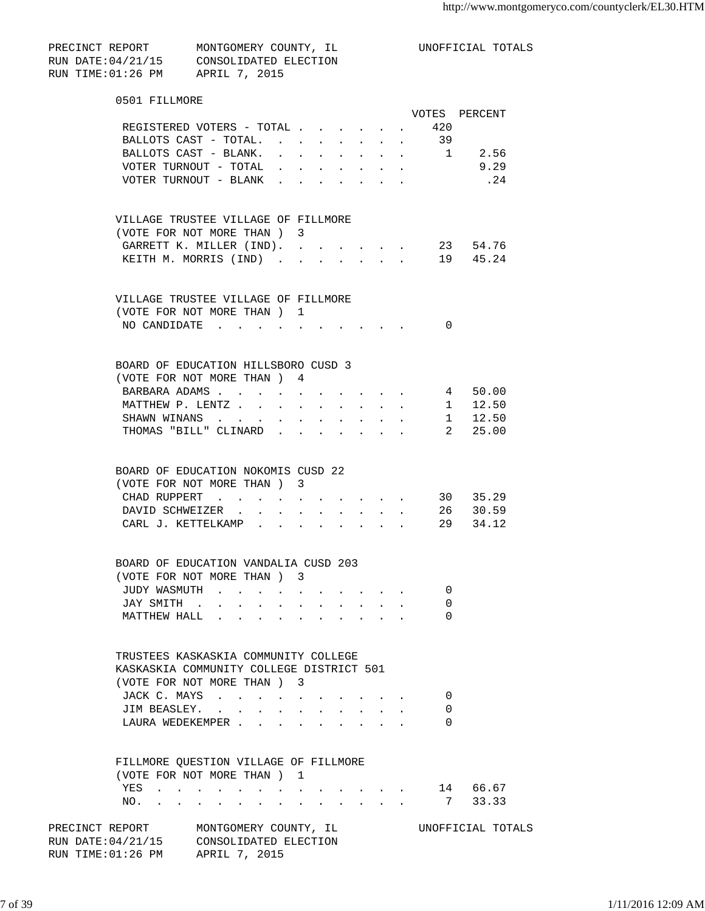| PRECINCT REPORT   | MONTGOMERY COUNTY, IL |  |
|-------------------|-----------------------|--|
| RUN DATE:04/21/15 | CONSOLIDATED ELECTION |  |
| RUN TIME:01:26 PM | APRIL 7, 2015         |  |

UNOFFICIAL TOTALS

| 0501 FILLMORE                                                 |                                      |                      |                                          |                                                             |                           |                                         |              |                                                                                            |                |
|---------------------------------------------------------------|--------------------------------------|----------------------|------------------------------------------|-------------------------------------------------------------|---------------------------|-----------------------------------------|--------------|--------------------------------------------------------------------------------------------|----------------|
|                                                               |                                      |                      |                                          |                                                             |                           |                                         |              |                                                                                            | VOTES PERCENT  |
| REGISTERED VOTERS - TOTAL                                     |                                      |                      |                                          |                                                             |                           |                                         |              | . 420                                                                                      |                |
| BALLOTS CAST - TOTAL. .                                       |                                      |                      |                                          |                                                             |                           |                                         |              | 39                                                                                         |                |
| BALLOTS CAST - BLANK.                                         |                                      |                      |                                          |                                                             |                           |                                         |              |                                                                                            | $\cdot$ 1 2.56 |
| VOTER TURNOUT - TOTAL                                         |                                      |                      |                                          |                                                             |                           |                                         |              |                                                                                            | 9.29           |
| VOTER TURNOUT - BLANK                                         |                                      |                      |                                          |                                                             |                           |                                         |              |                                                                                            | $\ldots$ 24    |
|                                                               |                                      |                      |                                          |                                                             |                           |                                         |              |                                                                                            |                |
| VILLAGE TRUSTEE VILLAGE OF FILLMORE                           |                                      |                      |                                          |                                                             |                           |                                         |              |                                                                                            |                |
| (VOTE FOR NOT MORE THAN) 3                                    |                                      |                      |                                          |                                                             |                           |                                         |              |                                                                                            |                |
| GARRETT K. MILLER (IND).                                      |                                      |                      |                                          |                                                             |                           |                                         |              | the contract of the contract of                                                            | 23 54.76       |
| KEITH M. MORRIS (IND)                                         |                                      |                      |                                          |                                                             |                           |                                         |              | $\mathbf{r} = \mathbf{r} + \mathbf{r} + \mathbf{r} + \mathbf{r} + \mathbf{r} + \mathbf{r}$ | 19  45.24      |
|                                                               |                                      |                      |                                          |                                                             |                           |                                         |              |                                                                                            |                |
| VILLAGE TRUSTEE VILLAGE OF FILLMORE                           |                                      |                      |                                          |                                                             |                           |                                         |              |                                                                                            |                |
| (VOTE FOR NOT MORE THAN) 1                                    |                                      |                      |                                          |                                                             |                           |                                         |              |                                                                                            |                |
| NO CANDIDATE.                                                 | $\mathbf{L} = \mathbf{L} \mathbf{L}$ |                      |                                          |                                                             |                           |                                         |              | $\overline{0}$                                                                             |                |
| BOARD OF EDUCATION HILLSBORO CUSD 3                           |                                      |                      |                                          |                                                             |                           |                                         |              |                                                                                            |                |
|                                                               |                                      |                      |                                          |                                                             |                           |                                         |              |                                                                                            |                |
| (VOTE FOR NOT MORE THAN ) 4                                   |                                      |                      |                                          |                                                             |                           |                                         |              |                                                                                            |                |
| BARBARA ADAMS 4 50.00                                         |                                      |                      |                                          |                                                             |                           |                                         |              |                                                                                            |                |
| MATTHEW P. LENTZ                                              |                                      |                      |                                          |                                                             |                           |                                         |              |                                                                                            | $1 \t 12.50$   |
| SHAWN WINANS                                                  |                                      |                      | $\mathbf{z} = \mathbf{z} + \mathbf{z}$ . | $\bullet$ .<br><br><br><br><br><br><br><br><br><br><br><br> | $\mathbf{L}^{\text{max}}$ |                                         |              |                                                                                            | $1 \t 12.50$   |
| THOMAS "BILL" CLINARD                                         |                                      |                      |                                          |                                                             |                           |                                         |              |                                                                                            | . 2 25.00      |
| BOARD OF EDUCATION NOKOMIS CUSD 22                            |                                      |                      |                                          |                                                             |                           |                                         |              |                                                                                            |                |
| (VOTE FOR NOT MORE THAN) 3                                    |                                      |                      |                                          |                                                             |                           |                                         |              |                                                                                            |                |
| CHAD RUPPERT                                                  |                                      |                      |                                          |                                                             |                           |                                         |              |                                                                                            | 30 35.29       |
|                                                               |                                      |                      |                                          |                                                             |                           |                                         |              |                                                                                            | 26 30.59       |
| DAVID SCHWEIZER                                               |                                      |                      |                                          |                                                             |                           | $\sim$                                  | $\mathbf{r}$ |                                                                                            |                |
| CARL J. KETTELKAMP .                                          | $\mathbf{r}$                         | $\ddot{\phantom{a}}$ | $\ddot{\phantom{a}}$                     |                                                             |                           | $\sim$                                  |              |                                                                                            | 29 34.12       |
| BOARD OF EDUCATION VANDALIA CUSD 203                          |                                      |                      |                                          |                                                             |                           |                                         |              |                                                                                            |                |
| (VOTE FOR NOT MORE THAN) 3                                    |                                      |                      |                                          |                                                             |                           |                                         |              |                                                                                            |                |
| JUDY WASMUTH                                                  |                                      |                      |                                          |                                                             |                           |                                         |              | 0                                                                                          |                |
| JAY SMITH                                                     |                                      |                      |                                          |                                                             |                           |                                         |              | 0                                                                                          |                |
| MATTHEW HALL                                                  |                                      |                      |                                          |                                                             |                           |                                         |              | 0                                                                                          |                |
|                                                               |                                      |                      |                                          |                                                             |                           |                                         |              |                                                                                            |                |
| TRUSTEES KASKASKIA COMMUNITY COLLEGE                          |                                      |                      |                                          |                                                             |                           |                                         |              |                                                                                            |                |
| KASKASKIA COMMUNITY COLLEGE DISTRICT 501                      |                                      |                      |                                          |                                                             |                           |                                         |              |                                                                                            |                |
| (VOTE FOR NOT MORE THAN ) 3                                   |                                      |                      |                                          |                                                             |                           |                                         |              |                                                                                            |                |
| JACK C. MAYS                                                  |                                      |                      |                                          |                                                             |                           |                                         |              | 0                                                                                          |                |
| JIM BEASLEY.                                                  |                                      |                      | $\mathbf{L}$                             |                                                             |                           | $\cdot$ $\cdot$ $\cdot$ $\cdot$ $\cdot$ |              | 0                                                                                          |                |
| LAURA WEDEKEMPER                                              |                                      |                      | $\ddot{\phantom{a}}$                     |                                                             |                           | $\cdot$ $\cdot$ $\cdot$ $\cdot$ $\cdot$ |              | $\Omega$                                                                                   |                |
|                                                               |                                      |                      |                                          |                                                             |                           |                                         |              |                                                                                            |                |
| FILLMORE QUESTION VILLAGE OF FILLMORE                         |                                      |                      |                                          |                                                             |                           |                                         |              |                                                                                            |                |
| (VOTE FOR NOT MORE THAN) 1                                    |                                      |                      |                                          |                                                             |                           |                                         |              |                                                                                            |                |
| YES<br>and the state of the state of the state of<br>$\sim$   | <b>All Carl Carl Control</b>         |                      |                                          |                                                             |                           |                                         |              |                                                                                            | 14 66.67       |
| NO.<br>$\ddot{\phantom{a}}$<br>$\sim$<br>$\ddot{\phantom{a}}$ |                                      | $\ddot{\phantom{a}}$ |                                          |                                                             | $\mathbf{r}$              | $\sim$                                  |              | 7                                                                                          | 33.33          |

PRECINCT REPORT MONTGOMERY COUNTY, IL UNOFFICIAL TOTALS RUN DATE:04/21/15 CONSOLIDATED ELECTION RUN TIME:01:26 PM APRIL 7, 2015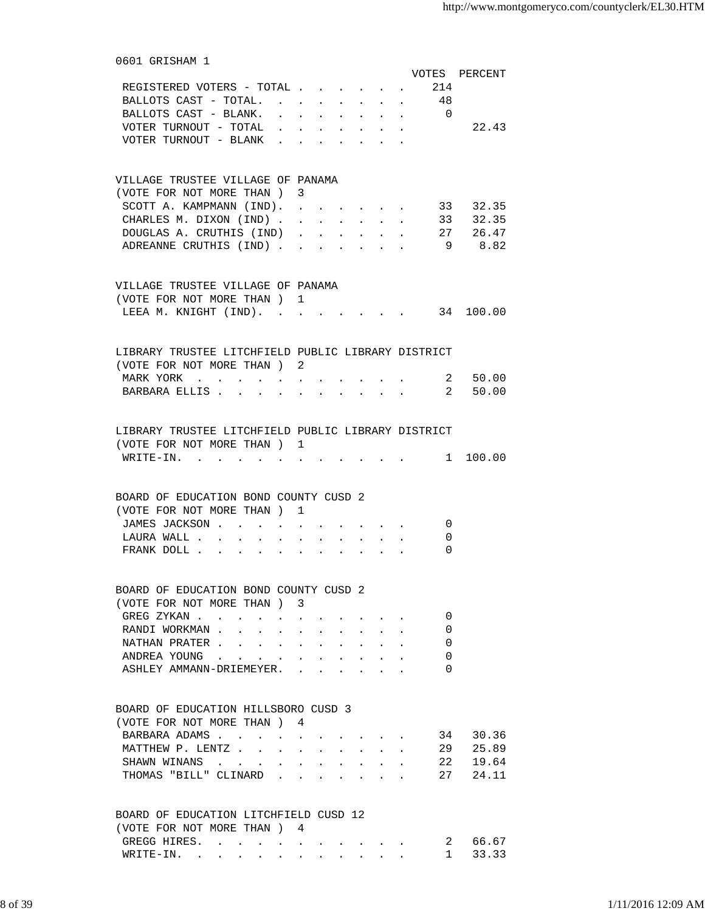| 0601 GRISHAM 1                                                      |                                                         |                      |                      |                                            |                                                                          |                           |                |                  |  |
|---------------------------------------------------------------------|---------------------------------------------------------|----------------------|----------------------|--------------------------------------------|--------------------------------------------------------------------------|---------------------------|----------------|------------------|--|
|                                                                     |                                                         |                      |                      |                                            |                                                                          |                           |                | VOTES PERCENT    |  |
| REGISTERED VOTERS - TOTAL                                           |                                                         |                      |                      |                                            |                                                                          |                           | . 214          |                  |  |
| BALLOTS CAST - TOTAL.                                               |                                                         |                      | $\ddot{\phantom{0}}$ |                                            |                                                                          | $\mathbf{L}^{\text{max}}$ | 48             |                  |  |
| BALLOTS CAST - BLANK.                                               |                                                         |                      |                      |                                            |                                                                          | $\sim$                    | $\overline{0}$ |                  |  |
| VOTER TURNOUT - TOTAL                                               |                                                         |                      |                      |                                            |                                                                          |                           |                | 22.43            |  |
| VOTER TURNOUT - BLANK                                               | $\sim$                                                  |                      |                      |                                            |                                                                          |                           |                |                  |  |
| VILLAGE TRUSTEE VILLAGE OF PANAMA                                   |                                                         |                      |                      |                                            |                                                                          |                           |                |                  |  |
| (VOTE FOR NOT MORE THAN ) 3                                         |                                                         |                      |                      |                                            |                                                                          |                           |                |                  |  |
| SCOTT A. KAMPMANN (IND).                                            |                                                         |                      |                      |                                            |                                                                          |                           |                | 33 32.35         |  |
| CHARLES M. DIXON (IND).                                             |                                                         |                      |                      |                                            |                                                                          |                           |                | $\cdot$ 33 32.35 |  |
| DOUGLAS A. CRUTHIS (IND)                                            |                                                         |                      |                      |                                            |                                                                          |                           |                | 27 26.47         |  |
| ADREANNE CRUTHIS (IND)                                              |                                                         |                      |                      |                                            | $\cdot$ $\cdot$ $\cdot$ $\cdot$ $\cdot$                                  |                           |                | 9 8.82           |  |
| VILLAGE TRUSTEE VILLAGE OF PANAMA                                   |                                                         |                      |                      |                                            |                                                                          |                           |                |                  |  |
| (VOTE FOR NOT MORE THAN) 1                                          |                                                         |                      |                      |                                            |                                                                          |                           |                |                  |  |
| LEEA M. KNIGHT (IND). 34 100.00                                     |                                                         |                      |                      |                                            |                                                                          |                           |                |                  |  |
| LIBRARY TRUSTEE LITCHFIELD PUBLIC LIBRARY DISTRICT                  |                                                         |                      |                      |                                            |                                                                          |                           |                |                  |  |
| (VOTE FOR NOT MORE THAN) 2                                          |                                                         |                      |                      |                                            |                                                                          |                           |                |                  |  |
| MARK YORK 2 50.00                                                   |                                                         |                      |                      |                                            |                                                                          |                           |                |                  |  |
| BARBARA ELLIS 2 50.00                                               |                                                         |                      |                      |                                            |                                                                          |                           |                |                  |  |
|                                                                     |                                                         |                      |                      |                                            |                                                                          |                           |                |                  |  |
| LIBRARY TRUSTEE LITCHFIELD PUBLIC LIBRARY DISTRICT                  |                                                         |                      |                      |                                            |                                                                          |                           |                |                  |  |
| (VOTE FOR NOT MORE THAN) 1                                          |                                                         |                      |                      |                                            |                                                                          |                           |                |                  |  |
| WRITE-IN.                                                           |                                                         |                      |                      |                                            |                                                                          |                           |                | $\cdot$ 1 100.00 |  |
| BOARD OF EDUCATION BOND COUNTY CUSD 2                               |                                                         |                      |                      |                                            |                                                                          |                           |                |                  |  |
| (VOTE FOR NOT MORE THAN ) 1                                         |                                                         |                      |                      |                                            |                                                                          |                           |                |                  |  |
| JAMES JACKSON                                                       |                                                         |                      |                      |                                            |                                                                          |                           | $\mathbf 0$    |                  |  |
| LAURA WALL                                                          |                                                         |                      |                      |                                            |                                                                          |                           | 0              |                  |  |
| FRANK DOLL                                                          |                                                         |                      |                      |                                            |                                                                          |                           | $\Omega$       |                  |  |
|                                                                     |                                                         |                      |                      |                                            |                                                                          |                           |                |                  |  |
| BOARD OF EDUCATION BOND COUNTY CUSD 2<br>(VOTE FOR NOT MORE THAN) 3 |                                                         |                      |                      |                                            |                                                                          |                           |                |                  |  |
| GREG ZYKAN                                                          |                                                         |                      |                      |                                            |                                                                          |                           | 0              |                  |  |
| RANDI WORKMAN.                                                      |                                                         |                      |                      |                                            |                                                                          |                           | 0              |                  |  |
| $\sim$<br>$\sim$ $\sim$                                             |                                                         |                      |                      | $\sim$                                     |                                                                          |                           | $\Omega$       |                  |  |
| NATHAN PRATER<br>ANDREA YOUNG.                                      | $\sim$<br>$\sim$                                        | $\ddot{\phantom{0}}$ |                      |                                            |                                                                          |                           | $\Omega$       |                  |  |
|                                                                     | $\mathbf{r} = \mathbf{r}$ and $\mathbf{r} = \mathbf{r}$ |                      | $\mathbf{L}$         | $\mathbf{r} = \mathbf{r} \cdot \mathbf{r}$ |                                                                          |                           | $\Omega$       |                  |  |
| ASHLEY AMMANN-DRIEMEYER.                                            |                                                         |                      |                      |                                            |                                                                          |                           |                |                  |  |
| BOARD OF EDUCATION HILLSBORO CUSD 3                                 |                                                         |                      |                      |                                            |                                                                          |                           |                |                  |  |
| (VOTE FOR NOT MORE THAN)                                            |                                                         | 4                    |                      |                                            |                                                                          |                           |                |                  |  |
| BARBARA ADAMS                                                       |                                                         |                      |                      |                                            |                                                                          |                           |                | 34 30.36         |  |
| MATTHEW P. LENTZ                                                    |                                                         |                      |                      |                                            | $\mathbf{r} = \mathbf{r} + \mathbf{r}$ , where $\mathbf{r} = \mathbf{r}$ |                           |                | 29 25.89         |  |
| SHAWN WINANS                                                        |                                                         |                      |                      |                                            |                                                                          |                           | 22             | 19.64            |  |
| THOMAS "BILL" CLINARD.                                              |                                                         |                      |                      |                                            |                                                                          |                           |                | 27 24.11         |  |
| BOARD OF EDUCATION LITCHFIELD CUSD 12                               |                                                         |                      |                      |                                            |                                                                          |                           |                |                  |  |
| (VOTE FOR NOT MORE THAN) 4                                          |                                                         |                      |                      |                                            |                                                                          |                           |                |                  |  |
| GREGG HIRES. 2                                                      |                                                         |                      |                      |                                            |                                                                          |                           |                | 66.67            |  |

WRITE-IN. . . . . . . . . . . . 1 33.33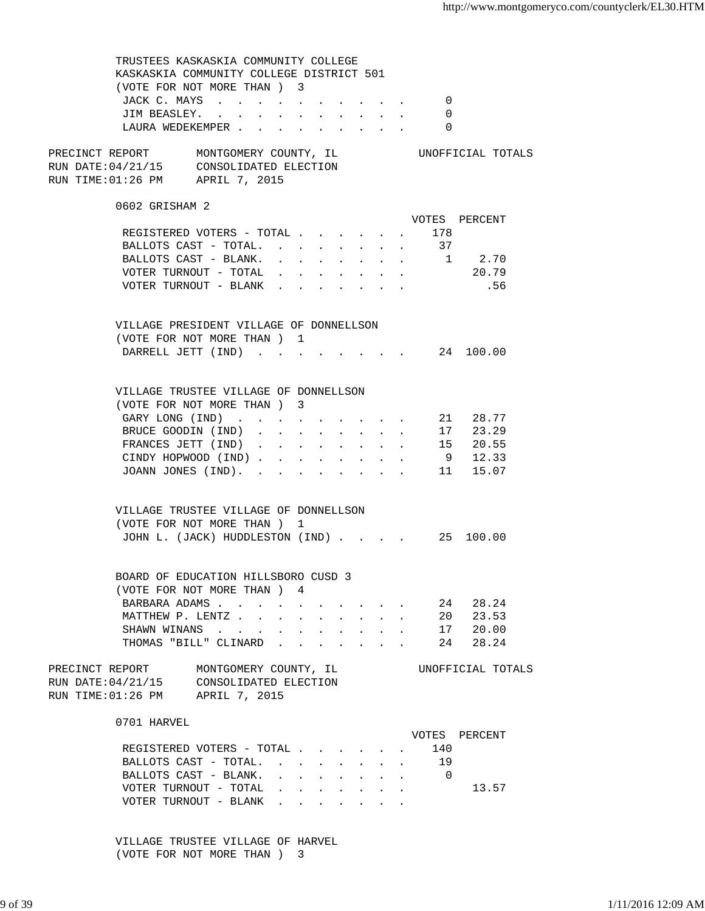TRUSTEES KASKASKIA COMMUNITY COLLEGE KASKASKIA COMMUNITY COLLEGE DISTRICT 501 (VOTE FOR NOT MORE THAN ) 3 JACK C. MAYS . . . . . . . . . . 0 JIM BEASLEY. . . . . . . . . . . 0 LAURA WEDEKEMPER . . . . . . . . . 0 PRECINCT REPORT MONTGOMERY COUNTY, IL UNOFFICIAL TOTALS RUN DATE:04/21/15 CONSOLIDATED ELECTION RUN TIME:01:26 PM APRIL 7, 2015 0602 GRISHAM 2 VOTES PERCENT REGISTERED VOTERS - TOTAL . . . . . . 178 BALLOTS CAST - TOTAL. . . . . . . . 37<br>BALLOTS CAST - BLANK. . . . . . . . 1 BALLOTS CAST - BLANK. . . . . . . . 1 2.70 VOTER TURNOUT - TOTAL . . . . . . . . 20.79 VOTER TURNOUT - BLANK . . . . . . . . . . . . 56 VILLAGE PRESIDENT VILLAGE OF DONNELLSON (VOTE FOR NOT MORE THAN ) 1 DARRELL JETT (IND) . . . . . . . . 24 100.00 VILLAGE TRUSTEE VILLAGE OF DONNELLSON (VOTE FOR NOT MORE THAN ) 3 GARY LONG (IND) . . . . . . . . . 21 28.77 BRUCE GOODIN (IND) . . . . . . . . 17 23.29 FRANCES JETT (IND) . . . . . . . . 15 20.55 CINDY HOPWOOD (IND) . . . . . . . . 9 12.33 JOANN JONES (IND). . . . . . . . . 11 15.07 VILLAGE TRUSTEE VILLAGE OF DONNELLSON (VOTE FOR NOT MORE THAN ) 1 JOHN L. (JACK) HUDDLESTON (IND) . . . . 25 100.00 BOARD OF EDUCATION HILLSBORO CUSD 3 (VOTE FOR NOT MORE THAN ) 4 BARBARA ADAMS . . . . . . . . . . . 24 28.24 MATTHEW P. LENTZ . . . . . . . . . . 20 23.53 SHAWN WINANS . . . . . . . . . . 17 20.00 THOMAS "BILL" CLINARD . . . . . . . 24 28.24 PRECINCT REPORT MONTGOMERY COUNTY, IL UNOFFICIAL TOTALS RUN DATE:04/21/15 CONSOLIDATED ELECTION RUN TIME:01:26 PM APRIL 7, 2015 0701 HARVEL VOTES PERCENT REGISTERED VOTERS - TOTAL . . . . . . 140 BALLOTS CAST - TOTAL. . . . . . . . . 19 BALLOTS CAST - BLANK. . . . . . . . 0 VOTER TURNOUT - TOTAL . . . . . . . . 13.57 VOTER TURNOUT - BLANK . . . .

> VILLAGE TRUSTEE VILLAGE OF HARVEL (VOTE FOR NOT MORE THAN ) 3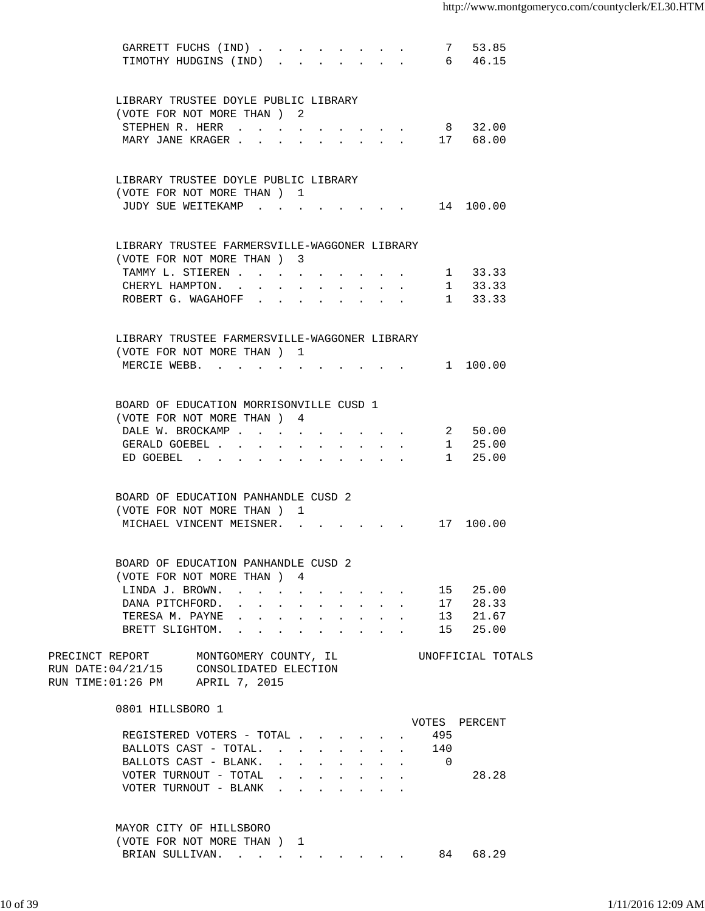| GARRETT FUCHS (IND)<br>TIMOTHY HUDGINS (IND).                                                                         |                                                                                                                                              |  |                                                                               |                          | 7 53.85<br>6 46.15 |       |
|-----------------------------------------------------------------------------------------------------------------------|----------------------------------------------------------------------------------------------------------------------------------------------|--|-------------------------------------------------------------------------------|--------------------------|--------------------|-------|
| LIBRARY TRUSTEE DOYLE PUBLIC LIBRARY                                                                                  |                                                                                                                                              |  |                                                                               |                          |                    |       |
| (VOTE FOR NOT MORE THAN) 2                                                                                            |                                                                                                                                              |  |                                                                               |                          |                    |       |
| STEPHEN R. HERR                                                                                                       |                                                                                                                                              |  |                                                                               |                          | 8 32.00            |       |
| MARY JANE KRAGER                                                                                                      |                                                                                                                                              |  |                                                                               |                          | 17 68.00           |       |
| LIBRARY TRUSTEE DOYLE PUBLIC LIBRARY                                                                                  |                                                                                                                                              |  |                                                                               |                          |                    |       |
| (VOTE FOR NOT MORE THAN ) 1                                                                                           |                                                                                                                                              |  |                                                                               |                          |                    |       |
| JUDY SUE WEITEKAMP                                                                                                    |                                                                                                                                              |  |                                                                               |                          | 14 100.00          |       |
| LIBRARY TRUSTEE FARMERSVILLE-WAGGONER LIBRARY                                                                         |                                                                                                                                              |  |                                                                               |                          |                    |       |
| (VOTE FOR NOT MORE THAN) 3                                                                                            |                                                                                                                                              |  |                                                                               |                          |                    |       |
| TAMMY L. STIEREN                                                                                                      |                                                                                                                                              |  |                                                                               |                          | 1 33.33<br>1 33.33 |       |
| CHERYL HAMPTON.<br>ROBERT G. WAGAHOFF                                                                                 |                                                                                                                                              |  |                                                                               |                          | 1 33.33            |       |
|                                                                                                                       |                                                                                                                                              |  |                                                                               |                          |                    |       |
| LIBRARY TRUSTEE FARMERSVILLE-WAGGONER LIBRARY                                                                         |                                                                                                                                              |  |                                                                               |                          |                    |       |
| (VOTE FOR NOT MORE THAN) 1                                                                                            |                                                                                                                                              |  |                                                                               |                          |                    |       |
| MERCIE WEBB. 1 100.00                                                                                                 |                                                                                                                                              |  |                                                                               |                          |                    |       |
| BOARD OF EDUCATION MORRISONVILLE CUSD 1                                                                               |                                                                                                                                              |  |                                                                               |                          |                    |       |
| (VOTE FOR NOT MORE THAN) 4                                                                                            |                                                                                                                                              |  |                                                                               |                          |                    |       |
| DALE W. BROCKAMP                                                                                                      |                                                                                                                                              |  |                                                                               |                          | 2 50.00            |       |
| GERALD GOEBEL                                                                                                         |                                                                                                                                              |  |                                                                               |                          | 1 25.00            |       |
| ED GOEBEL $\cdots$                                                                                                    |                                                                                                                                              |  |                                                                               |                          | 1 25.00            |       |
| BOARD OF EDUCATION PANHANDLE CUSD 2                                                                                   |                                                                                                                                              |  |                                                                               |                          |                    |       |
| (VOTE FOR NOT MORE THAN)                                                                                              | 1                                                                                                                                            |  |                                                                               |                          |                    |       |
| MICHAEL VINCENT MEISNER.                                                                                              |                                                                                                                                              |  |                                                                               |                          | 17 100.00          |       |
| BOARD OF EDUCATION PANHANDLE CUSD 2                                                                                   |                                                                                                                                              |  |                                                                               |                          |                    |       |
| (VOTE FOR NOT MORE THAN ) 4                                                                                           |                                                                                                                                              |  |                                                                               |                          |                    |       |
| LINDA J. BROWN.                                                                                                       |                                                                                                                                              |  |                                                                               |                          | 15 25.00           |       |
| DANA PITCHFORD.                                                                                                       |                                                                                                                                              |  | $\mathbf{r} = \mathbf{r} + \mathbf{r} + \mathbf{r} + \mathbf{r} + \mathbf{r}$ |                          | 17 28.33           |       |
| TERESA M. PAYNE                                                                                                       |                                                                                                                                              |  |                                                                               | 13                       |                    | 21.67 |
| BRETT SLIGHTOM.                                                                                                       |                                                                                                                                              |  |                                                                               | 15                       | 25.00              |       |
| PRECINCT REPORT MONTGOMERY COUNTY, IL<br>RUN DATE: 04/21/15 CONSOLIDATED ELECTION<br>RUN TIME: 01:26 PM APRIL 7, 2015 |                                                                                                                                              |  |                                                                               | UNOFFICIAL TOTALS        |                    |       |
| 0801 HILLSBORO 1                                                                                                      |                                                                                                                                              |  |                                                                               |                          |                    |       |
|                                                                                                                       |                                                                                                                                              |  |                                                                               | VOTES PERCENT            |                    |       |
| REGISTERED VOTERS - TOTAL                                                                                             |                                                                                                                                              |  |                                                                               | 495                      |                    |       |
| BALLOTS CAST - TOTAL.                                                                                                 |                                                                                                                                              |  | $\mathbf{r}$ and $\mathbf{r}$ and $\mathbf{r}$ and $\mathbf{r}$               | 140                      |                    |       |
| BALLOTS CAST - BLANK.                                                                                                 | $\mathbf{r}$ , and $\mathbf{r}$ , and $\mathbf{r}$ , and $\mathbf{r}$                                                                        |  |                                                                               | $\overline{\phantom{0}}$ |                    |       |
| VOTER TURNOUT - TOTAL                                                                                                 | $\mathbf{r} = \mathbf{r} \cdot \mathbf{r}$ , and $\mathbf{r} = \mathbf{r} \cdot \mathbf{r}$ , and $\mathbf{r} = \mathbf{r} \cdot \mathbf{r}$ |  |                                                                               |                          | 28.28              |       |
| VOTER TURNOUT - BLANK                                                                                                 |                                                                                                                                              |  |                                                                               |                          |                    |       |
| MAYOR CITY OF HILLSBORO                                                                                               |                                                                                                                                              |  |                                                                               |                          |                    |       |
| (VOTE FOR NOT MORE THAN) 1                                                                                            |                                                                                                                                              |  |                                                                               |                          |                    |       |
| BRIAN SULLIVAN. 84 68.29                                                                                              |                                                                                                                                              |  |                                                                               |                          |                    |       |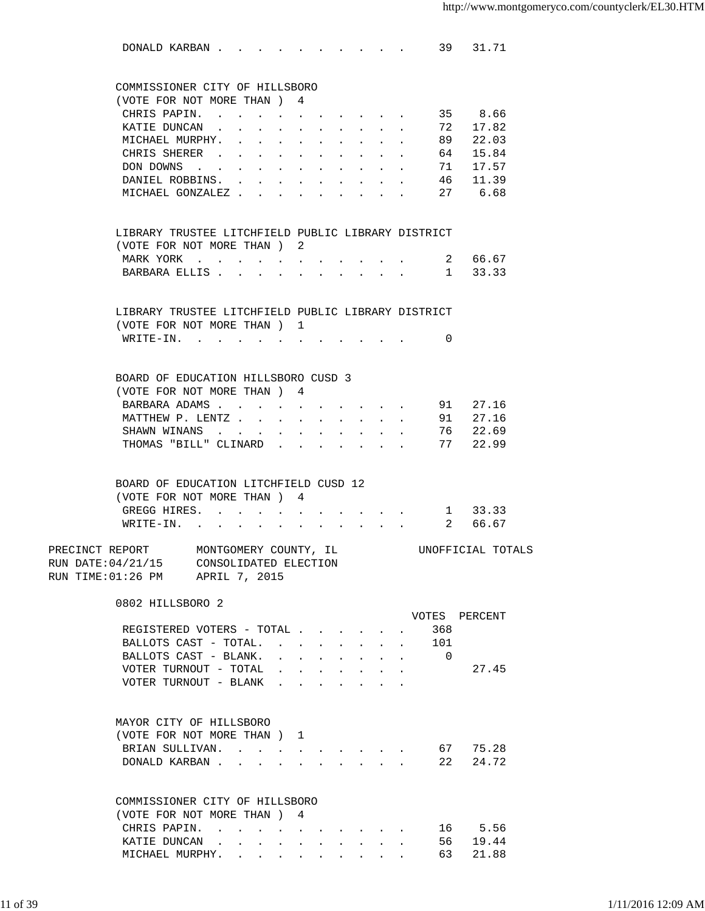|                 | DONALD KARBAN 39 31.71                                |                                                |                  |                                                             |                      |              |                      |                                                                                                                       |                           |                           |                   |               |  |
|-----------------|-------------------------------------------------------|------------------------------------------------|------------------|-------------------------------------------------------------|----------------------|--------------|----------------------|-----------------------------------------------------------------------------------------------------------------------|---------------------------|---------------------------|-------------------|---------------|--|
|                 | COMMISSIONER CITY OF HILLSBORO                        |                                                |                  |                                                             |                      |              |                      |                                                                                                                       |                           |                           |                   |               |  |
|                 | (VOTE FOR NOT MORE THAN ) 4                           |                                                |                  |                                                             |                      |              |                      |                                                                                                                       |                           |                           |                   |               |  |
|                 | CHRIS PAPIN.                                          |                                                |                  | $\sim$                                                      |                      |              |                      |                                                                                                                       |                           | $\mathbf{L}^{\text{max}}$ |                   | 35 8.66       |  |
|                 | KATIE DUNCAN.                                         |                                                |                  | $\ddot{\phantom{0}}$                                        |                      |              |                      |                                                                                                                       | $\sim$                    | $\Delta \sim 10^4$        |                   | 72 17.82      |  |
|                 | MICHAEL MURPHY.                                       |                                                |                  | $\mathbf{L}$                                                | $\ddot{\phantom{a}}$ | $\mathbf{L}$ | $\ddot{\phantom{a}}$ |                                                                                                                       | $\mathbf{r} = \mathbf{r}$ | $\mathbb{R}^{n+1}$        |                   | 89 22.03      |  |
|                 | CHRIS SHERER                                          |                                                |                  |                                                             | $\sim$               | $\sim$       |                      | $\mathcal{L}^{\mathcal{A}}$ , $\mathcal{L}^{\mathcal{A}}$ , $\mathcal{L}^{\mathcal{A}}$ , $\mathcal{L}^{\mathcal{A}}$ |                           |                           |                   | 64 15.84      |  |
|                 | DON DOWNS                                             |                                                |                  |                                                             | $\ddot{\phantom{0}}$ | $\sim$       |                      | $\mathcal{L}^{\mathcal{A}}$ , $\mathcal{L}^{\mathcal{A}}$ , $\mathcal{L}^{\mathcal{A}}$ , $\mathcal{L}^{\mathcal{A}}$ |                           |                           |                   | 71 17.57      |  |
|                 | DANIEL ROBBINS. 46 11.39                              |                                                |                  |                                                             |                      |              |                      |                                                                                                                       |                           |                           |                   |               |  |
|                 | MICHAEL GONZALEZ 27 6.68                              |                                                |                  |                                                             |                      |              |                      |                                                                                                                       |                           |                           |                   |               |  |
|                 | LIBRARY TRUSTEE LITCHFIELD PUBLIC LIBRARY DISTRICT    |                                                |                  |                                                             |                      |              |                      |                                                                                                                       |                           |                           |                   |               |  |
|                 | (VOTE FOR NOT MORE THAN) 2                            |                                                |                  |                                                             |                      |              |                      |                                                                                                                       |                           |                           |                   |               |  |
|                 | MARK YORK                                             |                                                | $\sim$ $\sim$    | $\cdot$ $\cdot$ $\cdot$ $\cdot$                             |                      |              |                      |                                                                                                                       |                           |                           |                   | 2 66.67       |  |
|                 | BARBARA ELLIS.                                        |                                                | $\sim$<br>$\sim$ | $\ddot{\phantom{a}}$                                        | $\ddot{\phantom{a}}$ |              |                      |                                                                                                                       |                           |                           |                   | 1 33.33       |  |
|                 |                                                       |                                                |                  |                                                             |                      |              |                      |                                                                                                                       |                           |                           |                   |               |  |
|                 | LIBRARY TRUSTEE LITCHFIELD PUBLIC LIBRARY DISTRICT    |                                                |                  |                                                             |                      |              |                      |                                                                                                                       |                           |                           |                   |               |  |
|                 | (VOTE FOR NOT MORE THAN) 1<br>WRITE-IN.               |                                                |                  |                                                             |                      |              |                      |                                                                                                                       |                           |                           | $\Omega$          |               |  |
|                 |                                                       |                                                |                  |                                                             |                      |              |                      |                                                                                                                       |                           |                           |                   |               |  |
|                 | BOARD OF EDUCATION HILLSBORO CUSD 3                   |                                                |                  |                                                             |                      |              |                      |                                                                                                                       |                           |                           |                   |               |  |
|                 | (VOTE FOR NOT MORE THAN ) 4                           |                                                |                  |                                                             |                      |              |                      |                                                                                                                       |                           |                           |                   |               |  |
|                 | BARBARA ADAMS                                         |                                                |                  |                                                             |                      |              |                      |                                                                                                                       |                           |                           |                   | $91 \t 27.16$ |  |
|                 | MATTHEW P. LENTZ                                      |                                                |                  |                                                             | $\ddot{\phantom{0}}$ |              |                      |                                                                                                                       |                           |                           |                   | 91 27.16      |  |
|                 | SHAWN WINANS                                          |                                                |                  | $\bullet$ .<br><br><br><br><br><br><br><br><br><br><br><br> |                      |              |                      |                                                                                                                       |                           |                           |                   | $76$ 22.69    |  |
|                 | THOMAS "BILL" CLINARD.                                |                                                |                  |                                                             | $\sim$ $\sim$        |              |                      | $\sim$                                                                                                                |                           |                           |                   | 77 22.99      |  |
|                 |                                                       |                                                |                  |                                                             |                      |              |                      |                                                                                                                       |                           |                           |                   |               |  |
|                 | BOARD OF EDUCATION LITCHFIELD CUSD 12                 |                                                |                  |                                                             |                      |              |                      |                                                                                                                       |                           |                           |                   |               |  |
|                 | (VOTE FOR NOT MORE THAN) 4                            |                                                |                  |                                                             |                      |              |                      |                                                                                                                       |                           |                           |                   |               |  |
|                 | GREGG HIRES. 1 33.33                                  |                                                |                  |                                                             |                      |              |                      |                                                                                                                       |                           |                           |                   |               |  |
|                 | WRITE-IN.                                             |                                                |                  |                                                             |                      |              |                      |                                                                                                                       |                           |                           |                   | 2 66.67       |  |
| PRECINCT REPORT | RUN DATE:04/21/15<br>RUN TIME: 01:26 PM APRIL 7, 2015 | MONTGOMERY COUNTY, IL<br>CONSOLIDATED ELECTION |                  |                                                             |                      |              |                      |                                                                                                                       |                           |                           | UNOFFICIAL TOTALS |               |  |
|                 | 0802 HILLSBORO 2                                      |                                                |                  |                                                             |                      |              |                      |                                                                                                                       |                           |                           |                   |               |  |
|                 |                                                       |                                                |                  |                                                             |                      |              |                      |                                                                                                                       |                           |                           | VOTES PERCENT     |               |  |
|                 | REGISTERED VOTERS - TOTAL                             |                                                |                  |                                                             |                      |              |                      |                                                                                                                       |                           |                           | 368               |               |  |
|                 | BALLOTS CAST - TOTAL.                                 |                                                |                  |                                                             |                      |              |                      |                                                                                                                       |                           |                           | 101               |               |  |
|                 | BALLOTS CAST - BLANK.                                 |                                                |                  |                                                             |                      |              |                      | and a strong control of the strong strong and                                                                         |                           |                           | $\Omega$          |               |  |
|                 | VOTER TURNOUT - TOTAL                                 |                                                |                  |                                                             |                      |              |                      |                                                                                                                       |                           |                           |                   | 27.45         |  |
|                 | VOTER TURNOUT - BLANK $\cdot$                         |                                                |                  |                                                             |                      |              |                      |                                                                                                                       |                           |                           |                   |               |  |
|                 | MAYOR CITY OF HILLSBORO                               |                                                |                  |                                                             |                      |              |                      |                                                                                                                       |                           |                           |                   |               |  |
|                 | (VOTE FOR NOT MORE THAN) 1                            |                                                |                  |                                                             |                      |              |                      |                                                                                                                       |                           |                           |                   |               |  |
|                 | BRIAN SULLIVAN.                                       |                                                |                  |                                                             | $\sim$               |              |                      |                                                                                                                       |                           |                           | 67                | 75.28         |  |
|                 | DONALD KARBAN                                         |                                                |                  |                                                             |                      |              |                      |                                                                                                                       |                           |                           | 22                | 24.72         |  |
|                 |                                                       |                                                |                  |                                                             |                      |              |                      |                                                                                                                       |                           |                           |                   |               |  |
|                 | COMMISSIONER CITY OF HILLSBORO                        |                                                |                  |                                                             |                      |              |                      |                                                                                                                       |                           |                           |                   |               |  |
|                 | (VOTE FOR NOT MORE THAN) 4                            |                                                |                  |                                                             |                      |              |                      |                                                                                                                       |                           |                           |                   |               |  |
|                 | CHRIS PAPIN.                                          |                                                |                  |                                                             |                      |              |                      |                                                                                                                       |                           |                           |                   | 16 5.56       |  |
|                 | KATIE DUNCAN                                          |                                                |                  |                                                             |                      |              |                      |                                                                                                                       |                           |                           | 56 —              | 19.44         |  |
|                 | MICHAEL MURPHY.                                       |                                                |                  |                                                             |                      |              |                      |                                                                                                                       |                           |                           | 63                | 21.88         |  |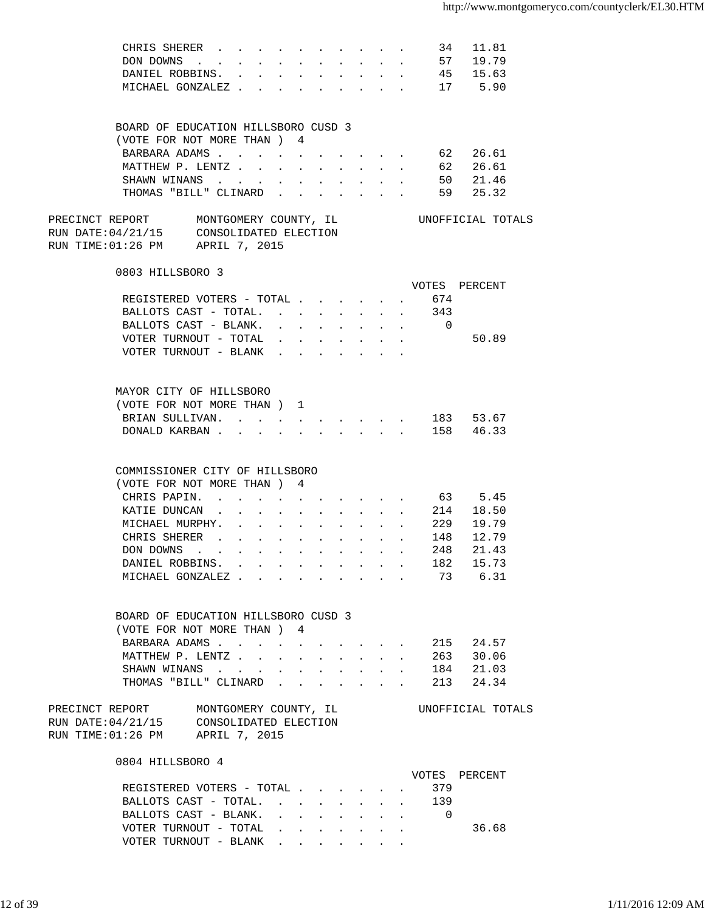| CHRIS SHERER                                                                                                              |                           |            |                                                             |                                           |                           |                                                 |              |                          | 34 11.81             |  |
|---------------------------------------------------------------------------------------------------------------------------|---------------------------|------------|-------------------------------------------------------------|-------------------------------------------|---------------------------|-------------------------------------------------|--------------|--------------------------|----------------------|--|
| DON DOWNS                                                                                                                 |                           |            |                                                             |                                           |                           |                                                 |              |                          |                      |  |
| DANIEL ROBBINS. .                                                                                                         | $\mathbf{L}^{\text{max}}$ |            |                                                             |                                           | $\mathbf{A}^{\text{max}}$ |                                                 | $\mathbf{L}$ |                          | 57 19.79<br>45 15.63 |  |
| MICHAEL GONZALEZ                                                                                                          |                           |            |                                                             |                                           |                           |                                                 |              |                          | 17 5.90              |  |
|                                                                                                                           |                           |            |                                                             |                                           |                           | and the control of the con-                     |              |                          |                      |  |
| BOARD OF EDUCATION HILLSBORO CUSD 3                                                                                       |                           |            |                                                             |                                           |                           |                                                 |              |                          |                      |  |
| (VOTE FOR NOT MORE THAN ) 4                                                                                               |                           |            |                                                             |                                           |                           |                                                 |              |                          |                      |  |
| BARBARA ADAMS 62 26.61                                                                                                    |                           |            |                                                             |                                           |                           |                                                 |              |                          |                      |  |
|                                                                                                                           |                           |            |                                                             |                                           |                           |                                                 |              |                          |                      |  |
| MATTHEW P. LENTZ 62 26.61                                                                                                 |                           |            |                                                             |                                           |                           |                                                 |              |                          |                      |  |
| SHAWN WINANS                                                                                                              |                           |            |                                                             | $\mathbf{z} = \mathbf{z} + \mathbf{z}$    |                           |                                                 |              |                          | $\cdot$ 50 21.46     |  |
| THOMAS "BILL" CLINARD                                                                                                     |                           |            |                                                             |                                           |                           |                                                 |              |                          | 59 25.32             |  |
| PRECINCT REPORT MONTGOMERY COUNTY, IL<br>RUN DATE:04/21/15 CONSOLIDATED ELECTION<br>RUN TIME:01:26 PM       APRIL 7, 2015 |                           |            |                                                             |                                           |                           |                                                 |              |                          | UNOFFICIAL TOTALS    |  |
|                                                                                                                           |                           |            |                                                             |                                           |                           |                                                 |              |                          |                      |  |
| 0803 HILLSBORO 3                                                                                                          |                           |            |                                                             |                                           |                           |                                                 |              |                          | VOTES PERCENT        |  |
| REGISTERED VOTERS - TOTAL 674                                                                                             |                           |            |                                                             |                                           |                           |                                                 |              |                          |                      |  |
| BALLOTS CAST - TOTAL. 343                                                                                                 |                           |            |                                                             |                                           |                           |                                                 |              |                          |                      |  |
|                                                                                                                           |                           |            |                                                             |                                           |                           |                                                 |              |                          |                      |  |
| BALLOTS CAST - BLANK. 0                                                                                                   |                           |            |                                                             |                                           |                           |                                                 |              |                          |                      |  |
| VOTER TURNOUT - TOTAL $\ldots$ .                                                                                          |                           |            |                                                             |                                           |                           |                                                 |              |                          | 50.89                |  |
| VOTER TURNOUT - BLANK                                                                                                     |                           |            |                                                             |                                           |                           |                                                 |              |                          |                      |  |
|                                                                                                                           |                           |            |                                                             |                                           |                           |                                                 |              |                          |                      |  |
| MAYOR CITY OF HILLSBORO                                                                                                   |                           |            |                                                             |                                           |                           |                                                 |              |                          |                      |  |
| (VOTE FOR NOT MORE THAN) 1                                                                                                |                           |            |                                                             |                                           |                           |                                                 |              |                          |                      |  |
| BRIAN SULLIVAN. 183 53.67                                                                                                 |                           |            |                                                             |                                           |                           |                                                 |              |                          |                      |  |
| DONALD KARBAN                                                                                                             |                           |            | $\ddot{\phantom{a}}$                                        |                                           |                           | $\mathbf{r} = \mathbf{r} + \mathbf{r}$          |              |                          | 158 46.33            |  |
|                                                                                                                           |                           |            |                                                             |                                           |                           |                                                 |              |                          |                      |  |
| COMMISSIONER CITY OF HILLSBORO                                                                                            |                           |            |                                                             |                                           |                           |                                                 |              |                          |                      |  |
| (VOTE FOR NOT MORE THAN) 4                                                                                                |                           |            |                                                             |                                           |                           |                                                 |              |                          |                      |  |
| CHRIS PAPIN.                                                                                                              |                           |            |                                                             |                                           |                           |                                                 |              |                          | 63 5.45              |  |
| KATIE DUNCAN                                                                                                              | $\sim 100$<br>$\sim$ $-$  | $\sim 100$ | $\bullet$ .<br><br><br><br><br><br><br><br><br><br><br><br> |                                           |                           |                                                 |              |                          | $\cdot$ 214 18.50    |  |
| MICHAEL MURPHY.                                                                                                           |                           |            |                                                             | and a strong control of the strong strong |                           |                                                 |              |                          | 229 19.79            |  |
| CHRIS SHERER                                                                                                              |                           |            |                                                             |                                           |                           |                                                 |              |                          |                      |  |
|                                                                                                                           |                           |            |                                                             |                                           |                           |                                                 |              |                          |                      |  |
| DON DOWNS                                                                                                                 |                           |            |                                                             |                                           |                           |                                                 |              |                          |                      |  |
| DANIEL ROBBINS.                                                                                                           |                           |            |                                                             |                                           |                           |                                                 |              |                          | 182 15.73            |  |
| MICHAEL GONZALEZ                                                                                                          |                           |            |                                                             |                                           |                           | $\cdot$ $\cdot$ $\cdot$ $\cdot$ $\cdot$ $\cdot$ |              |                          | 73 6.31              |  |
|                                                                                                                           |                           |            |                                                             |                                           |                           |                                                 |              |                          |                      |  |
| BOARD OF EDUCATION HILLSBORO CUSD 3                                                                                       |                           |            |                                                             |                                           |                           |                                                 |              |                          |                      |  |
| (VOTE FOR NOT MORE THAN) 4                                                                                                |                           |            |                                                             |                                           |                           |                                                 |              |                          |                      |  |
| BARBARA ADAMS                                                                                                             |                           |            |                                                             |                                           |                           |                                                 |              |                          | 215 24.57            |  |
| MATTHEW P. LENTZ                                                                                                          |                           |            |                                                             |                                           |                           |                                                 |              |                          | 263 30.06            |  |
| SHAWN WINANS 184 21.03                                                                                                    |                           |            |                                                             |                                           |                           |                                                 |              |                          |                      |  |
| THOMAS "BILL" CLINARD                                                                                                     |                           |            |                                                             |                                           |                           |                                                 |              |                          | 213 24.34            |  |
|                                                                                                                           |                           |            |                                                             |                                           |                           |                                                 |              |                          |                      |  |
| PRECINCT REPORT MONTGOMERY COUNTY, IL<br>RUN DATE:04/21/15 CONSOLIDATED ELECTION                                          |                           |            |                                                             |                                           |                           |                                                 |              |                          | UNOFFICIAL TOTALS    |  |
| RUN TIME:01:26 PM APRIL 7, 2015                                                                                           |                           |            |                                                             |                                           |                           |                                                 |              |                          |                      |  |
| 0804 HILLSBORO 4                                                                                                          |                           |            |                                                             |                                           |                           |                                                 |              |                          |                      |  |
|                                                                                                                           |                           |            |                                                             |                                           |                           |                                                 |              |                          | VOTES PERCENT        |  |
| REGISTERED VOTERS - TOTAL                                                                                                 |                           |            |                                                             |                                           |                           |                                                 |              | 379                      |                      |  |
| BALLOTS CAST - TOTAL. 139                                                                                                 |                           |            |                                                             |                                           |                           |                                                 |              |                          |                      |  |
| BALLOTS CAST - BLANK.                                                                                                     |                           |            |                                                             |                                           |                           |                                                 |              | $\overline{\phantom{0}}$ |                      |  |
| VOTER TURNOUT - TOTAL $\ldots$                                                                                            |                           |            |                                                             |                                           |                           |                                                 |              |                          | 36.68                |  |

VOTER TURNOUT - BLANK . . . . . . .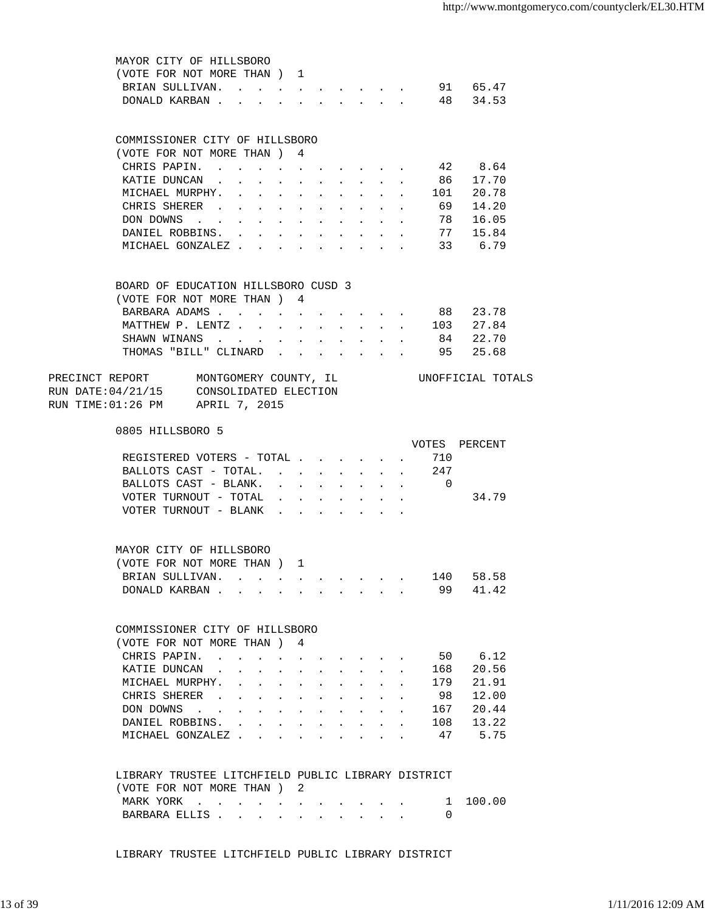| MAYOR CITY OF HILLSBORO                                                                                                                                                                                                                                 |        |                                          |                            |                      |            |                                                               |                       |                  |
|---------------------------------------------------------------------------------------------------------------------------------------------------------------------------------------------------------------------------------------------------------|--------|------------------------------------------|----------------------------|----------------------|------------|---------------------------------------------------------------|-----------------------|------------------|
| (VOTE FOR NOT MORE THAN) 1                                                                                                                                                                                                                              |        |                                          |                            |                      |            |                                                               |                       |                  |
| BRIAN SULLIVAN. 91 65.47                                                                                                                                                                                                                                |        |                                          |                            |                      |            |                                                               |                       |                  |
| DONALD KARBAN 48 34.53                                                                                                                                                                                                                                  |        |                                          |                            |                      |            |                                                               |                       |                  |
|                                                                                                                                                                                                                                                         |        |                                          |                            |                      |            |                                                               |                       |                  |
|                                                                                                                                                                                                                                                         |        |                                          |                            |                      |            |                                                               |                       |                  |
| COMMISSIONER CITY OF HILLSBORO<br>(VOTE FOR NOT MORE THAN ) 4                                                                                                                                                                                           |        |                                          |                            |                      |            |                                                               |                       |                  |
| CHRIS PAPIN. 42 8.64                                                                                                                                                                                                                                    |        |                                          |                            |                      |            |                                                               |                       |                  |
| KATIE DUNCAN                                                                                                                                                                                                                                            |        |                                          |                            |                      |            |                                                               |                       | 86 17.70         |
| MICHAEL MURPHY.                                                                                                                                                                                                                                         |        |                                          |                            |                      |            |                                                               |                       | . 101 20.78      |
| CHRIS SHERER 69                                                                                                                                                                                                                                         |        |                                          |                            |                      |            |                                                               |                       | 14.20            |
| DON DOWNS<br>the contract of the contract of the contract of                                                                                                                                                                                            |        |                                          |                            |                      |            |                                                               |                       | $\cdot$ 78 16.05 |
| DANIEL ROBBINS. 77 15.84                                                                                                                                                                                                                                |        |                                          |                            |                      |            |                                                               |                       |                  |
| MICHAEL GONZALEZ 33 6.79                                                                                                                                                                                                                                |        |                                          |                            |                      |            |                                                               |                       |                  |
|                                                                                                                                                                                                                                                         |        |                                          |                            |                      |            |                                                               |                       |                  |
| BOARD OF EDUCATION HILLSBORO CUSD 3                                                                                                                                                                                                                     |        |                                          |                            |                      |            |                                                               |                       |                  |
| (VOTE FOR NOT MORE THAN) 4                                                                                                                                                                                                                              |        |                                          |                            |                      |            |                                                               |                       |                  |
| BARBARA ADAMS                                                                                                                                                                                                                                           | $\sim$ | $\sim$ $-$                               |                            |                      |            | and a strong control of the strong                            |                       | 88 23.78         |
| MATTHEW P. LENTZ                                                                                                                                                                                                                                        |        |                                          |                            |                      |            |                                                               |                       | 103 27.84        |
| SHAWN WINANS                                                                                                                                                                                                                                            |        |                                          |                            |                      |            |                                                               |                       | 84 22.70         |
| THOMAS "BILL" CLINARD                                                                                                                                                                                                                                   |        |                                          |                            |                      |            |                                                               |                       | 95 25.68         |
|                                                                                                                                                                                                                                                         |        |                                          |                            |                      |            |                                                               |                       |                  |
| PRECINCT REPORT MONTGOMERY COUNTY, IL CONOFFICIAL TOTALS                                                                                                                                                                                                |        |                                          |                            |                      |            |                                                               |                       |                  |
| RUN DATE:04/21/15 CONSOLIDATED ELECTION<br>RUN TIME:01:26 PM APRIL 7, 2015                                                                                                                                                                              |        |                                          |                            |                      |            |                                                               |                       |                  |
| 0805 HILLSBORO 5                                                                                                                                                                                                                                        |        |                                          |                            |                      |            |                                                               |                       |                  |
|                                                                                                                                                                                                                                                         |        |                                          |                            |                      |            |                                                               |                       | VOTES PERCENT    |
| REGISTERED VOTERS - TOTAL                                                                                                                                                                                                                               |        |                                          |                            |                      |            | $\sim$                                                        | 710                   |                  |
| BALLOTS CAST - TOTAL<br>BALLOTS CAST - BLANK.                                                                                                                                                                                                           |        |                                          | $\mathcal{L}^{\text{max}}$ | $\ddot{\phantom{0}}$ | $\sim$ $-$ | $\mathcal{L}^{\text{max}}$ , where $\mathcal{L}^{\text{max}}$ | 247<br>$\overline{0}$ |                  |
| VOTER TURNOUT - TOTAL                                                                                                                                                                                                                                   |        |                                          |                            | $\sim$               |            | $\mathbf{r} = \mathbf{r}$ and $\mathbf{r} = \mathbf{r}$       |                       | 34.79            |
| VOTER TURNOUT - BLANK                                                                                                                                                                                                                                   |        |                                          |                            |                      |            |                                                               |                       |                  |
|                                                                                                                                                                                                                                                         |        |                                          |                            |                      |            |                                                               |                       |                  |
| MAYOR CITY OF HILLSBORO                                                                                                                                                                                                                                 |        |                                          |                            |                      |            |                                                               |                       |                  |
| (VOTE FOR NOT MORE THAN)                                                                                                                                                                                                                                |        |                                          |                            |                      |            |                                                               |                       |                  |
| BRIAN SULLIVAN.                                                                                                                                                                                                                                         |        |                                          |                            |                      |            |                                                               | 140                   | 58.58            |
| DONALD KARBAN                                                                                                                                                                                                                                           |        |                                          |                            |                      |            |                                                               | 99                    | 41.42            |
|                                                                                                                                                                                                                                                         |        |                                          |                            |                      |            |                                                               |                       |                  |
| COMMISSIONER CITY OF HILLSBORO                                                                                                                                                                                                                          |        |                                          |                            |                      |            |                                                               |                       |                  |
| (VOTE FOR NOT MORE THAN ) 4                                                                                                                                                                                                                             |        |                                          |                            |                      |            |                                                               |                       |                  |
| CHRIS PAPIN.                                                                                                                                                                                                                                            |        |                                          |                            |                      |            |                                                               |                       | 50 6.12          |
| KATIE DUNCAN                                                                                                                                                                                                                                            |        |                                          |                            |                      |            |                                                               | 168                   | 20.56            |
| MICHAEL MURPHY.<br><u>in the contract of the contract of the contract of the contract of the contract of the contract of the contract of the contract of the contract of the contract of the contract of the contract of the contract of the contra</u> |        |                                          |                            |                      |            |                                                               | 179                   | 21.91            |
| CHRIS SHERER                                                                                                                                                                                                                                            |        | $\mathbf{r} = \mathbf{r} + \mathbf{r}$   |                            |                      |            | and a series of the series of the                             | 98                    | 12.00            |
| DON DOWNS                                                                                                                                                                                                                                               |        |                                          | $\sim$                     |                      |            | and the company of the company of                             | 167                   | 20.44            |
| DANIEL ROBBINS. .<br>$\sim$                                                                                                                                                                                                                             |        | $\mathbf{z} = \mathbf{z} + \mathbf{z}$ . | $\mathbf{L} = \mathbf{0}$  |                      |            |                                                               | 108                   | 13.22            |
| MICHAEL GONZALEZ                                                                                                                                                                                                                                        |        |                                          |                            |                      |            |                                                               | 47                    | 5.75             |
|                                                                                                                                                                                                                                                         |        |                                          |                            |                      |            |                                                               |                       |                  |
| LIBRARY TRUSTEE LITCHFIELD PUBLIC LIBRARY DISTRICT                                                                                                                                                                                                      |        |                                          |                            |                      |            |                                                               |                       |                  |
| (VOTE FOR NOT MORE THAN) 2                                                                                                                                                                                                                              |        |                                          |                            |                      |            |                                                               |                       |                  |
| MARK YORK                                                                                                                                                                                                                                               |        |                                          |                            |                      |            |                                                               | ı                     | 100.00           |
| BARBARA ELLIS                                                                                                                                                                                                                                           |        |                                          |                            |                      |            |                                                               | 0                     |                  |
|                                                                                                                                                                                                                                                         |        |                                          |                            |                      |            |                                                               |                       |                  |

LIBRARY TRUSTEE LITCHFIELD PUBLIC LIBRARY DISTRICT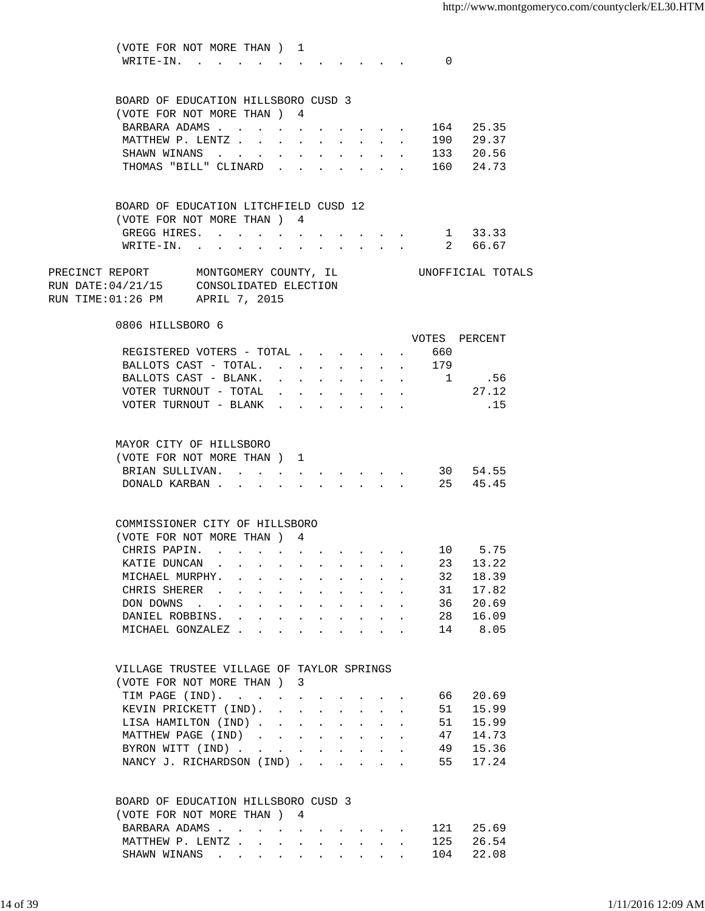(VOTE FOR NOT MORE THAN ) 1 WRITE-IN. . . . . . . . . . . . 0 BOARD OF EDUCATION HILLSBORO CUSD 3 (VOTE FOR NOT MORE THAN ) 4 BARBARA ADAMS . . . . . . . . . . . 164 25.35 MATTHEW P. LENTZ . . . . . . . . . . 190 29.37 SHAWN WINANS . . . . . . . . . . 133 20.56 THOMAS "BILL" CLINARD . . . . . . . 160 24.73 BOARD OF EDUCATION LITCHFIELD CUSD 12 (VOTE FOR NOT MORE THAN ) 4 GREGG HIRES. . . . . . . . . . . 1 33.33 WRITE-IN. . . . . . . . . . . . 2 66.67 PRECINCT REPORT MONTGOMERY COUNTY, IL UNOFFICIAL TOTALS RUN DATE:04/21/15 CONSOLIDATED ELECTION RUN TIME:01:26 PM APRIL 7, 2015 0806 HILLSBORO 6 VOTES PERCENT REGISTERED VOTERS - TOTAL . . . . . . 660 BALLOTS CAST - TOTAL. . . . . . . . 179 BALLOTS CAST - BLANK. . . . . . . . . 1 .56 VOTER TURNOUT - TOTAL . . . . . . . . 27.12 VOTER TURNOUT - BLANK . . . . . . . . . . . 15 MAYOR CITY OF HILLSBORO (VOTE FOR NOT MORE THAN ) 1 BRIAN SULLIVAN. . . . . . . . . . 30 54.55 DONALD KARBAN . . . . . . . . . . 25 45.45 COMMISSIONER CITY OF HILLSBORO (VOTE FOR NOT MORE THAN ) 4 CHRIS PAPIN. . . . . . . . . . . 10 5.75<br>KATIE DUNCAN . . . . . . . . . . 23 13.22 XATIE DUNCAN . . . . . . . . . . 23 13.22<br>MICHAEL MURPHY. . . . . . . . . . 32 18.39 MICHAEL MURPHY. . . . . . . . . . 32 18.39<br>CHRIS SHERER . . . . . . . . . . 31 17.82 CHRIS SHERER . . . . . . . . . . . 00N DOWNS . . . . . . . . . . . . 36 20.69<br>DANIEL ROBBINS. . . . . . . . . . 28 16.09<br>MICHAEL GONZALEZ . . . . . . . . 14 8.05 DANIEL ROBBINS. . . . . . . . . . MICHAEL GONZALEZ . . . . . . . . . VILLAGE TRUSTEE VILLAGE OF TAYLOR SPRINGS (VOTE FOR NOT MORE THAN ) 3 TIM PAGE (IND). . . . . . . . . . . 66 20.69<br>KEVIN PRICKETT (IND). . . . . . . . 51 15.99 KEVIN PRICKETT (IND). . . . . . . . 51 15.99<br>LISA HAMILTON (IND) . . . . . . . . 51 15.99 LISA HAMILTON (IND) . . . . . . . . MATTHEW PAGE (IND) . . . . . . . . 47 14.73 BYRON WITT (IND) . . . . . . . . . 49 15.36 NANCY J. RICHARDSON (IND) . . . . . . 55 17.24 BOARD OF EDUCATION HILLSBORO CUSD 3 (VOTE FOR NOT MORE THAN ) 4 BARBARA ADAMS . . . . . . . . . . 121 25.69 MATTHEW P. LENTZ . . . . . . . . . . 125 26.54 SHAWN WINANS . . . . . . . . . . 104 22.08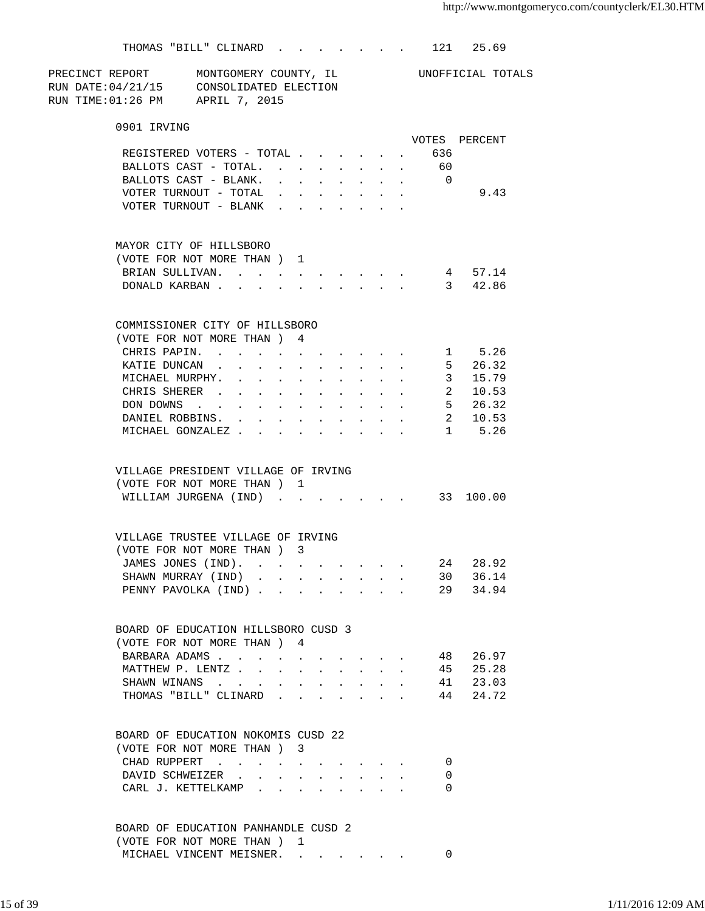|                                                          | THOMAS "BILL" CLINARD.                                             |                                                 |                      |                                      |                                            | $\mathbf{r} = \mathbf{r} + \mathbf{r} + \mathbf{r} + \mathbf{r} + \mathbf{r} + \mathbf{r} + \mathbf{r} + \mathbf{r} + \mathbf{r} + \mathbf{r} + \mathbf{r} + \mathbf{r} + \mathbf{r} + \mathbf{r} + \mathbf{r} + \mathbf{r} + \mathbf{r} + \mathbf{r} + \mathbf{r} + \mathbf{r} + \mathbf{r} + \mathbf{r} + \mathbf{r} + \mathbf{r} + \mathbf{r} + \mathbf{r} + \mathbf{r} + \mathbf{r} + \mathbf{r} + \mathbf{r} + \mathbf$ |        |                                                 |                      | 121                     | 25.69                   |  |
|----------------------------------------------------------|--------------------------------------------------------------------|-------------------------------------------------|----------------------|--------------------------------------|--------------------------------------------|------------------------------------------------------------------------------------------------------------------------------------------------------------------------------------------------------------------------------------------------------------------------------------------------------------------------------------------------------------------------------------------------------------------------------|--------|-------------------------------------------------|----------------------|-------------------------|-------------------------|--|
| PRECINCT REPORT MONTGOMERY COUNTY, IL CONOFFICIAL TOTALS |                                                                    |                                                 |                      |                                      |                                            |                                                                                                                                                                                                                                                                                                                                                                                                                              |        |                                                 |                      |                         |                         |  |
| RUN DATE: 04/21/15 CONSOLIDATED ELECTION                 |                                                                    |                                                 |                      |                                      |                                            |                                                                                                                                                                                                                                                                                                                                                                                                                              |        |                                                 |                      |                         |                         |  |
| RUN TIME:01:26 PM APRIL 7, 2015                          |                                                                    |                                                 |                      |                                      |                                            |                                                                                                                                                                                                                                                                                                                                                                                                                              |        |                                                 |                      |                         |                         |  |
|                                                          | 0901 IRVING                                                        |                                                 |                      |                                      |                                            |                                                                                                                                                                                                                                                                                                                                                                                                                              |        |                                                 |                      |                         |                         |  |
|                                                          |                                                                    |                                                 |                      |                                      |                                            |                                                                                                                                                                                                                                                                                                                                                                                                                              |        |                                                 |                      |                         | VOTES PERCENT           |  |
|                                                          | REGISTERED VOTERS - TOTAL 636                                      |                                                 |                      |                                      |                                            |                                                                                                                                                                                                                                                                                                                                                                                                                              |        |                                                 |                      |                         |                         |  |
|                                                          | BALLOTS CAST - TOTAL.                                              |                                                 |                      |                                      |                                            |                                                                                                                                                                                                                                                                                                                                                                                                                              |        |                                                 |                      | 60                      |                         |  |
|                                                          | BALLOTS CAST - BLANK.                                              |                                                 |                      |                                      | $\mathbf{r}$ , $\mathbf{r}$ , $\mathbf{r}$ |                                                                                                                                                                                                                                                                                                                                                                                                                              |        |                                                 |                      | $\overline{0}$          |                         |  |
|                                                          | VOTER TURNOUT - TOTAL                                              |                                                 |                      | $\mathbf{L} = \mathbf{L} \mathbf{L}$ | $\sim$                                     | $\ddot{\phantom{a}}$                                                                                                                                                                                                                                                                                                                                                                                                         |        |                                                 |                      |                         | 9.43                    |  |
|                                                          | VOTER TURNOUT - BLANK                                              |                                                 |                      |                                      |                                            |                                                                                                                                                                                                                                                                                                                                                                                                                              |        |                                                 |                      |                         |                         |  |
|                                                          | MAYOR CITY OF HILLSBORO                                            |                                                 |                      |                                      |                                            |                                                                                                                                                                                                                                                                                                                                                                                                                              |        |                                                 |                      |                         |                         |  |
|                                                          | (VOTE FOR NOT MORE THAN) 1                                         |                                                 |                      |                                      |                                            |                                                                                                                                                                                                                                                                                                                                                                                                                              |        |                                                 |                      |                         |                         |  |
|                                                          | BRIAN SULLIVAN. 4 57.14                                            |                                                 |                      |                                      |                                            |                                                                                                                                                                                                                                                                                                                                                                                                                              |        |                                                 |                      |                         |                         |  |
|                                                          | DONALD KARBAN                                                      |                                                 |                      |                                      |                                            |                                                                                                                                                                                                                                                                                                                                                                                                                              |        |                                                 |                      |                         | 3 42.86                 |  |
|                                                          | COMMISSIONER CITY OF HILLSBORO                                     |                                                 |                      |                                      |                                            |                                                                                                                                                                                                                                                                                                                                                                                                                              |        |                                                 |                      |                         |                         |  |
|                                                          | (VOTE FOR NOT MORE THAN ) 4                                        |                                                 |                      |                                      |                                            |                                                                                                                                                                                                                                                                                                                                                                                                                              |        |                                                 |                      |                         |                         |  |
|                                                          | CHRIS PAPIN.                                                       |                                                 |                      |                                      |                                            | and a series of the series of the series of                                                                                                                                                                                                                                                                                                                                                                                  |        |                                                 | $\sim$               |                         | 1 5.26                  |  |
|                                                          | KATIE DUNCAN.                                                      | $\ddot{\phantom{a}}$<br>$\bullet$               | $\ddot{\phantom{a}}$ |                                      | $\sim$                                     | $\sim 10^{-11}$                                                                                                                                                                                                                                                                                                                                                                                                              | $\sim$ |                                                 | $\sim$               |                         | 5 <sup>5</sup><br>26.32 |  |
|                                                          | MICHAEL MURPHY.                                                    | the contract of the contract of the contract of |                      |                                      | $\mathcal{L}^{\text{max}}$                 | $\sim$                                                                                                                                                                                                                                                                                                                                                                                                                       | $\sim$ | $\mathbf{L}$                                    |                      | $\overline{\mathbf{3}}$ | 15.79                   |  |
|                                                          | CHRIS SHERER                                                       |                                                 |                      |                                      |                                            |                                                                                                                                                                                                                                                                                                                                                                                                                              |        |                                                 |                      |                         | 2 10.53                 |  |
|                                                          | DON DOWNS                                                          |                                                 |                      |                                      |                                            |                                                                                                                                                                                                                                                                                                                                                                                                                              |        |                                                 |                      |                         | 5 26.32                 |  |
|                                                          | DANIEL ROBBINS.                                                    |                                                 |                      |                                      |                                            |                                                                                                                                                                                                                                                                                                                                                                                                                              |        |                                                 |                      |                         | 2 10.53                 |  |
|                                                          | MICHAEL GONZALEZ 1 5.26                                            |                                                 |                      |                                      |                                            |                                                                                                                                                                                                                                                                                                                                                                                                                              |        |                                                 |                      |                         |                         |  |
|                                                          | VILLAGE PRESIDENT VILLAGE OF IRVING                                |                                                 |                      |                                      |                                            |                                                                                                                                                                                                                                                                                                                                                                                                                              |        |                                                 |                      |                         |                         |  |
|                                                          | (VOTE FOR NOT MORE THAN) 1                                         |                                                 |                      |                                      |                                            |                                                                                                                                                                                                                                                                                                                                                                                                                              |        |                                                 |                      |                         |                         |  |
|                                                          | WILLIAM JURGENA (IND)                                              |                                                 |                      |                                      |                                            |                                                                                                                                                                                                                                                                                                                                                                                                                              |        |                                                 |                      |                         | 33 100.00               |  |
|                                                          | VILLAGE TRUSTEE VILLAGE OF IRVING                                  |                                                 |                      |                                      |                                            |                                                                                                                                                                                                                                                                                                                                                                                                                              |        |                                                 |                      |                         |                         |  |
|                                                          | (VOTE FOR NOT MORE THAN ) 3                                        |                                                 |                      |                                      |                                            |                                                                                                                                                                                                                                                                                                                                                                                                                              |        |                                                 |                      |                         |                         |  |
|                                                          | JAMES JONES (IND).                                                 |                                                 |                      |                                      |                                            |                                                                                                                                                                                                                                                                                                                                                                                                                              |        |                                                 |                      | 24                      | 28.92                   |  |
|                                                          | SHAWN MURRAY (IND)                                                 |                                                 |                      |                                      |                                            |                                                                                                                                                                                                                                                                                                                                                                                                                              |        | $\cdot$ $\cdot$ $\cdot$ $\cdot$ $\cdot$ $\cdot$ |                      | 30                      | 36.14                   |  |
|                                                          | PENNY PAVOLKA (IND)                                                |                                                 |                      |                                      |                                            |                                                                                                                                                                                                                                                                                                                                                                                                                              |        |                                                 |                      | 29                      | 34.94                   |  |
|                                                          |                                                                    |                                                 |                      |                                      |                                            |                                                                                                                                                                                                                                                                                                                                                                                                                              |        |                                                 |                      |                         |                         |  |
|                                                          | BOARD OF EDUCATION HILLSBORO CUSD 3                                |                                                 |                      |                                      |                                            |                                                                                                                                                                                                                                                                                                                                                                                                                              |        |                                                 |                      |                         |                         |  |
|                                                          | (VOTE FOR NOT MORE THAN ) 4                                        |                                                 |                      |                                      |                                            |                                                                                                                                                                                                                                                                                                                                                                                                                              |        |                                                 |                      |                         |                         |  |
|                                                          | BARBARA ADAMS                                                      | $\Delta \sim 10^{-11}$                          |                      |                                      |                                            |                                                                                                                                                                                                                                                                                                                                                                                                                              |        |                                                 |                      | 48                      | 26.97                   |  |
|                                                          | MATTHEW P. LENTZ                                                   |                                                 | $\ddot{\phantom{a}}$ | $\ddot{\phantom{0}}$                 | $\ddot{\phantom{0}}$                       | $\ddot{\phantom{0}}$                                                                                                                                                                                                                                                                                                                                                                                                         | $\sim$ | $\sim$                                          | $\ddot{\phantom{0}}$ | 45                      | 25.28                   |  |
|                                                          | SHAWN WINANS                                                       |                                                 |                      |                                      |                                            | $\ddot{\phantom{0}}$                                                                                                                                                                                                                                                                                                                                                                                                         | $\sim$ |                                                 |                      | 41                      | 23.03                   |  |
|                                                          | THOMAS "BILL" CLINARD                                              |                                                 | $\ddot{\phantom{a}}$ | $\sim$                               |                                            | $\ddot{\phantom{a}}$                                                                                                                                                                                                                                                                                                                                                                                                         | $\sim$ | $\sim$                                          |                      | 44                      | 24.72                   |  |
|                                                          | BOARD OF EDUCATION NOKOMIS CUSD 22                                 |                                                 |                      |                                      |                                            |                                                                                                                                                                                                                                                                                                                                                                                                                              |        |                                                 |                      |                         |                         |  |
|                                                          | (VOTE FOR NOT MORE THAN ) 3                                        |                                                 |                      |                                      |                                            |                                                                                                                                                                                                                                                                                                                                                                                                                              |        |                                                 |                      |                         |                         |  |
|                                                          | CHAD RUPPERT                                                       |                                                 |                      |                                      |                                            |                                                                                                                                                                                                                                                                                                                                                                                                                              |        |                                                 |                      | 0                       |                         |  |
|                                                          | DAVID SCHWEIZER .                                                  | $\sim$                                          |                      | <b>All Cards</b>                     |                                            | $\bullet$ .<br><br><br><br><br><br><br><br><br><br><br><br>                                                                                                                                                                                                                                                                                                                                                                  |        |                                                 |                      | 0                       |                         |  |
|                                                          | CARL J. KETTELKAMP.                                                |                                                 | $\ddot{\phantom{a}}$ | $\sim$ $\sim$                        |                                            | $\bullet$                                                                                                                                                                                                                                                                                                                                                                                                                    |        | and the state of the state of the               |                      | $\Omega$                |                         |  |
|                                                          |                                                                    |                                                 |                      |                                      |                                            |                                                                                                                                                                                                                                                                                                                                                                                                                              |        |                                                 |                      |                         |                         |  |
|                                                          | BOARD OF EDUCATION PANHANDLE CUSD 2<br>(VOTE FOR NOT MORE THAN ) 1 |                                                 |                      |                                      |                                            |                                                                                                                                                                                                                                                                                                                                                                                                                              |        |                                                 |                      |                         |                         |  |

MICHAEL VINCENT MEISNER. . . . . . . 0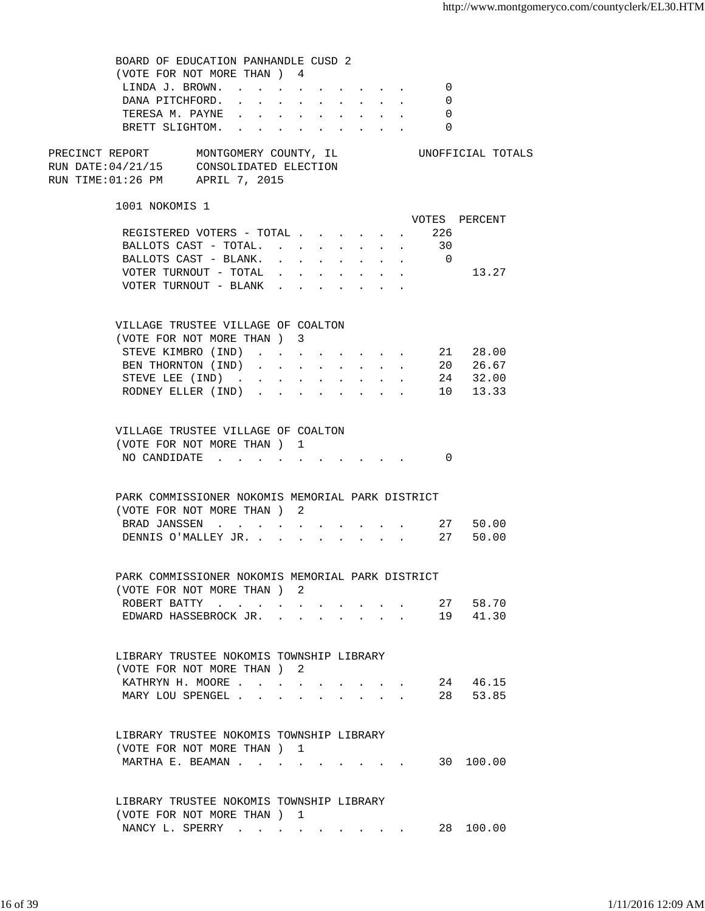| BOARD OF EDUCATION PANHANDLE CUSD 2                                                                                    |  |            |  |                                                                          |          |                      |  |
|------------------------------------------------------------------------------------------------------------------------|--|------------|--|--------------------------------------------------------------------------|----------|----------------------|--|
| (VOTE FOR NOT MORE THAN) 4                                                                                             |  |            |  |                                                                          |          |                      |  |
| LINDA J. BROWN.                                                                                                        |  |            |  |                                                                          | 0        |                      |  |
| DANA PITCHFORD.                                                                                                        |  |            |  |                                                                          | 0        |                      |  |
| TERESA M. PAYNE 0                                                                                                      |  |            |  |                                                                          |          |                      |  |
| BRETT SLIGHTOM.                                                                                                        |  |            |  |                                                                          | $\Omega$ |                      |  |
|                                                                                                                        |  |            |  |                                                                          |          |                      |  |
| PRECINCT REPORT MONTGOMERY COUNTY, IL<br>RUN DATE: $04/21/15$ CONSOLIDATED ELECTION<br>RUN TIME:01:26 PM APRIL 7, 2015 |  |            |  |                                                                          |          | UNOFFICIAL TOTALS    |  |
| 1001 NOKOMIS 1                                                                                                         |  |            |  |                                                                          |          |                      |  |
|                                                                                                                        |  |            |  |                                                                          |          | VOTES PERCENT        |  |
| REGISTERED VOTERS - TOTAL 226                                                                                          |  |            |  |                                                                          |          |                      |  |
| BALLOTS CAST - TOTAL.                                                                                                  |  |            |  |                                                                          | 30       |                      |  |
| BALLOTS CAST - BLANK. 0                                                                                                |  |            |  |                                                                          |          |                      |  |
| VOTER TURNOUT - TOTAL $\ldots$                                                                                         |  |            |  |                                                                          |          | 13.27                |  |
| $\verb VOTER TURNOUT - BLANK$                                                                                          |  |            |  |                                                                          |          |                      |  |
|                                                                                                                        |  |            |  |                                                                          |          |                      |  |
| VILLAGE TRUSTEE VILLAGE OF COALTON                                                                                     |  |            |  |                                                                          |          |                      |  |
| (VOTE FOR NOT MORE THAN ) 3                                                                                            |  |            |  |                                                                          |          |                      |  |
| STEVE KIMBRO (IND)                                                                                                     |  |            |  |                                                                          |          | 21 28.00             |  |
| BEN THORNTON (IND).                                                                                                    |  | $\sim$ $-$ |  | $\mathbf{r}$ , $\mathbf{r}$ , $\mathbf{r}$ , $\mathbf{r}$ , $\mathbf{r}$ |          | 20 26.67             |  |
| STEVE LEE (IND)                                                                                                        |  |            |  |                                                                          |          | 24 32.00             |  |
| RODNEY ELLER (IND)                                                                                                     |  |            |  |                                                                          |          | 10 13.33             |  |
|                                                                                                                        |  |            |  |                                                                          |          |                      |  |
|                                                                                                                        |  |            |  |                                                                          |          |                      |  |
| VILLAGE TRUSTEE VILLAGE OF COALTON                                                                                     |  |            |  |                                                                          |          |                      |  |
| (VOTE FOR NOT MORE THAN) 1                                                                                             |  |            |  |                                                                          |          |                      |  |
| NO CANDIDATE $\cdot \cdot \cdot \cdot \cdot \cdot \cdot \cdot \cdot \cdot$                                             |  |            |  |                                                                          | $\Omega$ |                      |  |
| PARK COMMISSIONER NOKOMIS MEMORIAL PARK DISTRICT<br>(VOTE FOR NOT MORE THAN) 2<br>BRAD JANSSEN<br>DENNIS O'MALLEY JR.  |  |            |  |                                                                          |          | 27 50.00<br>27 50.00 |  |
|                                                                                                                        |  |            |  |                                                                          |          |                      |  |
| PARK COMMISSIONER NOKOMIS MEMORIAL PARK DISTRICT<br>(VOTE FOR NOT MORE THAN ) 2                                        |  |            |  |                                                                          |          |                      |  |
|                                                                                                                        |  |            |  |                                                                          |          | 27 58.70             |  |
| ROBERT BATTY<br>EDWARD HASSEBROCK JR.                                                                                  |  |            |  |                                                                          |          | 19 41.30             |  |
|                                                                                                                        |  |            |  |                                                                          |          |                      |  |
| LIBRARY TRUSTEE NOKOMIS TOWNSHIP LIBRARY<br>(VOTE FOR NOT MORE THAN) 2                                                 |  |            |  |                                                                          |          |                      |  |
| KATHRYN H. MOORE                                                                                                       |  |            |  |                                                                          |          | 24 46.15             |  |
| MARY LOU SPENGEL                                                                                                       |  |            |  |                                                                          |          | 28 53.85             |  |
|                                                                                                                        |  |            |  |                                                                          |          |                      |  |
| LIBRARY TRUSTEE NOKOMIS TOWNSHIP LIBRARY                                                                               |  |            |  |                                                                          |          |                      |  |
| (VOTE FOR NOT MORE THAN) 1                                                                                             |  |            |  |                                                                          |          |                      |  |
| MARTHA E. BEAMAN 30 100.00                                                                                             |  |            |  |                                                                          |          |                      |  |
|                                                                                                                        |  |            |  |                                                                          |          |                      |  |
| LIBRARY TRUSTEE NOKOMIS TOWNSHIP LIBRARY<br>(VOTE FOR NOT MORE THAN) 1                                                 |  |            |  |                                                                          |          |                      |  |
| NANCY L. SPERRY                                                                                                        |  |            |  |                                                                          |          | 28 100.00            |  |
|                                                                                                                        |  |            |  |                                                                          |          |                      |  |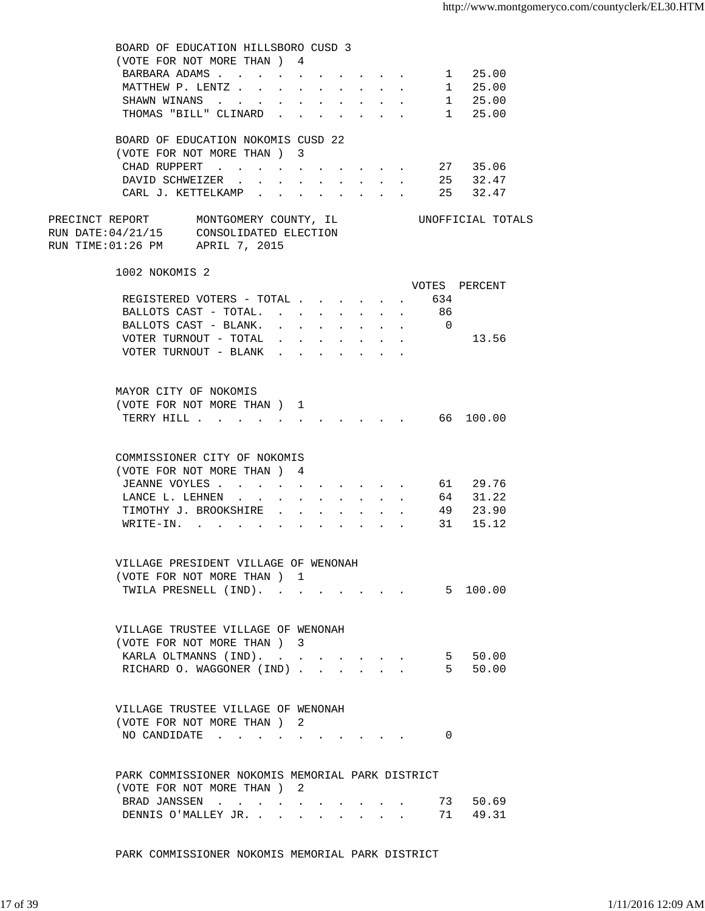| BOARD OF EDUCATION HILLSBORO CUSD 3<br>(VOTE FOR NOT MORE THAN ) 4                                                                                                        |  |  |  |                                                         |                     |                 |  |
|---------------------------------------------------------------------------------------------------------------------------------------------------------------------------|--|--|--|---------------------------------------------------------|---------------------|-----------------|--|
| BARBARA ADAMS 1 25.00                                                                                                                                                     |  |  |  |                                                         |                     |                 |  |
| MATTHEW P. LENTZ                                                                                                                                                          |  |  |  |                                                         |                     | 1 25.00         |  |
| SHAWN WINANS                                                                                                                                                              |  |  |  |                                                         |                     | $1 \quad 25.00$ |  |
| THOMAS "BILL" CLINARD 1 25.00                                                                                                                                             |  |  |  |                                                         |                     |                 |  |
| BOARD OF EDUCATION NOKOMIS CUSD 22<br>(VOTE FOR NOT MORE THAN ) 3                                                                                                         |  |  |  |                                                         |                     |                 |  |
| CHAD RUPPERT 27 35.06                                                                                                                                                     |  |  |  |                                                         |                     |                 |  |
| DAVID SCHWEIZER 25 32.47                                                                                                                                                  |  |  |  |                                                         |                     |                 |  |
| CARL J. KETTELKAMP 25 32.47                                                                                                                                               |  |  |  |                                                         |                     |                 |  |
| PRECINCT REPORT MONTGOMERY COUNTY, IL CONOFFICIAL TOTALS<br>RUN DATE:04/21/15 CONSOLIDATED ELECTION<br>RUN TIME:01:26 PM APRIL 7, 2015                                    |  |  |  |                                                         |                     |                 |  |
| 1002 NOKOMIS 2                                                                                                                                                            |  |  |  |                                                         |                     |                 |  |
|                                                                                                                                                                           |  |  |  |                                                         | VOTES PERCENT       |                 |  |
| REGISTERED VOTERS - TOTAL                                                                                                                                                 |  |  |  | $\mathbf{L}^{\text{max}}$                               | 634<br>$\mathbf{r}$ |                 |  |
| BALLOTS CAST - TOTAL                                                                                                                                                      |  |  |  | $\mathcal{L}^{\text{max}}$ , $\mathcal{L}^{\text{max}}$ | 86                  |                 |  |
| BALLOTS CAST - BLANK.                                                                                                                                                     |  |  |  |                                                         | $\overline{0}$      |                 |  |
| VOTER TURNOUT - TOTAL $\cdot \cdot \cdot \cdot \cdot \cdot$                                                                                                               |  |  |  |                                                         |                     | 13.56           |  |
| VOTER TURNOUT - BLANK                                                                                                                                                     |  |  |  |                                                         |                     |                 |  |
| MAYOR CITY OF NOKOMIS<br>(VOTE FOR NOT MORE THAN ) 1                                                                                                                      |  |  |  |                                                         |                     |                 |  |
| TERRY HILL 66 100.00                                                                                                                                                      |  |  |  |                                                         |                     |                 |  |
| COMMISSIONER CITY OF NOKOMIS<br>(VOTE FOR NOT MORE THAN ) 4<br>JEANNE VOYLES 61 29.76<br>LANCE L. LEHNEN 64 31.22<br>TIMOTHY J. BROOKSHIRE 49 23.90<br>WRITE-IN. 31 15.12 |  |  |  |                                                         |                     |                 |  |
| VILLAGE PRESIDENT VILLAGE OF WENONAH                                                                                                                                      |  |  |  |                                                         |                     |                 |  |
| (VOTE FOR NOT MORE THAN) 1                                                                                                                                                |  |  |  |                                                         |                     |                 |  |
| TWILA PRESNELL (IND).                                                                                                                                                     |  |  |  |                                                         |                     | 5 100.00        |  |
| VILLAGE TRUSTEE VILLAGE OF WENONAH<br>(VOTE FOR NOT MORE THAN) 3<br>KARLA OLTMANNS (IND).                                                                                 |  |  |  |                                                         |                     | 5 50.00         |  |
| RICHARD O. WAGGONER (IND)                                                                                                                                                 |  |  |  |                                                         |                     | 5 50.00         |  |
|                                                                                                                                                                           |  |  |  |                                                         |                     |                 |  |
| VILLAGE TRUSTEE VILLAGE OF WENONAH<br>(VOTE FOR NOT MORE THAN ) 2<br>NO CANDIDATE $\cdot \cdot \cdot \cdot \cdot \cdot \cdot \cdot \cdot \cdot$                           |  |  |  |                                                         | 0                   |                 |  |
|                                                                                                                                                                           |  |  |  |                                                         |                     |                 |  |
| PARK COMMISSIONER NOKOMIS MEMORIAL PARK DISTRICT<br>(VOTE FOR NOT MORE THAN) 2                                                                                            |  |  |  |                                                         |                     |                 |  |
| BRAD JANSSEN                                                                                                                                                              |  |  |  |                                                         |                     | 73 50.69        |  |
| DENNIS O'MALLEY JR.                                                                                                                                                       |  |  |  |                                                         |                     | 71 49.31        |  |

PARK COMMISSIONER NOKOMIS MEMORIAL PARK DISTRICT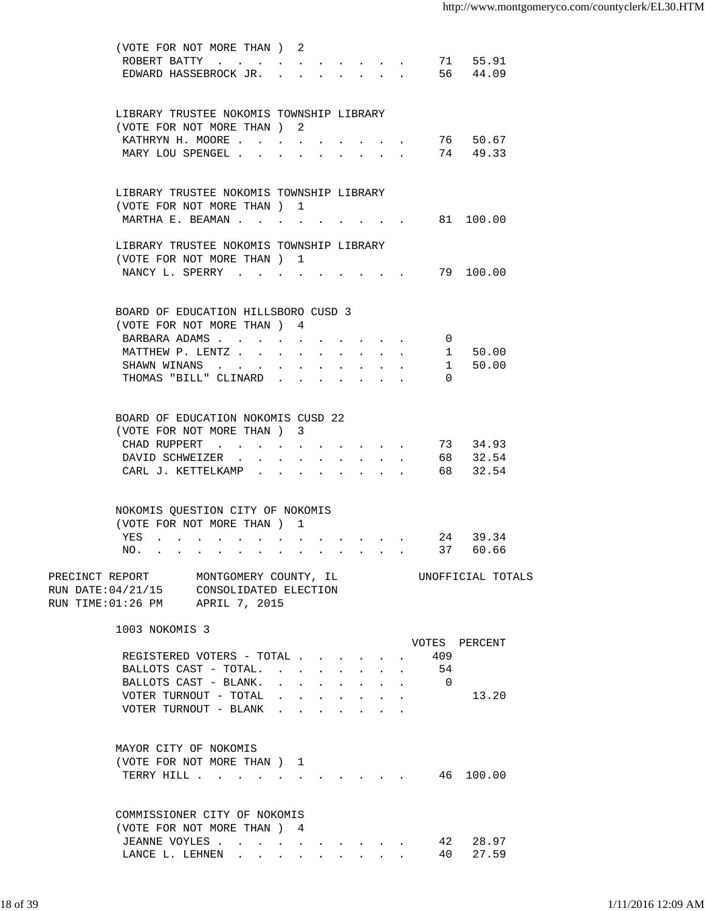| (VOTE FOR NOT MORE THAN) 2<br>ROBERT BATTY<br>EDWARD HASSEBROCK JR.                                                      |                  |                                                                                               |                                                                                                                                              |                                                           |                | 71 55.91<br>56 44.09  |  |
|--------------------------------------------------------------------------------------------------------------------------|------------------|-----------------------------------------------------------------------------------------------|----------------------------------------------------------------------------------------------------------------------------------------------|-----------------------------------------------------------|----------------|-----------------------|--|
|                                                                                                                          |                  |                                                                                               |                                                                                                                                              |                                                           |                |                       |  |
| LIBRARY TRUSTEE NOKOMIS TOWNSHIP LIBRARY                                                                                 |                  |                                                                                               |                                                                                                                                              |                                                           |                |                       |  |
| (VOTE FOR NOT MORE THAN) 2                                                                                               |                  |                                                                                               |                                                                                                                                              |                                                           |                |                       |  |
| KATHRYN H. MOORE<br>MARY LOU SPENGEL                                                                                     | $\sim$ 100 $\mu$ |                                                                                               |                                                                                                                                              |                                                           |                | 76 50.67<br>74 49.33  |  |
|                                                                                                                          |                  |                                                                                               |                                                                                                                                              | $\mathbf{L} = \mathbf{L} \mathbf{L}$                      |                |                       |  |
| LIBRARY TRUSTEE NOKOMIS TOWNSHIP LIBRARY                                                                                 |                  |                                                                                               |                                                                                                                                              |                                                           |                |                       |  |
| (VOTE FOR NOT MORE THAN) 1                                                                                               |                  |                                                                                               |                                                                                                                                              |                                                           |                |                       |  |
| MARTHA E. BEAMAN                                                                                                         |                  |                                                                                               |                                                                                                                                              |                                                           |                | 81 100.00             |  |
| LIBRARY TRUSTEE NOKOMIS TOWNSHIP LIBRARY                                                                                 |                  |                                                                                               |                                                                                                                                              |                                                           |                |                       |  |
| (VOTE FOR NOT MORE THAN) 1                                                                                               |                  |                                                                                               |                                                                                                                                              |                                                           |                |                       |  |
| NANCY L. SPERRY                                                                                                          |                  |                                                                                               |                                                                                                                                              |                                                           |                | 79 100.00             |  |
| BOARD OF EDUCATION HILLSBORO CUSD 3                                                                                      |                  |                                                                                               |                                                                                                                                              |                                                           |                |                       |  |
| (VOTE FOR NOT MORE THAN) 4                                                                                               |                  |                                                                                               |                                                                                                                                              |                                                           |                |                       |  |
| BARBARA ADAMS                                                                                                            |                  |                                                                                               |                                                                                                                                              |                                                           | 0              |                       |  |
| MATTHEW P. LENTZ                                                                                                         |                  |                                                                                               |                                                                                                                                              |                                                           |                | 1 50.00               |  |
| SHAWN WINANS                                                                                                             |                  |                                                                                               |                                                                                                                                              |                                                           |                | 50.00<br>$\mathbf{1}$ |  |
| THOMAS "BILL" CLINARD                                                                                                    |                  |                                                                                               |                                                                                                                                              |                                                           | $\Omega$       |                       |  |
|                                                                                                                          |                  |                                                                                               |                                                                                                                                              |                                                           |                |                       |  |
| BOARD OF EDUCATION NOKOMIS CUSD 22<br>(VOTE FOR NOT MORE THAN) 3                                                         |                  |                                                                                               |                                                                                                                                              |                                                           |                |                       |  |
| CHAD RUPPERT                                                                                                             |                  |                                                                                               |                                                                                                                                              |                                                           |                | 73 34.93              |  |
| DAVID SCHWEIZER.                                                                                                         |                  |                                                                                               |                                                                                                                                              |                                                           |                | 68 32.54              |  |
| CARL J. KETTELKAMP .                                                                                                     |                  |                                                                                               | $\sim$                                                                                                                                       |                                                           |                | 68 32.54              |  |
|                                                                                                                          |                  |                                                                                               |                                                                                                                                              |                                                           |                |                       |  |
| NOKOMIS QUESTION CITY OF NOKOMIS                                                                                         |                  |                                                                                               |                                                                                                                                              |                                                           |                |                       |  |
| (VOTE FOR NOT MORE THAN) 1                                                                                               |                  |                                                                                               |                                                                                                                                              |                                                           |                |                       |  |
| YES<br>NO.                                                                                                               |                  |                                                                                               |                                                                                                                                              |                                                           | 37             | 24 39.34<br>60.66     |  |
|                                                                                                                          |                  |                                                                                               |                                                                                                                                              |                                                           |                |                       |  |
| PRECINCT REPORT<br>MONTGOMERY COUNTY, IL<br>RUN DATE: 04/21/15 CONSOLIDATED ELECTION<br>RUN TIME: 01:26 PM APRIL 7, 2015 |                  |                                                                                               |                                                                                                                                              |                                                           |                | UNOFFICIAL TOTALS     |  |
| 1003 NOKOMIS 3                                                                                                           |                  |                                                                                               |                                                                                                                                              |                                                           |                |                       |  |
|                                                                                                                          |                  |                                                                                               |                                                                                                                                              |                                                           |                | VOTES PERCENT         |  |
| REGISTERED VOTERS - TOTAL                                                                                                |                  |                                                                                               |                                                                                                                                              |                                                           | 409            |                       |  |
| BALLOTS CAST - TOTAL.                                                                                                    |                  |                                                                                               |                                                                                                                                              |                                                           | 54             |                       |  |
| BALLOTS CAST - BLANK.                                                                                                    |                  | $\mathbf{r} = \mathbf{r} \cdot \mathbf{r}$ , where $\mathbf{r} = \mathbf{r} \cdot \mathbf{r}$ |                                                                                                                                              | $\mathbf{r}$ , $\mathbf{r}$ , $\mathbf{r}$ , $\mathbf{r}$ | $\overline{0}$ |                       |  |
| VOTER TURNOUT - TOTAL                                                                                                    |                  |                                                                                               | $\mathbf{r} = \mathbf{r} \cdot \mathbf{r}$ , and $\mathbf{r} = \mathbf{r} \cdot \mathbf{r}$ , and $\mathbf{r} = \mathbf{r} \cdot \mathbf{r}$ |                                                           |                | 13.20                 |  |
| VOTER TURNOUT - BLANK                                                                                                    |                  |                                                                                               |                                                                                                                                              |                                                           |                |                       |  |
| MAYOR CITY OF NOKOMIS                                                                                                    |                  |                                                                                               |                                                                                                                                              |                                                           |                |                       |  |
| (VOTE FOR NOT MORE THAN) 1                                                                                               |                  |                                                                                               |                                                                                                                                              |                                                           |                |                       |  |
| TERRY HILL                                                                                                               |                  | $\mathbf{r} = \mathbf{r} + \mathbf{r}$                                                        |                                                                                                                                              |                                                           |                | 46 100.00             |  |
|                                                                                                                          |                  |                                                                                               |                                                                                                                                              |                                                           |                |                       |  |
| COMMISSIONER CITY OF NOKOMIS                                                                                             |                  |                                                                                               |                                                                                                                                              |                                                           |                |                       |  |
| (VOTE FOR NOT MORE THAN) 4                                                                                               |                  |                                                                                               |                                                                                                                                              |                                                           |                |                       |  |
| JEANNE VOYLES<br>LANCE L. LEHNEN                                                                                         |                  |                                                                                               |                                                                                                                                              |                                                           |                | 42 28.97<br>40 27.59  |  |
|                                                                                                                          |                  |                                                                                               |                                                                                                                                              |                                                           |                |                       |  |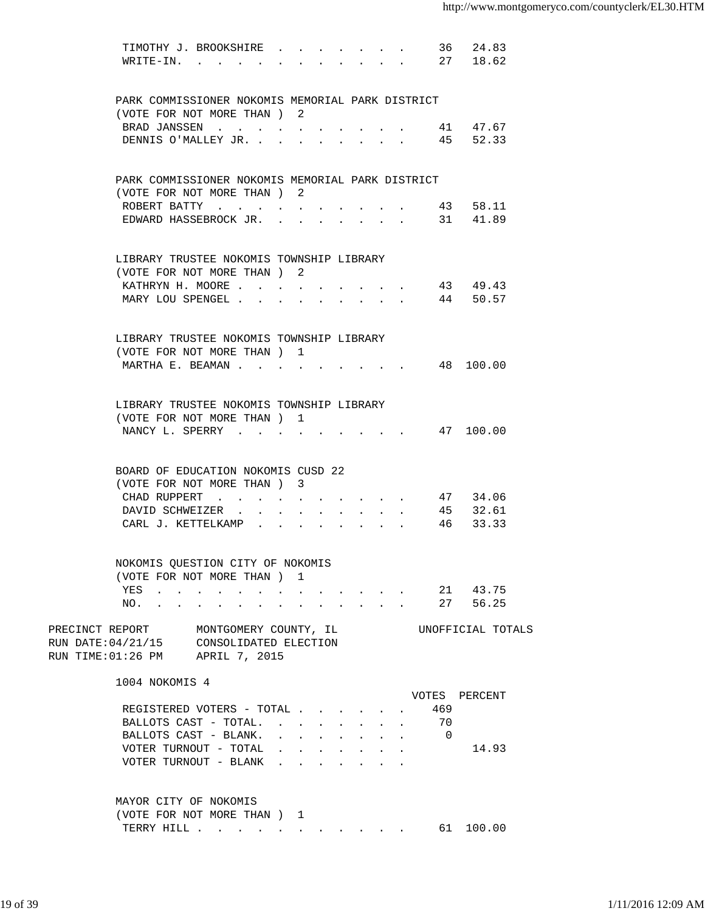| TIMOTHY J. BROOKSHIRE                                           |                                                                                                                 |                                                     |                                        |                                                                                                                                                                                                                                                                                                                                                                                                                              |                      |                | 36 24.83  |                   |
|-----------------------------------------------------------------|-----------------------------------------------------------------------------------------------------------------|-----------------------------------------------------|----------------------------------------|------------------------------------------------------------------------------------------------------------------------------------------------------------------------------------------------------------------------------------------------------------------------------------------------------------------------------------------------------------------------------------------------------------------------------|----------------------|----------------|-----------|-------------------|
| WRITE-IN.                                                       |                                                                                                                 |                                                     |                                        |                                                                                                                                                                                                                                                                                                                                                                                                                              |                      |                | 27 18.62  |                   |
|                                                                 |                                                                                                                 |                                                     |                                        |                                                                                                                                                                                                                                                                                                                                                                                                                              |                      |                |           |                   |
| PARK COMMISSIONER NOKOMIS MEMORIAL PARK DISTRICT                |                                                                                                                 |                                                     |                                        |                                                                                                                                                                                                                                                                                                                                                                                                                              |                      |                |           |                   |
| (VOTE FOR NOT MORE THAN) 2                                      |                                                                                                                 |                                                     |                                        |                                                                                                                                                                                                                                                                                                                                                                                                                              |                      |                |           |                   |
| BRAD JANSSEN                                                    |                                                                                                                 |                                                     |                                        |                                                                                                                                                                                                                                                                                                                                                                                                                              |                      |                | 41 47.67  |                   |
| DENNIS O'MALLEY JR.                                             |                                                                                                                 |                                                     |                                        |                                                                                                                                                                                                                                                                                                                                                                                                                              |                      |                | 45 52.33  |                   |
|                                                                 |                                                                                                                 |                                                     |                                        |                                                                                                                                                                                                                                                                                                                                                                                                                              |                      |                |           |                   |
| PARK COMMISSIONER NOKOMIS MEMORIAL PARK DISTRICT                |                                                                                                                 |                                                     |                                        |                                                                                                                                                                                                                                                                                                                                                                                                                              |                      |                |           |                   |
| (VOTE FOR NOT MORE THAN) 2                                      |                                                                                                                 |                                                     |                                        |                                                                                                                                                                                                                                                                                                                                                                                                                              |                      |                |           |                   |
| ROBERT BATTY                                                    |                                                                                                                 |                                                     |                                        |                                                                                                                                                                                                                                                                                                                                                                                                                              |                      |                | 43 58.11  |                   |
| EDWARD HASSEBROCK JR.                                           |                                                                                                                 |                                                     |                                        |                                                                                                                                                                                                                                                                                                                                                                                                                              |                      |                | 31 41.89  |                   |
|                                                                 |                                                                                                                 |                                                     |                                        |                                                                                                                                                                                                                                                                                                                                                                                                                              | $\ddot{\phantom{a}}$ |                |           |                   |
|                                                                 |                                                                                                                 |                                                     |                                        |                                                                                                                                                                                                                                                                                                                                                                                                                              |                      |                |           |                   |
| LIBRARY TRUSTEE NOKOMIS TOWNSHIP LIBRARY                        |                                                                                                                 |                                                     |                                        |                                                                                                                                                                                                                                                                                                                                                                                                                              |                      |                |           |                   |
| (VOTE FOR NOT MORE THAN) 2                                      |                                                                                                                 |                                                     |                                        |                                                                                                                                                                                                                                                                                                                                                                                                                              |                      |                |           |                   |
| KATHRYN H. MOORE                                                |                                                                                                                 |                                                     |                                        |                                                                                                                                                                                                                                                                                                                                                                                                                              |                      |                | 43 49.43  |                   |
| MARY LOU SPENGEL                                                |                                                                                                                 |                                                     |                                        |                                                                                                                                                                                                                                                                                                                                                                                                                              |                      |                | 44 50.57  |                   |
|                                                                 |                                                                                                                 |                                                     |                                        |                                                                                                                                                                                                                                                                                                                                                                                                                              |                      |                |           |                   |
| LIBRARY TRUSTEE NOKOMIS TOWNSHIP LIBRARY                        |                                                                                                                 |                                                     |                                        |                                                                                                                                                                                                                                                                                                                                                                                                                              |                      |                |           |                   |
| (VOTE FOR NOT MORE THAN) 1                                      |                                                                                                                 |                                                     |                                        |                                                                                                                                                                                                                                                                                                                                                                                                                              |                      |                |           |                   |
| MARTHA E. BEAMAN                                                |                                                                                                                 |                                                     |                                        |                                                                                                                                                                                                                                                                                                                                                                                                                              |                      |                | 48 100.00 |                   |
|                                                                 |                                                                                                                 |                                                     |                                        |                                                                                                                                                                                                                                                                                                                                                                                                                              |                      |                |           |                   |
| LIBRARY TRUSTEE NOKOMIS TOWNSHIP LIBRARY                        |                                                                                                                 |                                                     |                                        |                                                                                                                                                                                                                                                                                                                                                                                                                              |                      |                |           |                   |
| (VOTE FOR NOT MORE THAN ) 1                                     |                                                                                                                 |                                                     |                                        |                                                                                                                                                                                                                                                                                                                                                                                                                              |                      |                |           |                   |
| NANCY L. SPERRY                                                 |                                                                                                                 |                                                     |                                        |                                                                                                                                                                                                                                                                                                                                                                                                                              |                      |                | 47 100.00 |                   |
|                                                                 |                                                                                                                 |                                                     |                                        |                                                                                                                                                                                                                                                                                                                                                                                                                              |                      |                |           |                   |
| BOARD OF EDUCATION NOKOMIS CUSD 22                              |                                                                                                                 |                                                     |                                        |                                                                                                                                                                                                                                                                                                                                                                                                                              |                      |                |           |                   |
|                                                                 |                                                                                                                 |                                                     |                                        |                                                                                                                                                                                                                                                                                                                                                                                                                              |                      |                |           |                   |
| (VOTE FOR NOT MORE THAN) 3                                      |                                                                                                                 |                                                     |                                        |                                                                                                                                                                                                                                                                                                                                                                                                                              |                      |                |           |                   |
| CHAD RUPPERT                                                    |                                                                                                                 |                                                     |                                        |                                                                                                                                                                                                                                                                                                                                                                                                                              |                      |                | 47 34.06  |                   |
| DAVID SCHWEIZER                                                 |                                                                                                                 |                                                     | $\mathbf{r} = \mathbf{r} + \mathbf{r}$ |                                                                                                                                                                                                                                                                                                                                                                                                                              |                      |                | 45 32.61  |                   |
| CARL J. KETTELKAMP .                                            |                                                                                                                 |                                                     |                                        |                                                                                                                                                                                                                                                                                                                                                                                                                              |                      |                | 46 33.33  |                   |
|                                                                 |                                                                                                                 |                                                     |                                        |                                                                                                                                                                                                                                                                                                                                                                                                                              |                      |                |           |                   |
| NOKOMIS QUESTION CITY OF NOKOMIS<br>(VOTE FOR NOT MORE THAN ) 1 |                                                                                                                 |                                                     |                                        |                                                                                                                                                                                                                                                                                                                                                                                                                              |                      |                |           |                   |
|                                                                 |                                                                                                                 |                                                     |                                        |                                                                                                                                                                                                                                                                                                                                                                                                                              |                      |                |           |                   |
| YES                                                             | the contract of the contract of the contract of the contract of the contract of the contract of the contract of |                                                     |                                        |                                                                                                                                                                                                                                                                                                                                                                                                                              |                      | 21             | 43.75     |                   |
| NO.                                                             |                                                                                                                 |                                                     |                                        | $\sim$ $\sim$ $\sim$ $\sim$ $\sim$ $\sim$                                                                                                                                                                                                                                                                                                                                                                                    |                      | 27             | 56.25     |                   |
| PRECINCT REPORT                                                 | MONTGOMERY COUNTY, IL                                                                                           |                                                     |                                        |                                                                                                                                                                                                                                                                                                                                                                                                                              |                      |                |           | UNOFFICIAL TOTALS |
| RUN DATE: 04/21/15 CONSOLIDATED ELECTION                        |                                                                                                                 |                                                     |                                        |                                                                                                                                                                                                                                                                                                                                                                                                                              |                      |                |           |                   |
| RUN TIME: 01:26 PM APRIL 7, 2015                                |                                                                                                                 |                                                     |                                        |                                                                                                                                                                                                                                                                                                                                                                                                                              |                      |                |           |                   |
| 1004 NOKOMIS 4                                                  |                                                                                                                 |                                                     |                                        |                                                                                                                                                                                                                                                                                                                                                                                                                              |                      |                |           |                   |
|                                                                 |                                                                                                                 |                                                     |                                        |                                                                                                                                                                                                                                                                                                                                                                                                                              |                      | VOTES PERCENT  |           |                   |
| REGISTERED VOTERS - TOTAL                                       |                                                                                                                 |                                                     |                                        |                                                                                                                                                                                                                                                                                                                                                                                                                              |                      | 469            |           |                   |
| BALLOTS CAST - TOTAL.                                           |                                                                                                                 | $\cdot$ $\cdot$ $\cdot$                             | $\sim$                                 | $\mathbf{L}$                                                                                                                                                                                                                                                                                                                                                                                                                 |                      | 70             |           |                   |
| BALLOTS CAST - BLANK.                                           |                                                                                                                 | $\mathbf{r} = \mathbf{r} + \mathbf{r} + \mathbf{r}$ |                                        | $\mathbf{r}$ , $\mathbf{r}$                                                                                                                                                                                                                                                                                                                                                                                                  |                      | $\overline{0}$ |           |                   |
| VOTER TURNOUT - TOTAL                                           |                                                                                                                 |                                                     |                                        | $\mathbf{r} = \mathbf{r} + \mathbf{r} + \mathbf{r} + \mathbf{r} + \mathbf{r} + \mathbf{r} + \mathbf{r} + \mathbf{r} + \mathbf{r} + \mathbf{r} + \mathbf{r} + \mathbf{r} + \mathbf{r} + \mathbf{r} + \mathbf{r} + \mathbf{r} + \mathbf{r} + \mathbf{r} + \mathbf{r} + \mathbf{r} + \mathbf{r} + \mathbf{r} + \mathbf{r} + \mathbf{r} + \mathbf{r} + \mathbf{r} + \mathbf{r} + \mathbf{r} + \mathbf{r} + \mathbf{r} + \mathbf$ |                      |                | 14.93     |                   |
| VOTER TURNOUT - BLANK                                           |                                                                                                                 | $\mathbf{r} = \mathbf{r} + \mathbf{r} + \mathbf{r}$ |                                        |                                                                                                                                                                                                                                                                                                                                                                                                                              |                      |                |           |                   |
|                                                                 |                                                                                                                 |                                                     |                                        |                                                                                                                                                                                                                                                                                                                                                                                                                              |                      |                |           |                   |
|                                                                 |                                                                                                                 |                                                     |                                        |                                                                                                                                                                                                                                                                                                                                                                                                                              |                      |                |           |                   |
| MAYOR CITY OF NOKOMIS<br>(VOTE FOR NOT MORE THAN) 1             |                                                                                                                 |                                                     |                                        |                                                                                                                                                                                                                                                                                                                                                                                                                              |                      |                |           |                   |
| TERRY HILL                                                      |                                                                                                                 |                                                     |                                        |                                                                                                                                                                                                                                                                                                                                                                                                                              |                      |                | 61 100.00 |                   |
|                                                                 |                                                                                                                 |                                                     |                                        |                                                                                                                                                                                                                                                                                                                                                                                                                              |                      |                |           |                   |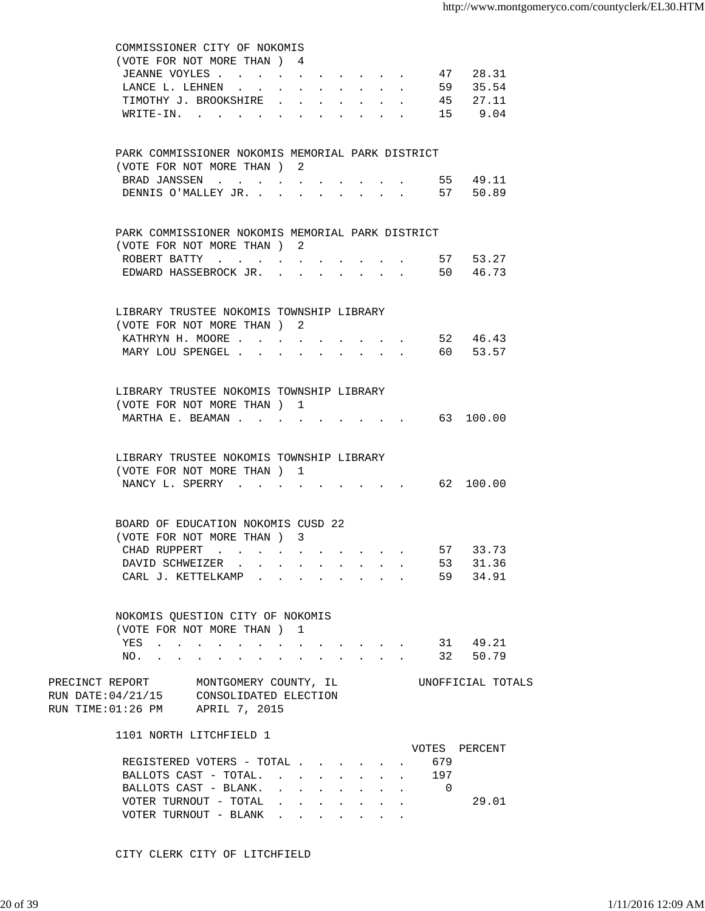| COMMISSIONER CITY OF NOKOMIS                                                                                           |                                                                          |                               |                      |                                                                                                                                                                                                                                    |                                                         |        |                   |           |       |
|------------------------------------------------------------------------------------------------------------------------|--------------------------------------------------------------------------|-------------------------------|----------------------|------------------------------------------------------------------------------------------------------------------------------------------------------------------------------------------------------------------------------------|---------------------------------------------------------|--------|-------------------|-----------|-------|
| (VOTE FOR NOT MORE THAN ) 4                                                                                            |                                                                          |                               |                      |                                                                                                                                                                                                                                    |                                                         |        |                   |           |       |
| JEANNE VOYLES                                                                                                          | $\ddot{\phantom{a}}$                                                     | $\mathbf{A}$ and $\mathbf{A}$ |                      | $\mathbf{r} = \mathbf{r} + \mathbf{r}$ , where $\mathbf{r} = \mathbf{r}$                                                                                                                                                           |                                                         | $\sim$ | 47                |           | 28.31 |
| LANCE L. LEHNEN<br>$\ddot{\phantom{0}}$                                                                                |                                                                          |                               |                      |                                                                                                                                                                                                                                    |                                                         |        |                   | 59 35.54  |       |
| TIMOTHY J. BROOKSHIRE                                                                                                  |                                                                          |                               |                      |                                                                                                                                                                                                                                    |                                                         |        |                   | 45 27.11  |       |
| WRITE-IN.<br><b>Contractor</b>                                                                                         |                                                                          | $\ddot{\phantom{a}}$          | $\ddot{\phantom{a}}$ | $\ddot{\phantom{0}}$                                                                                                                                                                                                               |                                                         |        |                   | 15 9.04   |       |
| PARK COMMISSIONER NOKOMIS MEMORIAL PARK DISTRICT                                                                       |                                                                          |                               |                      |                                                                                                                                                                                                                                    |                                                         |        |                   |           |       |
| (VOTE FOR NOT MORE THAN ) 2                                                                                            |                                                                          |                               |                      |                                                                                                                                                                                                                                    |                                                         |        |                   |           |       |
| BRAD JANSSEN                                                                                                           |                                                                          |                               |                      |                                                                                                                                                                                                                                    |                                                         |        |                   | 55 49.11  |       |
| DENNIS O'MALLEY JR.                                                                                                    |                                                                          |                               |                      |                                                                                                                                                                                                                                    |                                                         |        |                   | 57 50.89  |       |
|                                                                                                                        |                                                                          |                               |                      |                                                                                                                                                                                                                                    |                                                         |        |                   |           |       |
| PARK COMMISSIONER NOKOMIS MEMORIAL PARK DISTRICT                                                                       |                                                                          |                               |                      |                                                                                                                                                                                                                                    |                                                         |        |                   |           |       |
| (VOTE FOR NOT MORE THAN) 2                                                                                             |                                                                          |                               |                      |                                                                                                                                                                                                                                    |                                                         |        |                   |           |       |
|                                                                                                                        |                                                                          |                               |                      |                                                                                                                                                                                                                                    |                                                         |        | 57 53.27          |           |       |
| EDWARD HASSEBROCK JR.                                                                                                  |                                                                          |                               |                      |                                                                                                                                                                                                                                    | $\mathbf{r} = \mathbf{r}$ and $\mathbf{r} = \mathbf{r}$ |        |                   | 50 46.73  |       |
| LIBRARY TRUSTEE NOKOMIS TOWNSHIP LIBRARY                                                                               |                                                                          |                               |                      |                                                                                                                                                                                                                                    |                                                         |        |                   |           |       |
| (VOTE FOR NOT MORE THAN) 2                                                                                             |                                                                          |                               |                      |                                                                                                                                                                                                                                    |                                                         |        |                   |           |       |
| KATHRYN H. MOORE                                                                                                       |                                                                          |                               |                      |                                                                                                                                                                                                                                    |                                                         |        |                   | 52 46.43  |       |
| MARY LOU SPENGEL                                                                                                       |                                                                          |                               |                      |                                                                                                                                                                                                                                    |                                                         |        |                   | 60 53.57  |       |
|                                                                                                                        |                                                                          | $\sim$ 100 $\pm$              |                      |                                                                                                                                                                                                                                    |                                                         |        |                   |           |       |
| LIBRARY TRUSTEE NOKOMIS TOWNSHIP LIBRARY                                                                               |                                                                          |                               |                      |                                                                                                                                                                                                                                    |                                                         |        |                   |           |       |
| (VOTE FOR NOT MORE THAN) 1                                                                                             |                                                                          |                               |                      |                                                                                                                                                                                                                                    |                                                         |        |                   |           |       |
| MARTHA E. BEAMAN                                                                                                       |                                                                          |                               |                      |                                                                                                                                                                                                                                    |                                                         |        |                   | 63 100.00 |       |
|                                                                                                                        |                                                                          |                               |                      |                                                                                                                                                                                                                                    |                                                         |        |                   |           |       |
| LIBRARY TRUSTEE NOKOMIS TOWNSHIP LIBRARY                                                                               |                                                                          |                               |                      |                                                                                                                                                                                                                                    |                                                         |        |                   |           |       |
| (VOTE FOR NOT MORE THAN) 1                                                                                             |                                                                          |                               |                      |                                                                                                                                                                                                                                    |                                                         |        |                   |           |       |
|                                                                                                                        |                                                                          |                               |                      |                                                                                                                                                                                                                                    |                                                         |        |                   | 62 100.00 |       |
| NANCY L. SPERRY                                                                                                        |                                                                          |                               |                      |                                                                                                                                                                                                                                    |                                                         |        |                   |           |       |
| BOARD OF EDUCATION NOKOMIS CUSD 22                                                                                     |                                                                          |                               |                      |                                                                                                                                                                                                                                    |                                                         |        |                   |           |       |
| (VOTE FOR NOT MORE THAN ) 3                                                                                            |                                                                          |                               |                      |                                                                                                                                                                                                                                    |                                                         |        |                   |           |       |
| CHAD RUPPERT                                                                                                           |                                                                          |                               |                      | <b>Contract Contract</b>                                                                                                                                                                                                           |                                                         |        |                   | 57 33.73  |       |
| DAVID SCHWEIZER .                                                                                                      | $\mathbf{r} = \mathbf{r} + \mathbf{r}$ , where $\mathbf{r} = \mathbf{r}$ |                               |                      |                                                                                                                                                                                                                                    |                                                         |        | 53                |           | 31.36 |
| CARL J. KETTELKAMP.                                                                                                    |                                                                          |                               |                      |                                                                                                                                                                                                                                    | $\mathbf{L}$                                            |        | 59                | 34.91     |       |
|                                                                                                                        |                                                                          |                               |                      |                                                                                                                                                                                                                                    |                                                         |        |                   |           |       |
| NOKOMIS QUESTION CITY OF NOKOMIS                                                                                       |                                                                          |                               |                      |                                                                                                                                                                                                                                    |                                                         |        |                   |           |       |
| (VOTE FOR NOT MORE THAN)                                                                                               |                                                                          | ı                             |                      |                                                                                                                                                                                                                                    |                                                         |        |                   |           |       |
|                                                                                                                        |                                                                          |                               |                      |                                                                                                                                                                                                                                    |                                                         |        |                   | 31 49.21  |       |
| YES<br>the contract of the contract of the contract of the contract of the contract of the contract of the contract of |                                                                          |                               |                      |                                                                                                                                                                                                                                    |                                                         |        |                   |           |       |
| NO.<br>and a series of the series of the series of                                                                     |                                                                          |                               |                      | and a strong control of the strong structure.                                                                                                                                                                                      |                                                         |        |                   | 32 50.79  |       |
| PRECINCT REPORT<br>MONTGOMERY COUNTY, IL                                                                               |                                                                          |                               |                      |                                                                                                                                                                                                                                    |                                                         |        | UNOFFICIAL TOTALS |           |       |
| RUN DATE: 04/21/15<br>CONSOLIDATED ELECTION                                                                            |                                                                          |                               |                      |                                                                                                                                                                                                                                    |                                                         |        |                   |           |       |
| RUN TIME: 01:26 PM APRIL 7, 2015                                                                                       |                                                                          |                               |                      |                                                                                                                                                                                                                                    |                                                         |        |                   |           |       |
| 1101 NORTH LITCHFIELD 1                                                                                                |                                                                          |                               |                      |                                                                                                                                                                                                                                    |                                                         |        |                   |           |       |
|                                                                                                                        |                                                                          |                               |                      |                                                                                                                                                                                                                                    |                                                         |        | VOTES             | PERCENT   |       |
| REGISTERED VOTERS - TOTAL                                                                                              |                                                                          |                               |                      |                                                                                                                                                                                                                                    |                                                         |        | 679               |           |       |
| BALLOTS CAST - TOTAL.                                                                                                  |                                                                          |                               |                      |                                                                                                                                                                                                                                    |                                                         |        | 197               |           |       |
| BALLOTS CAST - BLANK.                                                                                                  |                                                                          |                               |                      |                                                                                                                                                                                                                                    |                                                         |        | $\cdots$ 0        |           |       |
| VOTER TURNOUT - TOTAL                                                                                                  |                                                                          |                               |                      |                                                                                                                                                                                                                                    |                                                         |        |                   |           | 29.01 |
| VOTER TURNOUT - BLANK.                                                                                                 |                                                                          |                               |                      | $\bullet$ . In the case of the contract of the contract of the contract of the contract of the contract of the contract of the contract of the contract of the contract of the contract of the contract of the contract of the con |                                                         |        |                   |           |       |

CITY CLERK CITY OF LITCHFIELD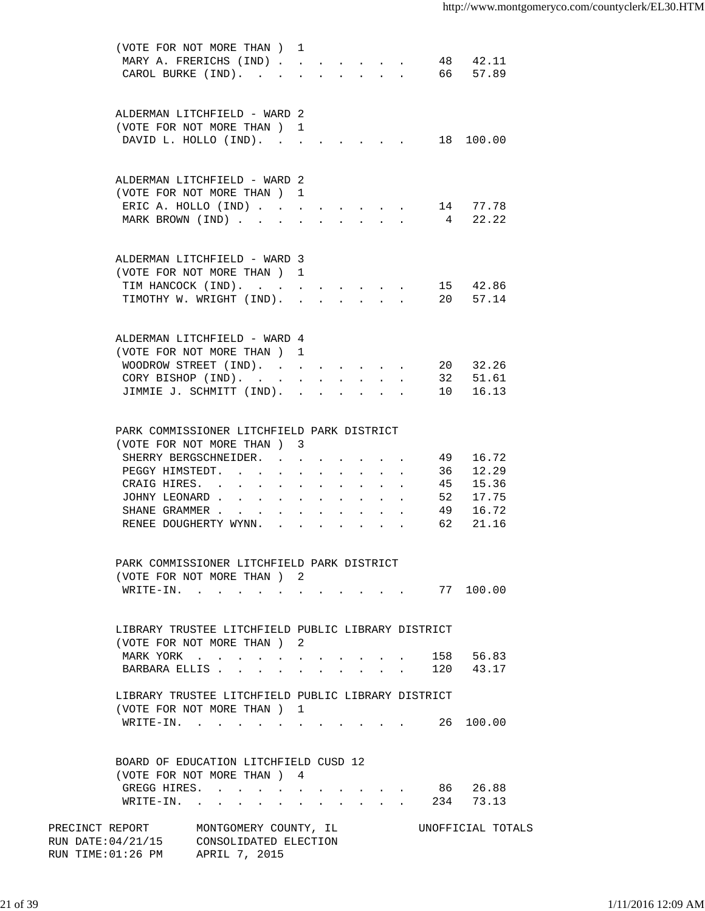| (VOTE FOR NOT MORE THAN) 1<br>MARY A. FRERICHS (IND) |                                                                                                                                                                                                                                |                            |                            |            |                                                                               |                                            |    | 48 42.11          |  |
|------------------------------------------------------|--------------------------------------------------------------------------------------------------------------------------------------------------------------------------------------------------------------------------------|----------------------------|----------------------------|------------|-------------------------------------------------------------------------------|--------------------------------------------|----|-------------------|--|
|                                                      |                                                                                                                                                                                                                                |                            |                            |            |                                                                               |                                            |    | 66 57.89          |  |
| CAROL BURKE (IND).                                   |                                                                                                                                                                                                                                |                            | $\mathbf{L}$               |            | $\mathbf{r}$ , $\mathbf{r}$ , $\mathbf{r}$ , $\mathbf{r}$                     |                                            |    |                   |  |
|                                                      |                                                                                                                                                                                                                                |                            |                            |            |                                                                               |                                            |    |                   |  |
|                                                      |                                                                                                                                                                                                                                |                            |                            |            |                                                                               |                                            |    |                   |  |
| ALDERMAN LITCHFIELD - WARD 2                         |                                                                                                                                                                                                                                |                            |                            |            |                                                                               |                                            |    |                   |  |
| (VOTE FOR NOT MORE THAN) 1                           |                                                                                                                                                                                                                                |                            |                            |            |                                                                               |                                            |    |                   |  |
| DAVID L. HOLLO (IND).                                |                                                                                                                                                                                                                                |                            |                            |            |                                                                               |                                            |    | 18 100.00         |  |
|                                                      |                                                                                                                                                                                                                                |                            |                            |            |                                                                               |                                            |    |                   |  |
|                                                      |                                                                                                                                                                                                                                |                            |                            |            |                                                                               |                                            |    |                   |  |
| ALDERMAN LITCHFIELD - WARD 2                         |                                                                                                                                                                                                                                |                            |                            |            |                                                                               |                                            |    |                   |  |
|                                                      |                                                                                                                                                                                                                                |                            |                            |            |                                                                               |                                            |    |                   |  |
| (VOTE FOR NOT MORE THAN) 1                           |                                                                                                                                                                                                                                |                            |                            |            |                                                                               |                                            |    |                   |  |
| ERIC A. HOLLO (IND)                                  |                                                                                                                                                                                                                                |                            |                            |            | $\mathbf{r} = \mathbf{r} + \mathbf{r} + \mathbf{r} + \mathbf{r} + \mathbf{r}$ |                                            |    | 14 77.78          |  |
| MARK BROWN (IND)                                     |                                                                                                                                                                                                                                | $\mathbf{L}$               | $\mathbf{L}$               |            | $\mathbf{r}$ , $\mathbf{r}$ , $\mathbf{r}$ , $\mathbf{r}$                     |                                            |    | 4 22.22           |  |
|                                                      |                                                                                                                                                                                                                                |                            |                            |            |                                                                               |                                            |    |                   |  |
|                                                      |                                                                                                                                                                                                                                |                            |                            |            |                                                                               |                                            |    |                   |  |
| ALDERMAN LITCHFIELD - WARD 3                         |                                                                                                                                                                                                                                |                            |                            |            |                                                                               |                                            |    |                   |  |
| (VOTE FOR NOT MORE THAN ) 1                          |                                                                                                                                                                                                                                |                            |                            |            |                                                                               |                                            |    |                   |  |
|                                                      |                                                                                                                                                                                                                                |                            |                            |            |                                                                               |                                            |    |                   |  |
| TIM HANCOCK (IND).                                   |                                                                                                                                                                                                                                |                            |                            |            |                                                                               |                                            |    | 15 42.86          |  |
| TIMOTHY W. WRIGHT (IND).                             |                                                                                                                                                                                                                                |                            |                            |            |                                                                               |                                            |    | 20 57.14          |  |
|                                                      |                                                                                                                                                                                                                                |                            |                            |            |                                                                               |                                            |    |                   |  |
|                                                      |                                                                                                                                                                                                                                |                            |                            |            |                                                                               |                                            |    |                   |  |
| ALDERMAN LITCHFIELD - WARD 4                         |                                                                                                                                                                                                                                |                            |                            |            |                                                                               |                                            |    |                   |  |
| (VOTE FOR NOT MORE THAN) 1                           |                                                                                                                                                                                                                                |                            |                            |            |                                                                               |                                            |    |                   |  |
| WOODROW STREET (IND).                                |                                                                                                                                                                                                                                |                            |                            |            |                                                                               |                                            |    | 20 32.26          |  |
| CORY BISHOP (IND).                                   |                                                                                                                                                                                                                                | $\mathcal{L}^{\text{max}}$ | $\mathcal{L}^{\text{max}}$ | $\sim$     |                                                                               | $\mathbf{r}$ , $\mathbf{r}$ , $\mathbf{r}$ |    | 32 51.61          |  |
| JIMMIE J. SCHMITT (IND). .                           |                                                                                                                                                                                                                                |                            |                            |            | $\mathbf{r} = \mathbf{r} + \mathbf{r} + \mathbf{r} + \mathbf{r} + \mathbf{r}$ |                                            |    | 10 16.13          |  |
|                                                      |                                                                                                                                                                                                                                |                            |                            |            |                                                                               |                                            |    |                   |  |
|                                                      |                                                                                                                                                                                                                                |                            |                            |            |                                                                               |                                            |    |                   |  |
|                                                      |                                                                                                                                                                                                                                |                            |                            |            |                                                                               |                                            |    |                   |  |
| PARK COMMISSIONER LITCHFIELD PARK DISTRICT           |                                                                                                                                                                                                                                |                            |                            |            |                                                                               |                                            |    |                   |  |
| (VOTE FOR NOT MORE THAN ) 3                          |                                                                                                                                                                                                                                |                            |                            |            |                                                                               |                                            |    |                   |  |
| SHERRY BERGSCHNEIDER.                                |                                                                                                                                                                                                                                |                            |                            |            |                                                                               |                                            | 49 | 16.72             |  |
| PEGGY HIMSTEDT.                                      |                                                                                                                                                                                                                                |                            |                            |            |                                                                               |                                            |    | 36 12.29          |  |
| CRAIG HIRES. .                                       | the contract of the contract of                                                                                                                                                                                                |                            |                            | $\sim$ $-$ |                                                                               |                                            |    | 45 15.36          |  |
| JOHNY LEONARD                                        |                                                                                                                                                                                                                                |                            |                            |            |                                                                               |                                            | 52 | 17.75             |  |
|                                                      |                                                                                                                                                                                                                                | $\sim$                     |                            |            |                                                                               |                                            |    |                   |  |
| SHANE GRAMMER                                        | $\sim$<br>$\ddot{\phantom{a}}$                                                                                                                                                                                                 |                            |                            |            |                                                                               |                                            | 49 | 16.72             |  |
| RENEE DOUGHERTY WYNN.                                |                                                                                                                                                                                                                                |                            |                            |            |                                                                               |                                            |    | 62 21.16          |  |
|                                                      |                                                                                                                                                                                                                                |                            |                            |            |                                                                               |                                            |    |                   |  |
|                                                      |                                                                                                                                                                                                                                |                            |                            |            |                                                                               |                                            |    |                   |  |
| PARK COMMISSIONER LITCHFIELD PARK DISTRICT           |                                                                                                                                                                                                                                |                            |                            |            |                                                                               |                                            |    |                   |  |
| (VOTE FOR NOT MORE THAN) 2                           |                                                                                                                                                                                                                                |                            |                            |            |                                                                               |                                            |    |                   |  |
| WRITE-IN.                                            |                                                                                                                                                                                                                                |                            |                            |            |                                                                               |                                            |    | 77 100.00         |  |
|                                                      |                                                                                                                                                                                                                                |                            |                            |            |                                                                               |                                            |    |                   |  |
|                                                      |                                                                                                                                                                                                                                |                            |                            |            |                                                                               |                                            |    |                   |  |
| LIBRARY TRUSTEE LITCHFIELD PUBLIC LIBRARY DISTRICT   |                                                                                                                                                                                                                                |                            |                            |            |                                                                               |                                            |    |                   |  |
| (VOTE FOR NOT MORE THAN ) 2                          |                                                                                                                                                                                                                                |                            |                            |            |                                                                               |                                            |    |                   |  |
|                                                      |                                                                                                                                                                                                                                |                            |                            |            |                                                                               |                                            |    |                   |  |
| MARK YORK                                            | and a series of the contract of the series of the series of the series of the series of the series of the series of the series of the series of the series of the series of the series of the series of the series of the seri |                            |                            |            |                                                                               |                                            |    | 158 56.83         |  |
| BARBARA ELLIS                                        | $\ddot{\phantom{a}}$                                                                                                                                                                                                           | $\ddot{\phantom{0}}$       |                            |            | $\mathbf{r}$ , and $\mathbf{r}$ , and $\mathbf{r}$                            |                                            |    | 120 43.17         |  |
|                                                      |                                                                                                                                                                                                                                |                            |                            |            |                                                                               |                                            |    |                   |  |
| LIBRARY TRUSTEE LITCHFIELD PUBLIC LIBRARY DISTRICT   |                                                                                                                                                                                                                                |                            |                            |            |                                                                               |                                            |    |                   |  |
| (VOTE FOR NOT MORE THAN) 1                           |                                                                                                                                                                                                                                |                            |                            |            |                                                                               |                                            |    |                   |  |
| WRITE-IN. 26                                         |                                                                                                                                                                                                                                |                            |                            |            |                                                                               |                                            |    | 100.00            |  |
|                                                      |                                                                                                                                                                                                                                |                            |                            |            |                                                                               |                                            |    |                   |  |
|                                                      |                                                                                                                                                                                                                                |                            |                            |            |                                                                               |                                            |    |                   |  |
| BOARD OF EDUCATION LITCHFIELD CUSD 12                |                                                                                                                                                                                                                                |                            |                            |            |                                                                               |                                            |    |                   |  |
| (VOTE FOR NOT MORE THAN) 4                           |                                                                                                                                                                                                                                |                            |                            |            |                                                                               |                                            |    |                   |  |
|                                                      |                                                                                                                                                                                                                                |                            |                            |            |                                                                               |                                            |    |                   |  |
| GREGG HIRES.                                         |                                                                                                                                                                                                                                |                            |                            |            |                                                                               |                                            |    | 86 26.88          |  |
| WRITE-IN. 234 73.13                                  |                                                                                                                                                                                                                                |                            |                            |            |                                                                               |                                            |    |                   |  |
|                                                      |                                                                                                                                                                                                                                |                            |                            |            |                                                                               |                                            |    |                   |  |
| PRECINCT REPORT MONTGOMERY COUNTY, IL                |                                                                                                                                                                                                                                |                            |                            |            |                                                                               |                                            |    | UNOFFICIAL TOTALS |  |
| RUN DATE: 04/21/15 CONSOLIDATED ELECTION             |                                                                                                                                                                                                                                |                            |                            |            |                                                                               |                                            |    |                   |  |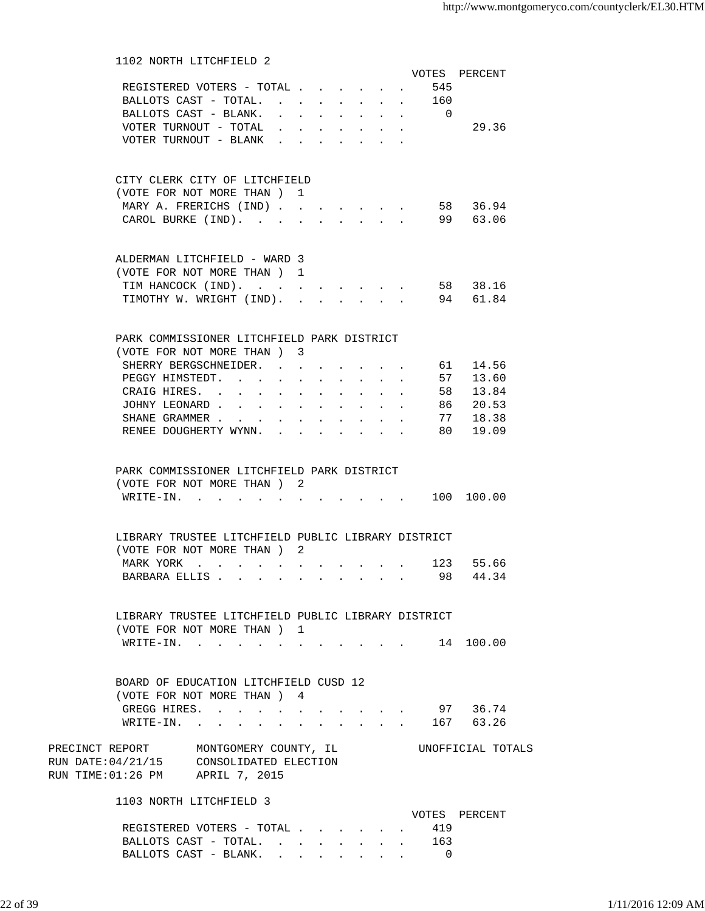| 1102 NORTH LITCHFIELD 2                                                                                              |        |              |  |  |           |                   |
|----------------------------------------------------------------------------------------------------------------------|--------|--------------|--|--|-----------|-------------------|
|                                                                                                                      |        |              |  |  |           | VOTES PERCENT     |
| REGISTERED VOTERS - TOTAL                                                                                            |        |              |  |  | 545       |                   |
| BALLOTS CAST - TOTAL. .                                                                                              |        |              |  |  | 160       |                   |
| BALLOTS CAST - BLANK.                                                                                                |        |              |  |  | $\bigcap$ |                   |
| VOTER TURNOUT - TOTAL                                                                                                |        |              |  |  |           | 29.36             |
| VOTER TURNOUT - BLANK                                                                                                |        |              |  |  |           |                   |
|                                                                                                                      |        |              |  |  |           |                   |
| CITY CLERK CITY OF LITCHFIELD                                                                                        |        |              |  |  |           |                   |
| (VOTE FOR NOT MORE THAN) 1                                                                                           |        |              |  |  |           |                   |
| MARY A. FRERICHS (IND)                                                                                               |        |              |  |  |           | 58 36.94          |
| CAROL BURKE (IND).                                                                                                   |        |              |  |  |           | 99 63.06          |
|                                                                                                                      |        |              |  |  |           |                   |
| ALDERMAN LITCHFIELD - WARD 3                                                                                         |        |              |  |  |           |                   |
| (VOTE FOR NOT MORE THAN) 1                                                                                           |        |              |  |  |           |                   |
| TIM HANCOCK (IND).                                                                                                   |        | $\sim$       |  |  |           | 58 38.16          |
| TIMOTHY W. WRIGHT (IND).                                                                                             |        | $\mathbf{r}$ |  |  |           | 94 61.84          |
|                                                                                                                      |        |              |  |  |           |                   |
| PARK COMMISSIONER LITCHFIELD PARK DISTRICT                                                                           |        |              |  |  |           |                   |
| (VOTE FOR NOT MORE THAN) 3                                                                                           |        |              |  |  |           |                   |
| SHERRY BERGSCHNEIDER. .                                                                                              |        |              |  |  |           | 61 14.56          |
| PEGGY HIMSTEDT.                                                                                                      |        |              |  |  | 57        | 13.60             |
|                                                                                                                      | $\sim$ |              |  |  |           |                   |
| CRAIG HIRES. .<br><b>Contract Contract</b>                                                                           |        |              |  |  | 58        | 13.84             |
| JOHNY LEONARD.<br><b>Service</b> State                                                                               |        |              |  |  | 86 -      | 20.53             |
| SHANE GRAMMER                                                                                                        |        |              |  |  | 77        | 18.38             |
| RENEE DOUGHERTY WYNN.                                                                                                |        |              |  |  | 80 —      | 19.09             |
| PARK COMMISSIONER LITCHFIELD PARK DISTRICT<br>(VOTE FOR NOT MORE THAN) 2<br>WRITE-IN.                                |        |              |  |  |           | 100 100.00        |
|                                                                                                                      |        |              |  |  |           |                   |
| LIBRARY TRUSTEE LITCHFIELD PUBLIC LIBRARY DISTRICT                                                                   |        |              |  |  |           |                   |
| (VOTE FOR NOT MORE THAN) 2                                                                                           |        |              |  |  |           |                   |
| MARK YORK                                                                                                            |        |              |  |  |           | 123 55.66         |
| BARBARA ELLIS 98 44.34                                                                                               |        |              |  |  |           |                   |
|                                                                                                                      |        |              |  |  |           |                   |
| LIBRARY TRUSTEE LITCHFIELD PUBLIC LIBRARY DISTRICT                                                                   |        |              |  |  |           |                   |
| (VOTE FOR NOT MORE THAN ) 1                                                                                          |        |              |  |  |           |                   |
| WRITE-IN. 14 100.00                                                                                                  |        |              |  |  |           |                   |
|                                                                                                                      |        |              |  |  |           |                   |
| BOARD OF EDUCATION LITCHFIELD CUSD 12                                                                                |        |              |  |  |           |                   |
| (VOTE FOR NOT MORE THAN ) 4                                                                                          |        |              |  |  |           |                   |
| GREGG HIRES.                                                                                                         |        |              |  |  |           | 97 36.74          |
| WRITE-IN. 167 63.26                                                                                                  |        |              |  |  |           |                   |
|                                                                                                                      |        |              |  |  |           |                   |
| PRECINCT REPORT MONTGOMERY COUNTY, IL<br>RUN DATE: 04/21/15 CONSOLIDATED ELECTION<br>RUN TIME:01:26 PM APRIL 7, 2015 |        |              |  |  |           | UNOFFICIAL TOTALS |
| 1103 NORTH LITCHFIELD 3                                                                                              |        |              |  |  |           |                   |
|                                                                                                                      |        |              |  |  |           | VOTES PERCENT     |
| REGISTERED VOTERS - TOTAL                                                                                            |        |              |  |  | 419       |                   |
| BALLOTS CAST - TOTAL. 163                                                                                            |        |              |  |  |           |                   |
| BALLOTS CAST - BLANK. 0                                                                                              |        |              |  |  |           |                   |
|                                                                                                                      |        |              |  |  |           |                   |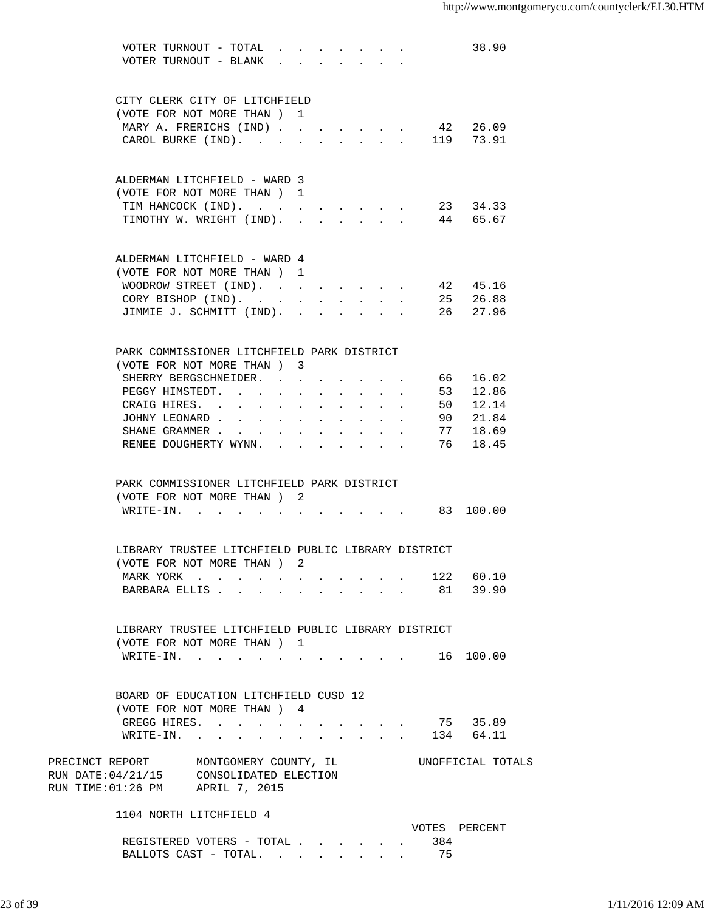|                                                                                                                                                 | VOTER TURNOUT - TOTAL<br>VOTER TURNOUT - BLANK $\cdot \cdot \cdot \cdot \cdot \cdot \cdot$ |               |                      |        |                      |                                                    |                                          |    | 38.90             |  |
|-------------------------------------------------------------------------------------------------------------------------------------------------|--------------------------------------------------------------------------------------------|---------------|----------------------|--------|----------------------|----------------------------------------------------|------------------------------------------|----|-------------------|--|
|                                                                                                                                                 | CITY CLERK CITY OF LITCHFIELD                                                              |               |                      |        |                      |                                                    |                                          |    |                   |  |
|                                                                                                                                                 | (VOTE FOR NOT MORE THAN) 1                                                                 |               |                      |        |                      |                                                    |                                          |    |                   |  |
|                                                                                                                                                 | MARY A. FRERICHS (IND)                                                                     |               |                      |        |                      |                                                    |                                          |    | 42 26.09          |  |
|                                                                                                                                                 |                                                                                            |               |                      |        |                      |                                                    |                                          |    |                   |  |
|                                                                                                                                                 | CAROL BURKE (IND).                                                                         |               | $\ddot{\phantom{0}}$ | $\sim$ |                      |                                                    | and a strategic control of the strategic |    | 119 73.91         |  |
|                                                                                                                                                 | ALDERMAN LITCHFIELD - WARD 3                                                               |               |                      |        |                      |                                                    |                                          |    |                   |  |
|                                                                                                                                                 | (VOTE FOR NOT MORE THAN) 1                                                                 |               |                      |        |                      |                                                    |                                          |    |                   |  |
|                                                                                                                                                 | TIM HANCOCK (IND). 23 34.33                                                                |               |                      |        |                      |                                                    |                                          |    |                   |  |
|                                                                                                                                                 | TIMOTHY W. WRIGHT (IND). 44 65.67                                                          |               |                      |        |                      |                                                    |                                          |    |                   |  |
|                                                                                                                                                 |                                                                                            |               |                      |        |                      |                                                    |                                          |    |                   |  |
|                                                                                                                                                 | ALDERMAN LITCHFIELD - WARD 4                                                               |               |                      |        |                      |                                                    |                                          |    |                   |  |
|                                                                                                                                                 | (VOTE FOR NOT MORE THAN) 1                                                                 |               |                      |        |                      |                                                    |                                          |    |                   |  |
|                                                                                                                                                 | WOODROW STREET (IND).                                                                      |               |                      |        |                      |                                                    |                                          |    | 42 45.16          |  |
|                                                                                                                                                 | CORY BISHOP (IND).                                                                         |               | $\sim 10^{-11}$      |        | $\ddot{\phantom{0}}$ | $\sim$ 100 $\pm$                                   |                                          |    | 25 26.88          |  |
|                                                                                                                                                 | JIMMIE J. SCHMITT (IND).                                                                   |               |                      |        |                      |                                                    |                                          |    | 26 27.96          |  |
|                                                                                                                                                 |                                                                                            |               |                      |        |                      |                                                    |                                          |    |                   |  |
|                                                                                                                                                 | PARK COMMISSIONER LITCHFIELD PARK DISTRICT                                                 |               |                      |        |                      |                                                    |                                          |    |                   |  |
|                                                                                                                                                 | (VOTE FOR NOT MORE THAN) 3                                                                 |               |                      |        |                      |                                                    |                                          |    |                   |  |
|                                                                                                                                                 | SHERRY BERGSCHNEIDER. 66                                                                   |               |                      |        |                      |                                                    |                                          |    | 16.02             |  |
|                                                                                                                                                 | PEGGY HIMSTEDT. 53                                                                         |               |                      |        |                      |                                                    |                                          |    | 12.86             |  |
|                                                                                                                                                 | CRAIG HIRES.                                                                               |               |                      |        |                      |                                                    |                                          | 50 | 12.14             |  |
|                                                                                                                                                 | JOHNY LEONARD                                                                              |               |                      |        |                      | $\mathbf{a}$ , and $\mathbf{a}$ , and $\mathbf{a}$ |                                          | 90 | 21.84             |  |
|                                                                                                                                                 | SHANE GRAMMER                                                                              |               |                      |        |                      |                                                    |                                          | 77 | 18.69             |  |
|                                                                                                                                                 | RENEE DOUGHERTY WYNN.                                                                      |               |                      |        |                      |                                                    |                                          | 76 | 18.45             |  |
|                                                                                                                                                 | PARK COMMISSIONER LITCHFIELD PARK DISTRICT<br>(VOTE FOR NOT MORE THAN) 2                   |               |                      |        |                      |                                                    |                                          |    |                   |  |
|                                                                                                                                                 | $W\text{RITE}-\text{IN}.$                                                                  | $\sim$ $\sim$ |                      |        |                      |                                                    |                                          |    | $\cdot$ 83 100.00 |  |
|                                                                                                                                                 | LIBRARY TRUSTEE LITCHFIELD PUBLIC LIBRARY DISTRICT                                         |               |                      |        |                      |                                                    |                                          |    |                   |  |
|                                                                                                                                                 | (VOTE FOR NOT MORE THAN) 2                                                                 |               |                      |        |                      |                                                    |                                          |    |                   |  |
|                                                                                                                                                 | MARK YORK 122 60.10                                                                        |               |                      |        |                      |                                                    |                                          |    |                   |  |
|                                                                                                                                                 | BARBARA ELLIS 81 39.90                                                                     |               |                      |        |                      |                                                    |                                          |    |                   |  |
|                                                                                                                                                 |                                                                                            |               |                      |        |                      |                                                    |                                          |    |                   |  |
|                                                                                                                                                 | LIBRARY TRUSTEE LITCHFIELD PUBLIC LIBRARY DISTRICT                                         |               |                      |        |                      |                                                    |                                          |    |                   |  |
|                                                                                                                                                 | (VOTE FOR NOT MORE THAN ) 1                                                                |               |                      |        |                      |                                                    |                                          |    |                   |  |
|                                                                                                                                                 | WRITE-IN. 16 100.00                                                                        |               |                      |        |                      |                                                    |                                          |    |                   |  |
|                                                                                                                                                 |                                                                                            |               |                      |        |                      |                                                    |                                          |    |                   |  |
|                                                                                                                                                 | BOARD OF EDUCATION LITCHFIELD CUSD 12                                                      |               |                      |        |                      |                                                    |                                          |    |                   |  |
|                                                                                                                                                 | (VOTE FOR NOT MORE THAN ) 4                                                                |               |                      |        |                      |                                                    |                                          |    |                   |  |
|                                                                                                                                                 | GREGG HIRES.                                                                               |               |                      |        |                      |                                                    |                                          |    | 75 35.89          |  |
|                                                                                                                                                 | WRITE-IN. 134 64.11                                                                        |               |                      |        |                      |                                                    |                                          |    |                   |  |
| PRECINCT REPORT MONTGOMERY COUNTY, IL<br>RUN DATE: 04/21/15<br>RUN DATE: $04/21/15$ CONSOLIDATED ELECTION<br>RUN TIME: $01:26$ PM APRIL 7, 2015 |                                                                                            |               |                      |        |                      |                                                    |                                          |    | UNOFFICIAL TOTALS |  |
|                                                                                                                                                 | 1104 NORTH LITCHFIELD 4                                                                    |               |                      |        |                      |                                                    |                                          |    |                   |  |
|                                                                                                                                                 |                                                                                            |               |                      |        |                      |                                                    |                                          |    | VOTES PERCENT     |  |
|                                                                                                                                                 | REGISTERED VOTERS - TOTAL 384                                                              |               |                      |        |                      |                                                    |                                          |    |                   |  |
|                                                                                                                                                 | BALLOTS CAST - TOTAL. 75                                                                   |               |                      |        |                      |                                                    |                                          |    |                   |  |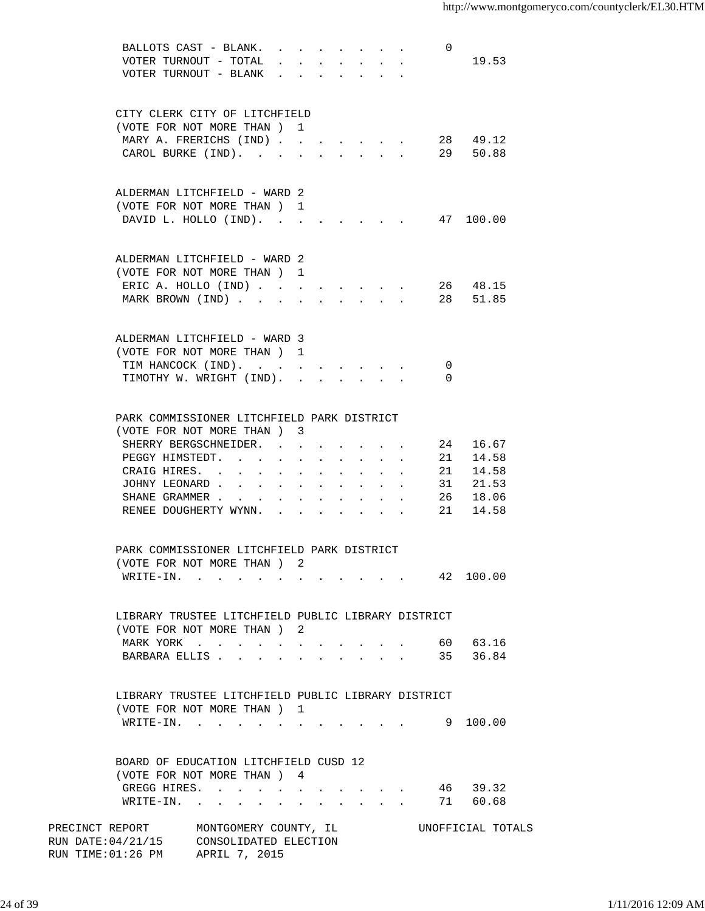|                                                    | BALLOTS CAST - BLANK.                                                                                           |           |                  |  |                                         |                  | 0        |                   |  |
|----------------------------------------------------|-----------------------------------------------------------------------------------------------------------------|-----------|------------------|--|-----------------------------------------|------------------|----------|-------------------|--|
|                                                    | VOTER TURNOUT - TOTAL                                                                                           |           |                  |  |                                         |                  |          | 19.53             |  |
|                                                    | VOTER TURNOUT - BLANK                                                                                           |           |                  |  |                                         |                  |          |                   |  |
|                                                    |                                                                                                                 |           |                  |  |                                         |                  |          |                   |  |
|                                                    |                                                                                                                 |           |                  |  |                                         |                  |          |                   |  |
|                                                    |                                                                                                                 |           |                  |  |                                         |                  |          |                   |  |
| CITY CLERK CITY OF LITCHFIELD                      |                                                                                                                 |           |                  |  |                                         |                  |          |                   |  |
|                                                    | (VOTE FOR NOT MORE THAN)                                                                                        |           | $\mathbf{1}$     |  |                                         |                  |          |                   |  |
|                                                    | MARY A. FRERICHS (IND)                                                                                          |           |                  |  |                                         |                  |          | 28 49.12          |  |
|                                                    | CAROL BURKE (IND).                                                                                              |           |                  |  | $\cdot$ $\cdot$ $\cdot$ $\cdot$ $\cdot$ |                  |          | 29 50.88          |  |
|                                                    |                                                                                                                 |           |                  |  |                                         |                  |          |                   |  |
|                                                    |                                                                                                                 |           |                  |  |                                         |                  |          |                   |  |
| ALDERMAN LITCHFIELD - WARD 2                       |                                                                                                                 |           |                  |  |                                         |                  |          |                   |  |
| (VOTE FOR NOT MORE THAN) 1                         |                                                                                                                 |           |                  |  |                                         |                  |          |                   |  |
|                                                    | DAVID L. HOLLO (IND).                                                                                           |           |                  |  |                                         |                  |          | 47 100.00         |  |
|                                                    |                                                                                                                 |           |                  |  |                                         |                  |          |                   |  |
|                                                    |                                                                                                                 |           |                  |  |                                         |                  |          |                   |  |
|                                                    |                                                                                                                 |           |                  |  |                                         |                  |          |                   |  |
| ALDERMAN LITCHFIELD - WARD 2                       |                                                                                                                 |           |                  |  |                                         |                  |          |                   |  |
| (VOTE FOR NOT MORE THAN ) 1                        |                                                                                                                 |           |                  |  |                                         |                  |          |                   |  |
|                                                    | ERIC A. HOLLO $(IND)$                                                                                           |           |                  |  |                                         |                  |          | 26 48.15          |  |
|                                                    | MARK BROWN (IND)                                                                                                |           |                  |  | $\ddot{\phantom{a}}$                    |                  |          | 28 51.85          |  |
|                                                    |                                                                                                                 |           |                  |  |                                         |                  |          |                   |  |
|                                                    |                                                                                                                 |           |                  |  |                                         |                  |          |                   |  |
| ALDERMAN LITCHFIELD - WARD 3                       |                                                                                                                 |           |                  |  |                                         |                  |          |                   |  |
|                                                    |                                                                                                                 |           |                  |  |                                         |                  |          |                   |  |
| (VOTE FOR NOT MORE THAN ) 1                        |                                                                                                                 |           |                  |  |                                         |                  |          |                   |  |
|                                                    | TIM HANCOCK (IND).                                                                                              |           | $\sim$ 100 $\pm$ |  |                                         |                  | 0        |                   |  |
|                                                    | TIMOTHY W. WRIGHT (IND).                                                                                        |           |                  |  |                                         | $\Delta \sim 10$ | $\Omega$ |                   |  |
|                                                    |                                                                                                                 |           |                  |  |                                         |                  |          |                   |  |
|                                                    |                                                                                                                 |           |                  |  |                                         |                  |          |                   |  |
| PARK COMMISSIONER LITCHFIELD PARK DISTRICT         |                                                                                                                 |           |                  |  |                                         |                  |          |                   |  |
|                                                    | (VOTE FOR NOT MORE THAN ) 3                                                                                     |           |                  |  |                                         |                  |          |                   |  |
|                                                    | SHERRY BERGSCHNEIDER.                                                                                           |           |                  |  |                                         |                  | 24       | 16.67             |  |
|                                                    |                                                                                                                 |           |                  |  |                                         |                  |          |                   |  |
| PEGGY HIMSTEDT.                                    | $\sim$<br><b>Contract Contract</b>                                                                              |           | $\bullet$        |  | $\bullet$                               |                  | 21       | 14.58             |  |
| CRAIG HIRES. .                                     | $\ddot{\phantom{0}}$<br>$\ddot{\phantom{a}}$                                                                    |           | $\bullet$        |  |                                         |                  |          | 21 14.58          |  |
|                                                    | JOHNY LEONARD                                                                                                   | $\bullet$ |                  |  |                                         |                  |          | 31 21.53          |  |
|                                                    | SHANE GRAMMER                                                                                                   |           |                  |  |                                         |                  | 26       | 18.06             |  |
|                                                    | RENEE DOUGHERTY WYNN.                                                                                           |           |                  |  |                                         |                  | 21       | 14.58             |  |
|                                                    |                                                                                                                 |           |                  |  |                                         |                  |          |                   |  |
|                                                    |                                                                                                                 |           |                  |  |                                         |                  |          |                   |  |
| PARK COMMISSIONER LITCHFIELD PARK DISTRICT         |                                                                                                                 |           |                  |  |                                         |                  |          |                   |  |
|                                                    | (VOTE FOR NOT MORE THAN )                                                                                       |           | -2               |  |                                         |                  |          |                   |  |
|                                                    |                                                                                                                 |           |                  |  |                                         |                  |          |                   |  |
| WRITE-IN.                                          | the contract of the contract of the contract of the contract of the contract of the contract of the contract of |           |                  |  |                                         |                  |          | 42 100.00         |  |
|                                                    |                                                                                                                 |           |                  |  |                                         |                  |          |                   |  |
|                                                    |                                                                                                                 |           |                  |  |                                         |                  |          |                   |  |
| LIBRARY TRUSTEE LITCHFIELD PUBLIC LIBRARY DISTRICT |                                                                                                                 |           |                  |  |                                         |                  |          |                   |  |
|                                                    | (VOTE FOR NOT MORE THAN ) 2                                                                                     |           |                  |  |                                         |                  |          |                   |  |
|                                                    | MARK YORK                                                                                                       |           |                  |  |                                         |                  |          | 60 63.16          |  |
| BARBARA ELLIS                                      |                                                                                                                 |           |                  |  |                                         |                  |          | 35 36.84          |  |
|                                                    |                                                                                                                 |           |                  |  |                                         |                  |          |                   |  |
|                                                    |                                                                                                                 |           |                  |  |                                         |                  |          |                   |  |
| LIBRARY TRUSTEE LITCHFIELD PUBLIC LIBRARY DISTRICT |                                                                                                                 |           |                  |  |                                         |                  |          |                   |  |
|                                                    |                                                                                                                 |           |                  |  |                                         |                  |          |                   |  |
| (VOTE FOR NOT MORE THAN) 1                         |                                                                                                                 |           |                  |  |                                         |                  |          |                   |  |
|                                                    | WRITE-IN.                                                                                                       |           |                  |  | and the state of the state of           |                  |          | 9 100.00          |  |
|                                                    |                                                                                                                 |           |                  |  |                                         |                  |          |                   |  |
|                                                    |                                                                                                                 |           |                  |  |                                         |                  |          |                   |  |
| BOARD OF EDUCATION LITCHFIELD CUSD 12              |                                                                                                                 |           |                  |  |                                         |                  |          |                   |  |
| (VOTE FOR NOT MORE THAN) 4                         |                                                                                                                 |           |                  |  |                                         |                  |          |                   |  |
| GREGG HIRES.                                       |                                                                                                                 |           |                  |  |                                         |                  |          | 46 39.32          |  |
|                                                    | WRITE-IN.                                                                                                       |           |                  |  |                                         |                  |          | 71 60.68          |  |
|                                                    |                                                                                                                 |           |                  |  |                                         |                  |          |                   |  |
| PRECINCT REPORT                                    | MONTGOMERY COUNTY, IL                                                                                           |           |                  |  |                                         |                  |          | UNOFFICIAL TOTALS |  |
|                                                    |                                                                                                                 |           |                  |  |                                         |                  |          |                   |  |
| RUN DATE: 04/21/15 CONSOLIDATED ELECTION           |                                                                                                                 |           |                  |  |                                         |                  |          |                   |  |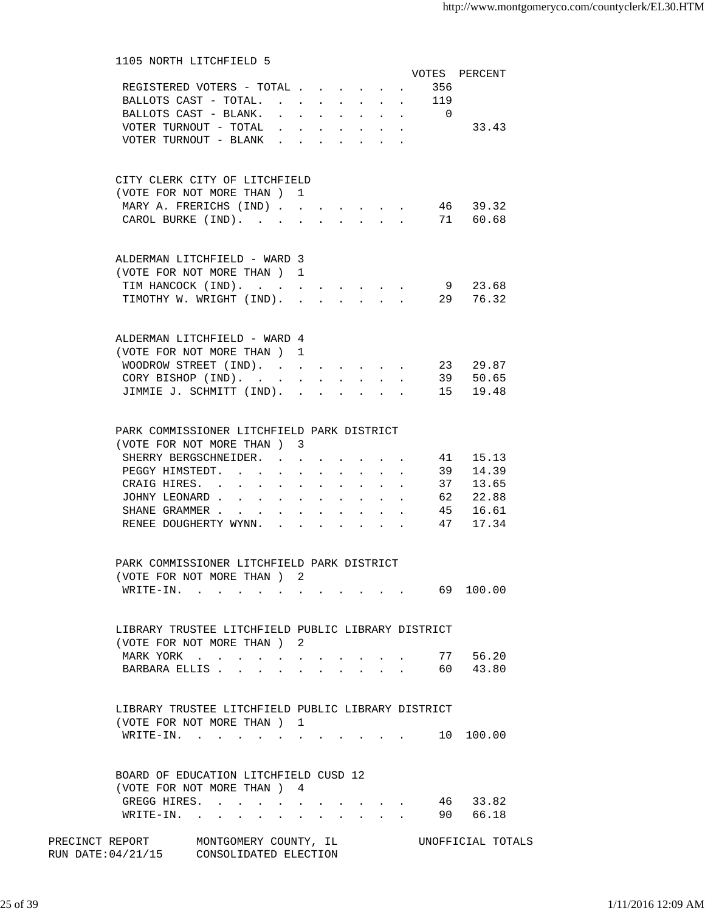| 1105 NORTH LITCHFIELD 5                                 |                                            |                           |                      |              |                                                                              |                    |                                                                          | VOTES PERCENT |
|---------------------------------------------------------|--------------------------------------------|---------------------------|----------------------|--------------|------------------------------------------------------------------------------|--------------------|--------------------------------------------------------------------------|---------------|
| REGISTERED VOTERS - TOTAL                               |                                            |                           |                      |              |                                                                              | $\mathbf{A}$       | 356                                                                      |               |
| BALLOTS CAST - TOTAL.                                   |                                            |                           |                      |              |                                                                              | $\Delta \sim 10^4$ | 119                                                                      |               |
| BALLOTS CAST - BLANK. 0                                 |                                            |                           |                      |              |                                                                              |                    |                                                                          |               |
| VOTER TURNOUT - TOTAL                                   | $\mathbf{r}$ , $\mathbf{r}$ , $\mathbf{r}$ |                           |                      | $\sim$       |                                                                              |                    |                                                                          | 33.43         |
| VOTER TURNOUT - BLANK                                   |                                            |                           |                      |              |                                                                              |                    |                                                                          |               |
|                                                         |                                            |                           |                      |              |                                                                              |                    |                                                                          |               |
| CITY CLERK CITY OF LITCHFIELD                           |                                            |                           |                      |              |                                                                              |                    |                                                                          |               |
| (VOTE FOR NOT MORE THAN ) 1                             |                                            |                           |                      |              |                                                                              |                    |                                                                          |               |
| MARY A. FRERICHS (IND)                                  |                                            |                           |                      |              |                                                                              |                    |                                                                          | 46 39.32      |
| CAROL BURKE (IND).                                      | $\ddot{\phantom{a}}$                       | $\sim$                    | $\ddot{\phantom{a}}$ | $\mathbf{A}$ | $\sim$                                                                       |                    |                                                                          | 71 60.68      |
|                                                         |                                            |                           |                      |              |                                                                              |                    |                                                                          |               |
| ALDERMAN LITCHFIELD - WARD 3                            |                                            |                           |                      |              |                                                                              |                    |                                                                          |               |
| (VOTE FOR NOT MORE THAN) 1                              |                                            |                           |                      |              |                                                                              |                    |                                                                          |               |
| TIM HANCOCK (IND).                                      |                                            |                           |                      |              |                                                                              |                    |                                                                          | 9 23.68       |
| TIMOTHY W. WRIGHT (IND). 29 76.32                       |                                            |                           |                      |              |                                                                              |                    |                                                                          |               |
|                                                         |                                            |                           |                      |              |                                                                              |                    |                                                                          |               |
| ALDERMAN LITCHFIELD - WARD 4                            |                                            |                           |                      |              |                                                                              |                    |                                                                          |               |
| (VOTE FOR NOT MORE THAN) 1                              |                                            |                           |                      |              |                                                                              |                    |                                                                          |               |
| WOODROW STREET (IND).                                   |                                            |                           |                      |              |                                                                              |                    |                                                                          | 23 29.87      |
| CORY BISHOP (IND).                                      | $\sim$                                     |                           | $\ddot{\phantom{a}}$ | $\sim$       |                                                                              |                    |                                                                          | 39 50.65      |
| JIMMIE J. SCHMITT (IND). .                              |                                            |                           |                      |              |                                                                              |                    |                                                                          | 15 19.48      |
|                                                         |                                            |                           |                      |              |                                                                              |                    |                                                                          |               |
| PARK COMMISSIONER LITCHFIELD PARK DISTRICT              |                                            |                           |                      |              |                                                                              |                    |                                                                          |               |
| (VOTE FOR NOT MORE THAN) 3                              |                                            |                           |                      |              |                                                                              |                    |                                                                          |               |
| SHERRY BERGSCHNEIDER.                                   |                                            |                           |                      |              |                                                                              |                    | 41                                                                       | 15.13         |
| PEGGY HIMSTEDT.                                         |                                            |                           |                      |              |                                                                              |                    | 39                                                                       | 14.39         |
| CRAIG HIRES.                                            |                                            | $\mathbf{L}^{\text{max}}$ | $\bullet$ .          |              | $\mathbf{r} = \mathbf{r} \cdot \mathbf{r}$ , where $\mathbf{r} = \mathbf{r}$ |                    |                                                                          | 37 13.65      |
| JOHNY LEONARD                                           |                                            | $\bullet$ .               | $\ddot{\phantom{0}}$ |              |                                                                              |                    |                                                                          | 62 22.88      |
| SHANE GRAMMER                                           |                                            |                           |                      |              |                                                                              |                    |                                                                          | 45 16.61      |
| RENEE DOUGHERTY WYNN.                                   |                                            |                           |                      |              |                                                                              |                    |                                                                          | 47 17.34      |
|                                                         |                                            |                           |                      |              |                                                                              |                    |                                                                          |               |
| PARK COMMISSIONER LITCHFIELD PARK DISTRICT              |                                            |                           |                      |              |                                                                              |                    |                                                                          |               |
| (VOTE FOR NOT MORE THAN)                                | 2                                          |                           |                      |              |                                                                              |                    |                                                                          |               |
|                                                         |                                            |                           |                      |              |                                                                              |                    |                                                                          | 69 100.00     |
|                                                         |                                            |                           |                      |              |                                                                              |                    |                                                                          |               |
| LIBRARY TRUSTEE LITCHFIELD PUBLIC LIBRARY DISTRICT      |                                            |                           |                      |              |                                                                              |                    |                                                                          |               |
| (VOTE FOR NOT MORE THAN ) 2                             |                                            |                           |                      |              |                                                                              |                    |                                                                          |               |
| MARK YORK                                               |                                            |                           |                      |              |                                                                              |                    |                                                                          | 77 56.20      |
| BARBARA ELLIS                                           |                                            |                           |                      |              |                                                                              |                    |                                                                          | 60 43.80      |
|                                                         |                                            |                           |                      |              |                                                                              |                    |                                                                          |               |
| LIBRARY TRUSTEE LITCHFIELD PUBLIC LIBRARY DISTRICT      |                                            |                           |                      |              |                                                                              |                    |                                                                          |               |
| (VOTE FOR NOT MORE THAN) 1                              |                                            |                           |                      |              |                                                                              |                    |                                                                          |               |
| WRITE-IN.                                               |                                            |                           |                      |              |                                                                              |                    | $\mathbf{r}$ , $\mathbf{r}$ , $\mathbf{r}$ , $\mathbf{r}$ , $\mathbf{r}$ | 10 100.00     |
|                                                         |                                            |                           |                      |              |                                                                              |                    |                                                                          |               |
| BOARD OF EDUCATION LITCHFIELD CUSD 12                   |                                            |                           |                      |              |                                                                              |                    |                                                                          |               |
| (VOTE FOR NOT MORE THAN) 4                              |                                            |                           |                      |              |                                                                              |                    |                                                                          |               |
| GREGG HIRES.                                            |                                            |                           |                      |              |                                                                              |                    |                                                                          | 46 33.82      |
| WRITE-IN.                                               |                                            |                           |                      |              |                                                                              |                    |                                                                          | 90 66.18      |
| PRECINCT REPORT MONTGOMERY COUNTY, IL UNOFFICIAL TOTALS |                                            |                           |                      |              |                                                                              |                    |                                                                          |               |

RUN DATE:04/21/15 CONSOLIDATED ELECTION

25 of 39 1/11/2016 12:09 AM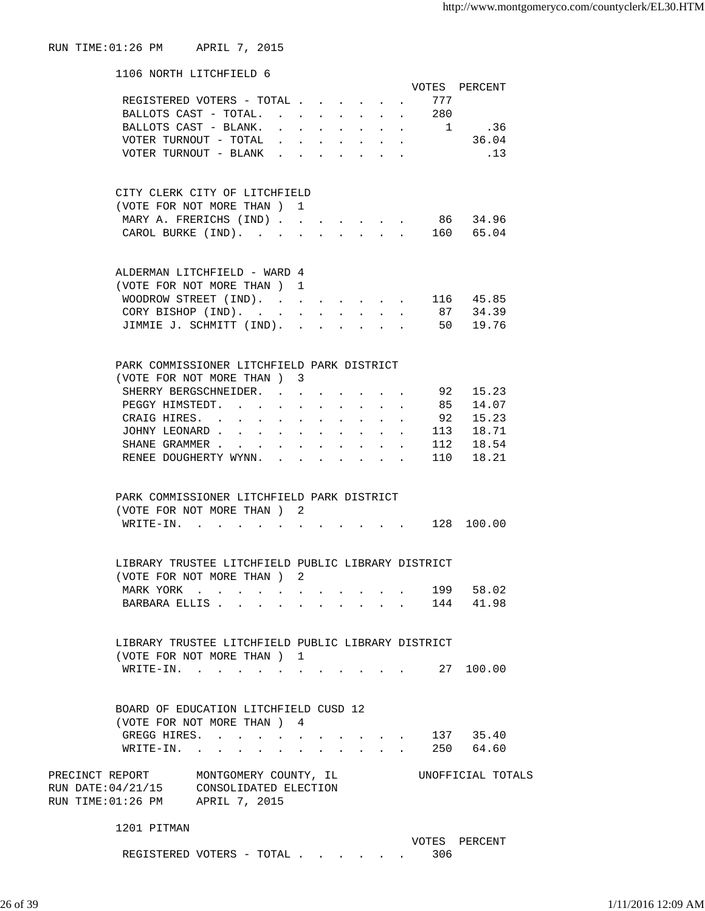| 1106 NORTH LITCHFIELD 6                                              |              |                           |        |              |                      |                          |                           |                |                   |
|----------------------------------------------------------------------|--------------|---------------------------|--------|--------------|----------------------|--------------------------|---------------------------|----------------|-------------------|
|                                                                      |              |                           |        |              |                      |                          |                           |                | VOTES PERCENT     |
| REGISTERED VOTERS - TOTAL .                                          |              |                           |        |              |                      |                          |                           | 777            |                   |
| BALLOTS CAST - TOTAL. .                                              |              |                           |        |              |                      |                          |                           | 280            |                   |
| BALLOTS CAST - BLANK.                                                |              |                           |        |              |                      | $\ddot{\phantom{0}}$     | $\mathbf{L}^{\text{max}}$ | $\overline{1}$ | .36               |
| VOTER TURNOUT - TOTAL                                                |              |                           |        |              |                      |                          |                           |                | 36.04             |
| VOTER TURNOUT - BLANK                                                |              |                           |        |              |                      |                          |                           |                | $\ldots$ 13       |
|                                                                      | $\mathbf{r}$ |                           |        |              |                      |                          |                           |                |                   |
|                                                                      |              |                           |        |              |                      |                          |                           |                |                   |
| CITY CLERK CITY OF LITCHFIELD                                        |              |                           |        |              |                      |                          |                           |                |                   |
| (VOTE FOR NOT MORE THAN ) 1                                          |              |                           |        |              |                      |                          |                           |                |                   |
| MARY A. FRERICHS (IND)                                               |              |                           |        |              |                      |                          |                           |                | 86 34.96          |
| CAROL BURKE (IND).                                                   |              |                           |        |              |                      |                          |                           |                | $\cdot$ 160 65.04 |
|                                                                      |              |                           |        |              |                      |                          |                           |                |                   |
| ALDERMAN LITCHFIELD - WARD 4                                         |              |                           |        |              |                      |                          |                           |                |                   |
| (VOTE FOR NOT MORE THAN) 1                                           |              |                           |        |              |                      |                          |                           |                |                   |
| WOODROW STREET (IND).                                                |              |                           |        |              |                      |                          |                           |                | . 116 45.85       |
| CORY BISHOP (IND).                                                   |              | $\ddot{\phantom{0}}$      |        | $\mathbf{L}$ | $\mathbf{L}$         | $\mathbf{r}$             | $\mathbf{r}$              |                | 87 34.39          |
| JIMMIE J. SCHMITT (IND).                                             |              | $\mathbf{L}$              | $\sim$ | $\mathbf{r}$ | $\ddot{\phantom{0}}$ |                          |                           |                | 50 19.76          |
|                                                                      |              |                           |        |              |                      |                          |                           |                |                   |
| PARK COMMISSIONER LITCHFIELD PARK DISTRICT                           |              |                           |        |              |                      |                          |                           |                |                   |
| (VOTE FOR NOT MORE THAN) 3                                           |              |                           |        |              |                      |                          |                           |                |                   |
| SHERRY BERGSCHNEIDER.                                                |              | $\mathbf{r} = \mathbf{r}$ |        |              |                      |                          |                           | 92             | 15.23             |
| PEGGY HIMSTEDT.                                                      |              |                           |        |              |                      |                          |                           | 85             | 14.07             |
| CRAIG HIRES. .                                                       | $\bullet$    |                           |        |              |                      |                          |                           | 92             | 15.23             |
|                                                                      |              |                           |        |              |                      |                          |                           |                |                   |
| JOHNY LEONARD.                                                       |              |                           |        |              |                      |                          |                           | 113            | 18.71             |
| SHANE GRAMMER                                                        |              |                           |        |              |                      |                          |                           | 112            | 18.54             |
| RENEE DOUGHERTY WYNN.                                                |              |                           |        |              |                      |                          |                           | 110            | 18.21             |
|                                                                      |              |                           |        |              |                      |                          |                           |                |                   |
| PARK COMMISSIONER LITCHFIELD PARK DISTRICT                           |              |                           |        |              |                      |                          |                           |                |                   |
| (VOTE FOR NOT MORE THAN) 2                                           |              |                           |        |              |                      |                          |                           |                |                   |
| WRITE-IN.                                                            |              |                           |        |              |                      |                          |                           |                | 128 100.00        |
|                                                                      |              |                           |        |              |                      |                          |                           |                |                   |
| LIBRARY TRUSTEE LITCHFIELD PUBLIC LIBRARY DISTRICT                   |              |                           |        |              |                      |                          |                           |                |                   |
| (VOTE FOR NOT MORE THAN ) 2                                          |              |                           |        |              |                      |                          |                           |                |                   |
| MARK YORK                                                            |              |                           |        |              |                      |                          |                           | 199            | 58.02             |
| BARBARA ELLIS.                                                       |              |                           |        |              |                      | <b>Contract Contract</b> |                           |                | 144 41.98         |
|                                                                      |              |                           |        |              |                      |                          |                           |                |                   |
| LIBRARY TRUSTEE LITCHFIELD PUBLIC LIBRARY DISTRICT                   |              |                           |        |              |                      |                          |                           |                |                   |
| (VOTE FOR NOT MORE THAN) 1                                           |              |                           |        |              |                      |                          |                           |                |                   |
| WRITE-IN.                                                            |              |                           |        |              |                      |                          |                           |                | 27 100.00         |
|                                                                      |              |                           |        |              |                      |                          |                           |                |                   |
| BOARD OF EDUCATION LITCHFIELD CUSD 12<br>(VOTE FOR NOT MORE THAN ) 4 |              |                           |        |              |                      |                          |                           |                |                   |
|                                                                      |              |                           |        |              |                      |                          |                           |                |                   |

GREGG HIRES. . . . . . . . . . . 137 35.40 WRITE-IN. . . . . . . . . . . . 250 64.60

PRECINCT REPORT MONTGOMERY COUNTY, IL UNOFFICIAL TOTALS RUN DATE:04/21/15 CONSOLIDATED ELECTION RUN TIME:01:26 PM APRIL 7, 2015

1201 PITMAN

VOTES PERCENT

REGISTERED VOTERS - TOTAL . . . . . . 306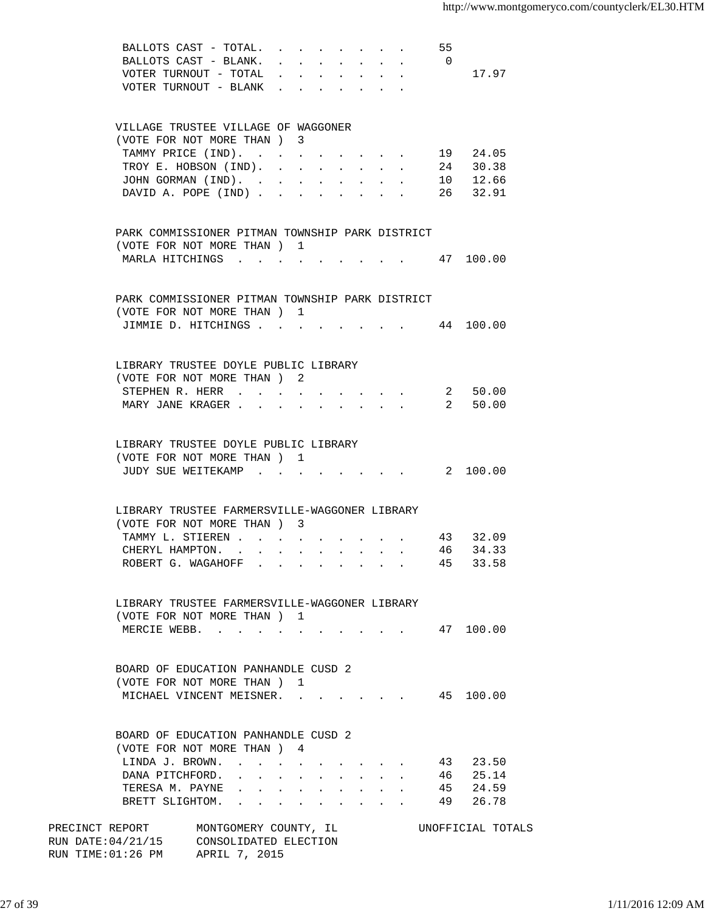|                                                                                                     | BALLOTS CAST - TOTAL.<br>BALLOTS CAST - BLANK.<br>VOTER TURNOUT - TOTAL<br>VOTER TURNOUT - BLANK |  |  |  |                                          | - 55<br>$\overline{0}$ | 17.97             |  |
|-----------------------------------------------------------------------------------------------------|--------------------------------------------------------------------------------------------------|--|--|--|------------------------------------------|------------------------|-------------------|--|
|                                                                                                     |                                                                                                  |  |  |  |                                          |                        |                   |  |
| VILLAGE TRUSTEE VILLAGE OF WAGGONER<br>(VOTE FOR NOT MORE THAN) 3                                   |                                                                                                  |  |  |  |                                          |                        |                   |  |
|                                                                                                     | TAMMY PRICE (IND).                                                                               |  |  |  |                                          |                        | 19 24.05          |  |
|                                                                                                     | TROY E. HOBSON (IND).                                                                            |  |  |  |                                          |                        | 24 30.38          |  |
|                                                                                                     | JOHN GORMAN (IND).                                                                               |  |  |  | and a strong property of the strong pro- |                        | 10 12.66          |  |
|                                                                                                     | DAVID A. POPE (IND) 26 32.91                                                                     |  |  |  |                                          |                        |                   |  |
| PARK COMMISSIONER PITMAN TOWNSHIP PARK DISTRICT                                                     |                                                                                                  |  |  |  |                                          |                        |                   |  |
| (VOTE FOR NOT MORE THAN) 1                                                                          |                                                                                                  |  |  |  |                                          |                        |                   |  |
| MARLA HITCHINGS                                                                                     |                                                                                                  |  |  |  |                                          |                        | $\cdot$ 47 100.00 |  |
| PARK COMMISSIONER PITMAN TOWNSHIP PARK DISTRICT                                                     |                                                                                                  |  |  |  |                                          |                        |                   |  |
| (VOTE FOR NOT MORE THAN) 1                                                                          |                                                                                                  |  |  |  |                                          |                        |                   |  |
| JIMMIE D. HITCHINGS                                                                                 |                                                                                                  |  |  |  |                                          |                        | 44 100.00         |  |
| LIBRARY TRUSTEE DOYLE PUBLIC LIBRARY                                                                |                                                                                                  |  |  |  |                                          |                        |                   |  |
| (VOTE FOR NOT MORE THAN) 2                                                                          |                                                                                                  |  |  |  |                                          |                        |                   |  |
|                                                                                                     | STEPHEN R. HERR                                                                                  |  |  |  |                                          |                        | 2 50.00           |  |
|                                                                                                     | MARY JANE KRAGER                                                                                 |  |  |  |                                          |                        | 2 50.00           |  |
| LIBRARY TRUSTEE DOYLE PUBLIC LIBRARY                                                                |                                                                                                  |  |  |  |                                          |                        |                   |  |
| (VOTE FOR NOT MORE THAN) 1                                                                          |                                                                                                  |  |  |  |                                          |                        |                   |  |
| JUDY SUE WEITEKAMP                                                                                  |                                                                                                  |  |  |  |                                          |                        |                   |  |
| LIBRARY TRUSTEE FARMERSVILLE-WAGGONER LIBRARY                                                       |                                                                                                  |  |  |  |                                          |                        |                   |  |
| (VOTE FOR NOT MORE THAN ) 3                                                                         |                                                                                                  |  |  |  |                                          |                        |                   |  |
|                                                                                                     | TAMMY L. STIEREN                                                                                 |  |  |  |                                          |                        | 43 32.09          |  |
|                                                                                                     | CHERYL HAMPTON.                                                                                  |  |  |  |                                          |                        | 46 34.33          |  |
|                                                                                                     | ROBERT G. WAGAHOFF                                                                               |  |  |  |                                          |                        | 45 33.58          |  |
| LIBRARY TRUSTEE FARMERSVILLE-WAGGONER LIBRARY                                                       |                                                                                                  |  |  |  |                                          |                        |                   |  |
| (VOTE FOR NOT MORE THAN) 1                                                                          |                                                                                                  |  |  |  |                                          |                        |                   |  |
| MERCIE WEBB. 47 100.00                                                                              |                                                                                                  |  |  |  |                                          |                        |                   |  |
| BOARD OF EDUCATION PANHANDLE CUSD 2                                                                 |                                                                                                  |  |  |  |                                          |                        |                   |  |
| (VOTE FOR NOT MORE THAN) 1                                                                          |                                                                                                  |  |  |  |                                          |                        |                   |  |
| MICHAEL VINCENT MEISNER. 45 100.00                                                                  |                                                                                                  |  |  |  |                                          |                        |                   |  |
| BOARD OF EDUCATION PANHANDLE CUSD 2                                                                 |                                                                                                  |  |  |  |                                          |                        |                   |  |
| (VOTE FOR NOT MORE THAN ) 4                                                                         |                                                                                                  |  |  |  |                                          |                        |                   |  |
| LINDA J. BROWN.                                                                                     |                                                                                                  |  |  |  |                                          |                        | 43 23.50          |  |
|                                                                                                     | DANA PITCHFORD. 46 25.14                                                                         |  |  |  |                                          |                        |                   |  |
|                                                                                                     | TERESA M. PAYNE 45 24.59                                                                         |  |  |  |                                          |                        |                   |  |
|                                                                                                     | BRETT SLIGHTOM.                                                                                  |  |  |  |                                          |                        | 49 26.78          |  |
| PRECINCT REPORT MONTGOMERY COUNTY, IL CONOFFICIAL TOTALS<br>RUN DATE:04/21/15 CONSOLIDATED ELECTION |                                                                                                  |  |  |  |                                          |                        |                   |  |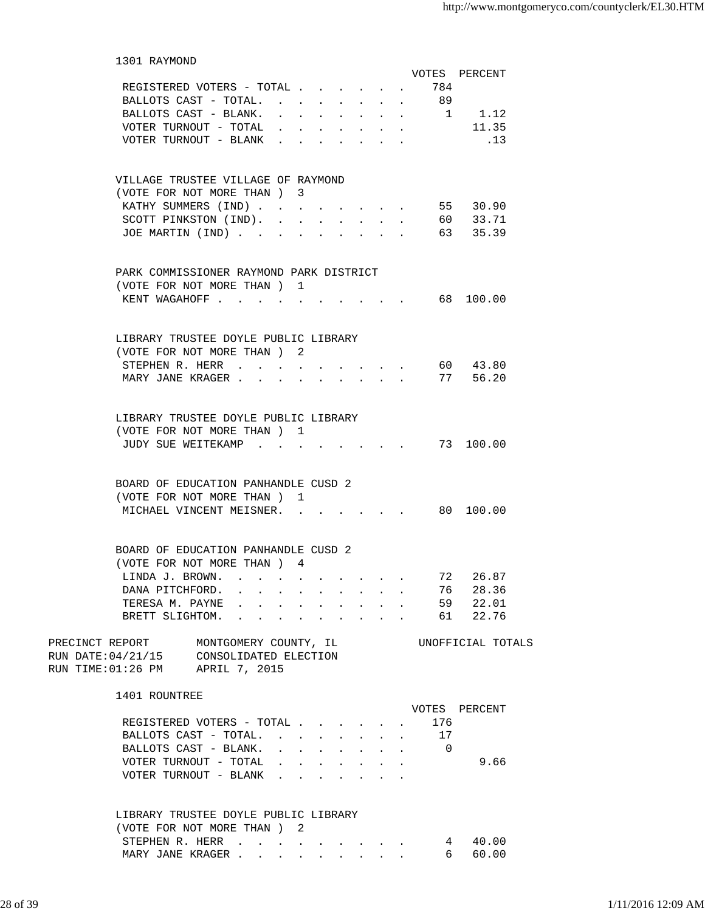| 1301 RAYMOND                                                                                                                       |                                                             |                                                |                   |  |
|------------------------------------------------------------------------------------------------------------------------------------|-------------------------------------------------------------|------------------------------------------------|-------------------|--|
|                                                                                                                                    |                                                             |                                                | VOTES PERCENT     |  |
| REGISTERED VOTERS - TOTAL 784                                                                                                      |                                                             |                                                |                   |  |
| BALLOTS CAST - TOTAL. 89                                                                                                           |                                                             |                                                |                   |  |
| BALLOTS CAST - BLANK.                                                                                                              | $\cdots$ 1 1.12                                             |                                                |                   |  |
| VOTER TURNOUT - TOTAL $\ldots$                                                                                                     |                                                             |                                                | 11.35             |  |
| VOTER TURNOUT - BLANK $\cdot \cdot \cdot \cdot$                                                                                    |                                                             |                                                | .13               |  |
| VILLAGE TRUSTEE VILLAGE OF RAYMOND                                                                                                 |                                                             |                                                |                   |  |
| (VOTE FOR NOT MORE THAN) 3                                                                                                         |                                                             |                                                |                   |  |
| KATHY SUMMERS (IND)                                                                                                                | $\mathbf{r}$ , and $\mathbf{r}$ , and $\mathbf{r}$          |                                                | 55 30.90          |  |
| SCOTT PINKSTON (IND).                                                                                                              |                                                             |                                                | 60 33.71          |  |
| JOE MARTIN (IND)                                                                                                                   | and the state of the state of the<br>$\sim$<br>$\mathbf{r}$ |                                                | 63 35.39          |  |
| PARK COMMISSIONER RAYMOND PARK DISTRICT                                                                                            |                                                             |                                                |                   |  |
| (VOTE FOR NOT MORE THAN) 1                                                                                                         |                                                             |                                                |                   |  |
| KENT WAGAHOFF 68 100.00                                                                                                            |                                                             |                                                |                   |  |
| LIBRARY TRUSTEE DOYLE PUBLIC LIBRARY<br>(VOTE FOR NOT MORE THAN) 2                                                                 |                                                             |                                                |                   |  |
| STEPHEN R. HERR<br>$\sim$ $\sim$<br>$\sim$ 100 $\mu$                                                                               |                                                             |                                                | 60 43.80          |  |
| MARY JANE KRAGER                                                                                                                   | $\mathbf{r}$ . The state $\mathbf{r}$                       |                                                | 77 56.20          |  |
|                                                                                                                                    |                                                             |                                                |                   |  |
| LIBRARY TRUSTEE DOYLE PUBLIC LIBRARY                                                                                               |                                                             |                                                |                   |  |
| (VOTE FOR NOT MORE THAN) 1                                                                                                         |                                                             |                                                |                   |  |
| JUDY SUE WEITEKAMP                                                                                                                 |                                                             |                                                | 73 100.00         |  |
|                                                                                                                                    |                                                             |                                                |                   |  |
| BOARD OF EDUCATION PANHANDLE CUSD 2                                                                                                |                                                             |                                                |                   |  |
| (VOTE FOR NOT MORE THAN) 1                                                                                                         |                                                             |                                                |                   |  |
| MICHAEL VINCENT MEISNER.                                                                                                           |                                                             |                                                | 80 100.00         |  |
| BOARD OF EDUCATION PANHANDLE CUSD 2                                                                                                |                                                             |                                                |                   |  |
| (VOTE FOR NOT MORE THAN ) 4                                                                                                        |                                                             |                                                |                   |  |
| LINDA J. BROWN.                                                                                                                    |                                                             | 72                                             | 26.87             |  |
| DANA PITCHFORD.<br>and a series of the contract of the contract of the contract of the contract of the contract of the contract of |                                                             | 76                                             | 28.36             |  |
| TERESA M. PAYNE<br>والمتواطن والمتواطن والمتواطن والمتواطن                                                                         |                                                             | $\mathbf{z}$ and $\mathbf{z}$ and $\mathbf{z}$ | 59 22.01          |  |
| BRETT SLIGHTOM.<br>and a strong control of the strong strong and                                                                   |                                                             |                                                | 61 22.76          |  |
| PRECINCT REPORT<br>MONTGOMERY COUNTY, IL                                                                                           |                                                             |                                                | UNOFFICIAL TOTALS |  |
| RUN DATE:04/21/15<br>CONSOLIDATED ELECTION<br>RUN TIME: 01:26 PM APRIL 7, 2015                                                     |                                                             |                                                |                   |  |
| 1401 ROUNTREE                                                                                                                      |                                                             |                                                |                   |  |
|                                                                                                                                    |                                                             |                                                | VOTES PERCENT     |  |
| REGISTERED VOTERS - TOTAL                                                                                                          |                                                             | 176                                            |                   |  |
| BALLOTS CAST - TOTAL.                                                                                                              |                                                             | 17                                             |                   |  |
| BALLOTS CAST - BLANK.                                                                                                              | $\cdots$ 0                                                  |                                                |                   |  |
| VOTER TURNOUT - TOTAL                                                                                                              | and a series of the series of the                           |                                                | 9.66              |  |
| VOTER TURNOUT - BLANK                                                                                                              | and a strong control of the state of the                    |                                                |                   |  |
|                                                                                                                                    |                                                             |                                                |                   |  |
| LIBRARY TRUSTEE DOYLE PUBLIC LIBRARY<br>(VOTE FOR NOT MORE THAN) 2                                                                 |                                                             |                                                |                   |  |
| STEPHEN R. HERR                                                                                                                    |                                                             |                                                | 40.00<br>4        |  |
| MARY JANE KRAGER                                                                                                                   |                                                             |                                                | 6 —<br>60.00      |  |
|                                                                                                                                    |                                                             |                                                |                   |  |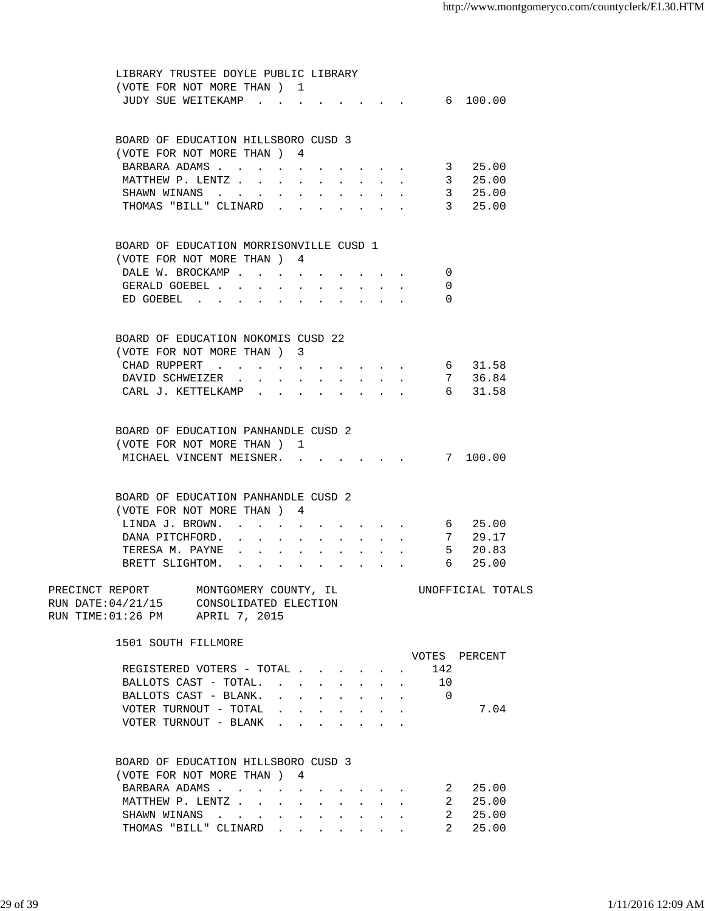| LIBRARY TRUSTEE DOYLE PUBLIC LIBRARY                                                               |                                 |        |               |                                                                                      |              |                                                                               |                  |                   |  |
|----------------------------------------------------------------------------------------------------|---------------------------------|--------|---------------|--------------------------------------------------------------------------------------|--------------|-------------------------------------------------------------------------------|------------------|-------------------|--|
| (VOTE FOR NOT MORE THAN) 1                                                                         |                                 |        |               |                                                                                      |              |                                                                               |                  |                   |  |
| JUDY SUE WEITEKAMP                                                                                 |                                 |        |               |                                                                                      |              |                                                                               | $\cdot$ 6 100.00 |                   |  |
|                                                                                                    |                                 |        |               |                                                                                      |              |                                                                               |                  |                   |  |
|                                                                                                    |                                 |        |               |                                                                                      |              |                                                                               |                  |                   |  |
| BOARD OF EDUCATION HILLSBORO CUSD 3                                                                |                                 |        |               |                                                                                      |              |                                                                               |                  |                   |  |
| (VOTE FOR NOT MORE THAN ) 4                                                                        |                                 |        |               |                                                                                      |              |                                                                               |                  |                   |  |
| BARBARA ADAMS                                                                                      |                                 |        |               |                                                                                      |              |                                                                               | 3                | 25.00             |  |
|                                                                                                    |                                 |        |               |                                                                                      |              |                                                                               |                  |                   |  |
| MATTHEW P. LENTZ                                                                                   |                                 |        |               |                                                                                      |              |                                                                               | 3                | 25.00             |  |
| SHAWN WINANS                                                                                       |                                 |        |               |                                                                                      |              |                                                                               | $\overline{3}$   | 25.00             |  |
| THOMAS "BILL" CLINARD.                                                                             |                                 |        |               |                                                                                      |              |                                                                               |                  | 3 25.00           |  |
|                                                                                                    |                                 |        |               |                                                                                      |              |                                                                               |                  |                   |  |
|                                                                                                    |                                 |        |               |                                                                                      |              |                                                                               |                  |                   |  |
| BOARD OF EDUCATION MORRISONVILLE CUSD 1                                                            |                                 |        |               |                                                                                      |              |                                                                               |                  |                   |  |
| (VOTE FOR NOT MORE THAN) 4                                                                         |                                 |        |               |                                                                                      |              |                                                                               |                  |                   |  |
| DALE W. BROCKAMP                                                                                   |                                 |        |               |                                                                                      |              |                                                                               | 0                |                   |  |
| GERALD GOEBEL                                                                                      |                                 |        |               |                                                                                      |              |                                                                               | 0                |                   |  |
| ED GOEBEL                                                                                          |                                 |        |               |                                                                                      |              |                                                                               | 0                |                   |  |
|                                                                                                    |                                 |        |               |                                                                                      |              |                                                                               |                  |                   |  |
|                                                                                                    |                                 |        |               |                                                                                      |              |                                                                               |                  |                   |  |
|                                                                                                    |                                 |        |               |                                                                                      |              |                                                                               |                  |                   |  |
| BOARD OF EDUCATION NOKOMIS CUSD 22                                                                 |                                 |        |               |                                                                                      |              |                                                                               |                  |                   |  |
| (VOTE FOR NOT MORE THAN ) 3                                                                        |                                 |        |               |                                                                                      |              |                                                                               |                  |                   |  |
| CHAD RUPPERT                                                                                       | $\mathbf{a}$ . The $\mathbf{a}$ |        |               |                                                                                      |              | $\mathbf{r} = \mathbf{r} + \mathbf{r} + \mathbf{r} + \mathbf{r}$              |                  | 6 31.58           |  |
| DAVID SCHWEIZER                                                                                    |                                 |        |               |                                                                                      |              |                                                                               |                  | 7 36.84           |  |
| CARL J. KETTELKAMP .                                                                               | $\mathbf{L}$                    | $\sim$ | $\sim$ $\sim$ |                                                                                      | $\mathbf{L}$ | $\mathbf{L}$                                                                  |                  | 6 31.58           |  |
|                                                                                                    |                                 |        |               |                                                                                      |              |                                                                               |                  |                   |  |
|                                                                                                    |                                 |        |               |                                                                                      |              |                                                                               |                  |                   |  |
| BOARD OF EDUCATION PANHANDLE CUSD 2                                                                |                                 |        |               |                                                                                      |              |                                                                               |                  |                   |  |
| (VOTE FOR NOT MORE THAN ) 1                                                                        |                                 |        |               |                                                                                      |              |                                                                               |                  |                   |  |
| MICHAEL VINCENT MEISNER.                                                                           |                                 |        |               |                                                                                      |              |                                                                               |                  | 7 100.00          |  |
|                                                                                                    |                                 |        |               |                                                                                      |              |                                                                               |                  |                   |  |
|                                                                                                    |                                 |        |               |                                                                                      |              |                                                                               |                  |                   |  |
|                                                                                                    |                                 |        |               |                                                                                      |              |                                                                               |                  |                   |  |
| BOARD OF EDUCATION PANHANDLE CUSD 2                                                                |                                 |        |               |                                                                                      |              |                                                                               |                  |                   |  |
| (VOTE FOR NOT MORE THAN) 4                                                                         |                                 |        |               |                                                                                      |              |                                                                               |                  |                   |  |
| LINDA J. BROWN.                                                                                    | $\mathbf{a}$ . The $\mathbf{a}$ |        |               |                                                                                      |              | and the state of the state of the                                             | 6                | 25.00             |  |
| DANA PITCHFORD. .                                                                                  | <b>All Contracts</b>            |        |               | <b>All Cards</b>                                                                     | $\sim$       |                                                                               | 7                | 29.17             |  |
| TERESA M. PAYNE<br>$\mathbf{A}$                                                                    |                                 |        |               | $\mathbf{r} = \mathbf{r}$ , $\mathbf{r} = \mathbf{r}$                                | $\sim$       | $\mathbf{L}$                                                                  |                  | $5$ 20.83         |  |
| BRETT SLIGHTOM.<br>the contract of the contract of the contract of the contract of the contract of |                                 |        |               |                                                                                      | $\mathbf{r}$ |                                                                               | 6                | 25.00             |  |
|                                                                                                    |                                 |        |               |                                                                                      |              |                                                                               |                  |                   |  |
| PRECINCT REPORT<br>MONTGOMERY COUNTY, IL                                                           |                                 |        |               |                                                                                      |              |                                                                               |                  | UNOFFICIAL TOTALS |  |
| RUN DATE: 04/21/15 CONSOLIDATED ELECTION                                                           |                                 |        |               |                                                                                      |              |                                                                               |                  |                   |  |
| RUN TIME: 01:26 PM APRIL 7, 2015                                                                   |                                 |        |               |                                                                                      |              |                                                                               |                  |                   |  |
|                                                                                                    |                                 |        |               |                                                                                      |              |                                                                               |                  |                   |  |
| 1501 SOUTH FILLMORE                                                                                |                                 |        |               |                                                                                      |              |                                                                               |                  |                   |  |
|                                                                                                    |                                 |        |               |                                                                                      |              |                                                                               |                  |                   |  |
|                                                                                                    |                                 |        |               |                                                                                      |              |                                                                               |                  | VOTES PERCENT     |  |
| REGISTERED VOTERS - TOTAL                                                                          |                                 |        |               |                                                                                      |              |                                                                               | 142              |                   |  |
| BALLOTS CAST - TOTAL.                                                                              |                                 |        | $\sim 10$     | $\sim$                                                                               |              | $\mathbf{L}$                                                                  | 10               |                   |  |
| BALLOTS CAST - BLANK.                                                                              |                                 |        |               | $\mathbf{L} = \mathbf{L} \mathbf{L} + \mathbf{L} \mathbf{L} + \mathbf{L} \mathbf{L}$ | $\sim$       |                                                                               | 0                |                   |  |
| VOTER TURNOUT - TOTAL                                                                              |                                 |        |               |                                                                                      |              | $\mathbf{r} = \mathbf{r} + \mathbf{r} + \mathbf{r} + \mathbf{r} + \mathbf{r}$ |                  | 7.04              |  |
| VOTER TURNOUT - BLANK                                                                              |                                 |        |               |                                                                                      |              | $\mathbf{r}$ , $\mathbf{r}$ , $\mathbf{r}$ , $\mathbf{r}$ , $\mathbf{r}$      |                  |                   |  |
|                                                                                                    |                                 |        |               |                                                                                      |              |                                                                               |                  |                   |  |
|                                                                                                    |                                 |        |               |                                                                                      |              |                                                                               |                  |                   |  |
| BOARD OF EDUCATION HILLSBORO CUSD 3                                                                |                                 |        |               |                                                                                      |              |                                                                               |                  |                   |  |
| (VOTE FOR NOT MORE THAN ) 4                                                                        |                                 |        |               |                                                                                      |              |                                                                               |                  |                   |  |
|                                                                                                    |                                 |        |               |                                                                                      |              |                                                                               |                  |                   |  |
| BARBARA ADAMS                                                                                      |                                 |        |               |                                                                                      |              |                                                                               | 2                | 25.00             |  |
| MATTHEW P. LENTZ                                                                                   |                                 |        |               |                                                                                      |              |                                                                               | 2                | 25.00             |  |
| SHAWN WINANS                                                                                       |                                 |        |               |                                                                                      |              |                                                                               | 2                | 25.00             |  |
| THOMAS "BILL" CLINARD                                                                              |                                 |        |               |                                                                                      |              |                                                                               | 2.               | 25.00             |  |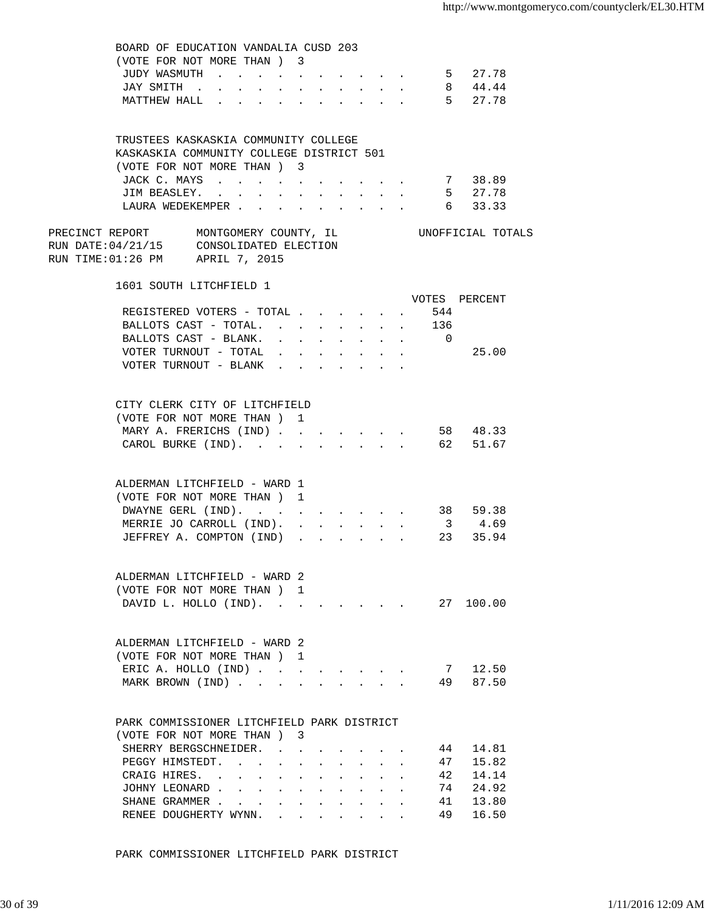|                                                                                                                     | BOARD OF EDUCATION VANDALIA CUSD 203<br>(VOTE FOR NOT MORE THAN) 3<br>JUDY WASMUTH<br>JAY SMITH .<br>$\sim$<br>MATTHEW HALL | $\sim$<br>$\sim$                                | $\ddot{\phantom{a}}$ | $\mathbf{L} = \mathbf{L}$ | $\mathbf{L}$                                                | $\ddot{\phantom{0}}$<br>$\mathbf{L}$                            | $\sim$<br>$\mathbf{L}$ | $\sim$<br>$\mathbf{L}$ | $\sim$ $-$ |    | 5 27.78<br>8 44.44<br>5 27.78 |  |
|---------------------------------------------------------------------------------------------------------------------|-----------------------------------------------------------------------------------------------------------------------------|-------------------------------------------------|----------------------|---------------------------|-------------------------------------------------------------|-----------------------------------------------------------------|------------------------|------------------------|------------|----|-------------------------------|--|
|                                                                                                                     | TRUSTEES KASKASKIA COMMUNITY COLLEGE<br>KASKASKIA COMMUNITY COLLEGE DISTRICT 501                                            |                                                 |                      |                           |                                                             |                                                                 |                        |                        |            |    |                               |  |
|                                                                                                                     | (VOTE FOR NOT MORE THAN ) 3                                                                                                 |                                                 |                      |                           |                                                             |                                                                 |                        |                        |            |    |                               |  |
|                                                                                                                     | JACK C. MAYS                                                                                                                |                                                 |                      |                           |                                                             |                                                                 |                        |                        |            |    | 7 38.89                       |  |
|                                                                                                                     | JIM BEASLEY.<br>LAURA WEDEKEMPER                                                                                            |                                                 |                      |                           |                                                             |                                                                 |                        |                        |            |    | 5 27.78<br>6 33.33            |  |
| PRECINCT REPORT MONTGOMERY COUNTY, IL<br>RUN DATE:04/21/15 CONSOLIDATED ELECTION<br>RUN TIME:01:26 PM APRIL 7, 2015 |                                                                                                                             |                                                 |                      |                           |                                                             |                                                                 |                        |                        |            |    | UNOFFICIAL TOTALS             |  |
|                                                                                                                     | 1601 SOUTH LITCHFIELD 1                                                                                                     |                                                 |                      |                           |                                                             |                                                                 |                        |                        |            |    | VOTES PERCENT                 |  |
|                                                                                                                     | REGISTERED VOTERS - TOTAL 544                                                                                               |                                                 |                      |                           |                                                             |                                                                 |                        |                        |            |    |                               |  |
|                                                                                                                     | BALLOTS CAST - TOTAL. 136                                                                                                   |                                                 |                      |                           |                                                             |                                                                 |                        |                        |            |    |                               |  |
|                                                                                                                     | BALLOTS CAST - BLANK. 0                                                                                                     |                                                 |                      |                           |                                                             |                                                                 |                        |                        |            |    |                               |  |
|                                                                                                                     | VOTER TURNOUT - TOTAL $\ldots$<br>VOTER TURNOUT - BLANK $\cdot$                                                             |                                                 |                      |                           |                                                             |                                                                 |                        |                        |            |    | 25.00                         |  |
|                                                                                                                     | CITY CLERK CITY OF LITCHFIELD                                                                                               |                                                 |                      |                           |                                                             |                                                                 |                        |                        |            |    |                               |  |
|                                                                                                                     | (VOTE FOR NOT MORE THAN) 1<br>MARY A. FRERICHS (IND) 58 48.33                                                               |                                                 |                      |                           |                                                             |                                                                 |                        |                        |            |    |                               |  |
|                                                                                                                     | CAROL BURKE (IND). 62 51.67                                                                                                 |                                                 |                      |                           |                                                             |                                                                 |                        |                        |            |    |                               |  |
|                                                                                                                     | ALDERMAN LITCHFIELD - WARD 1<br>(VOTE FOR NOT MORE THAN) 1                                                                  |                                                 |                      |                           |                                                             |                                                                 |                        |                        |            |    |                               |  |
|                                                                                                                     | DWAYNE GERL (IND).                                                                                                          |                                                 |                      |                           |                                                             |                                                                 |                        |                        |            |    | 38 59.38                      |  |
|                                                                                                                     | MERRIE JO CARROLL (IND).<br>JEFFREY A. COMPTON (IND).                                                                       |                                                 |                      | $\sim$                    |                                                             |                                                                 |                        |                        |            |    | $3\quad 4.69$<br>23 35.94     |  |
|                                                                                                                     | ALDERMAN LITCHFIELD - WARD 2                                                                                                |                                                 |                      |                           |                                                             |                                                                 |                        |                        |            |    |                               |  |
|                                                                                                                     | (VOTE FOR NOT MORE THAN) 1                                                                                                  |                                                 |                      |                           |                                                             |                                                                 |                        |                        |            |    |                               |  |
|                                                                                                                     | DAVID L. HOLLO (IND). 27 100.00                                                                                             |                                                 |                      |                           |                                                             |                                                                 |                        |                        |            |    |                               |  |
|                                                                                                                     | ALDERMAN LITCHFIELD - WARD 2<br>(VOTE FOR NOT MORE THAN)                                                                    |                                                 |                      | -1.                       |                                                             |                                                                 |                        |                        |            |    |                               |  |
|                                                                                                                     | ERIC A. HOLLO (IND)                                                                                                         |                                                 |                      |                           |                                                             |                                                                 |                        |                        |            | 7  | 12.50                         |  |
|                                                                                                                     | MARK BROWN (IND)                                                                                                            |                                                 |                      | $\ddot{\phantom{a}}$      |                                                             |                                                                 |                        |                        |            | 49 | 87.50                         |  |
|                                                                                                                     | PARK COMMISSIONER LITCHFIELD PARK DISTRICT                                                                                  |                                                 |                      |                           |                                                             |                                                                 |                        |                        |            |    |                               |  |
|                                                                                                                     | (VOTE FOR NOT MORE THAN) 3<br>SHERRY BERGSCHNEIDER.                                                                         |                                                 |                      |                           |                                                             |                                                                 |                        |                        |            | 44 | 14.81                         |  |
|                                                                                                                     | PEGGY HIMSTEDT.                                                                                                             | the contract of the contract of the contract of |                      |                           |                                                             |                                                                 |                        |                        |            | 47 | 15.82                         |  |
|                                                                                                                     | CRAIG HIRES.                                                                                                                |                                                 |                      | <b>Allen Adams</b>        |                                                             |                                                                 |                        |                        |            | 42 | 14.14                         |  |
|                                                                                                                     | JOHNY LEONARD.                                                                                                              | and the state of the state of the state of      |                      |                           | $\bullet$ .<br><br><br><br><br><br><br><br><br><br><br><br> | $\bullet$ .<br><br><br><br><br><br><br><br><br><br><br><br>     |                        |                        |            | 74 | 24.92                         |  |
|                                                                                                                     | SHANE GRAMMER                                                                                                               |                                                 |                      |                           |                                                             | $\bullet$ .<br><br><br><br><br><br><br><br><br><br><br><br><br> |                        |                        |            | 41 | 13.80                         |  |
|                                                                                                                     | RENEE DOUGHERTY WYNN.                                                                                                       |                                                 | $\sim$               | $\ddot{\phantom{0}}$      |                                                             | $\bullet$ .<br><br><br><br><br><br><br><br><br><br><br><br>     |                        |                        |            | 49 | 16.50                         |  |

PARK COMMISSIONER LITCHFIELD PARK DISTRICT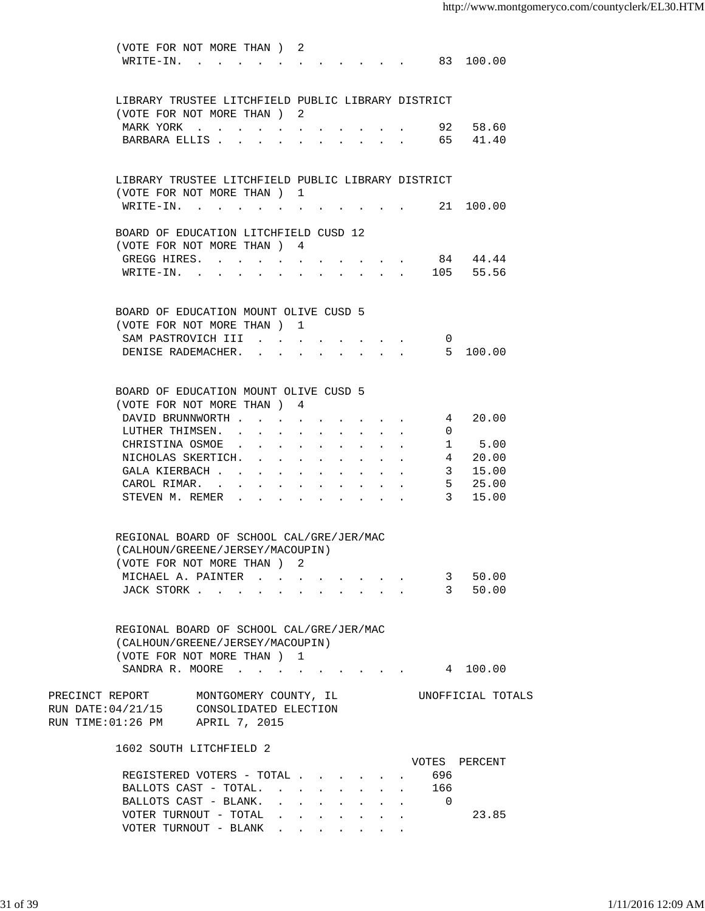|                                                          | (VOTE FOR NOT MORE THAN) 2<br>WRITE-IN. 83 100.00  |                                      |            |                                                                                       |                                                           |                                                                 |                 |               |  |
|----------------------------------------------------------|----------------------------------------------------|--------------------------------------|------------|---------------------------------------------------------------------------------------|-----------------------------------------------------------|-----------------------------------------------------------------|-----------------|---------------|--|
|                                                          | LIBRARY TRUSTEE LITCHFIELD PUBLIC LIBRARY DISTRICT |                                      |            |                                                                                       |                                                           |                                                                 |                 |               |  |
|                                                          | (VOTE FOR NOT MORE THAN) 2                         |                                      |            |                                                                                       |                                                           |                                                                 |                 |               |  |
|                                                          | MARK YORK                                          |                                      |            |                                                                                       |                                                           |                                                                 |                 | 92 58.60      |  |
|                                                          | BARBARA ELLIS 65 41.40                             |                                      |            |                                                                                       |                                                           |                                                                 |                 |               |  |
|                                                          | LIBRARY TRUSTEE LITCHFIELD PUBLIC LIBRARY DISTRICT |                                      |            |                                                                                       |                                                           |                                                                 |                 |               |  |
|                                                          | (VOTE FOR NOT MORE THAN) 1                         |                                      |            |                                                                                       |                                                           |                                                                 |                 |               |  |
|                                                          | WRITE-IN.                                          |                                      |            |                                                                                       |                                                           |                                                                 |                 | 21 100.00     |  |
|                                                          | BOARD OF EDUCATION LITCHFIELD CUSD 12              |                                      |            |                                                                                       |                                                           |                                                                 |                 |               |  |
|                                                          | (VOTE FOR NOT MORE THAN) 4                         |                                      |            |                                                                                       |                                                           |                                                                 |                 |               |  |
|                                                          | GREGG HIRES.                                       |                                      |            |                                                                                       |                                                           |                                                                 |                 | 84 44.44      |  |
|                                                          | WRITE-IN. 105 55.56                                |                                      |            |                                                                                       |                                                           |                                                                 |                 |               |  |
|                                                          | BOARD OF EDUCATION MOUNT OLIVE CUSD 5              |                                      |            |                                                                                       |                                                           |                                                                 |                 |               |  |
|                                                          | (VOTE FOR NOT MORE THAN ) 1                        |                                      |            |                                                                                       |                                                           |                                                                 |                 |               |  |
|                                                          | SAM PASTROVICH III                                 | $\sim$                               |            | $\cdot$ $\cdot$ $\cdot$ $\cdot$                                                       |                                                           |                                                                 | $\sigma$        |               |  |
|                                                          | DENISE RADEMACHER.                                 | $\mathbf{L}$                         |            | $\mathbf{r} = \mathbf{r} + \mathbf{r}$ , where $\mathbf{r} = \mathbf{r} + \mathbf{r}$ |                                                           |                                                                 |                 | 5, 100, 00    |  |
|                                                          |                                                    |                                      |            |                                                                                       |                                                           |                                                                 |                 |               |  |
|                                                          | BOARD OF EDUCATION MOUNT OLIVE CUSD 5              |                                      |            |                                                                                       |                                                           |                                                                 |                 |               |  |
|                                                          | (VOTE FOR NOT MORE THAN) 4                         |                                      |            |                                                                                       |                                                           |                                                                 |                 |               |  |
|                                                          | DAVID BRUNNWORTH                                   |                                      |            |                                                                                       |                                                           |                                                                 | 4               | 20.00         |  |
|                                                          | LUTHER THIMSEN.                                    |                                      |            |                                                                                       |                                                           | $\bullet$ .<br><br><br><br><br><br><br><br><br><br><br><br><br> | $\Omega$        |               |  |
|                                                          | CHRISTINA OSMOE                                    |                                      |            |                                                                                       |                                                           | $\bullet$ .<br><br><br><br><br><br><br><br><br><br><br><br>     | 1               | 5.00          |  |
|                                                          | NICHOLAS SKERTICH.                                 |                                      |            |                                                                                       |                                                           | $\bullet$ .<br><br><br><br><br><br><br><br><br><br><br><br>     | $4\overline{ }$ | 20.00         |  |
|                                                          | GALA KIERBACH                                      | $\mathbf{L} = \mathbf{L} \mathbf{L}$ |            |                                                                                       |                                                           |                                                                 | 3               | 15.00         |  |
|                                                          | CAROL RIMAR. .                                     |                                      |            |                                                                                       |                                                           |                                                                 | $5 -$           | 25.00         |  |
|                                                          | STEVEN M. REMER                                    |                                      |            |                                                                                       |                                                           |                                                                 | 3 <sup>7</sup>  | 15.00         |  |
|                                                          | REGIONAL BOARD OF SCHOOL CAL/GRE/JER/MAC           |                                      |            |                                                                                       |                                                           |                                                                 |                 |               |  |
|                                                          | (CALHOUN/GREENE/JERSEY/MACOUPIN)                   |                                      |            |                                                                                       |                                                           |                                                                 |                 |               |  |
|                                                          | (VOTE FOR NOT MORE THAN) 2                         |                                      |            |                                                                                       |                                                           |                                                                 |                 |               |  |
|                                                          | MICHAEL A. PAINTER                                 |                                      |            |                                                                                       |                                                           |                                                                 |                 | 3 50.00       |  |
|                                                          | JACK STORK                                         |                                      |            |                                                                                       |                                                           |                                                                 |                 | 3 50.00       |  |
|                                                          |                                                    |                                      |            |                                                                                       |                                                           |                                                                 |                 |               |  |
|                                                          | REGIONAL BOARD OF SCHOOL CAL/GRE/JER/MAC           |                                      |            |                                                                                       |                                                           |                                                                 |                 |               |  |
|                                                          | (CALHOUN/GREENE/JERSEY/MACOUPIN)                   |                                      |            |                                                                                       |                                                           |                                                                 |                 |               |  |
|                                                          | (VOTE FOR NOT MORE THAN) 1                         |                                      |            |                                                                                       |                                                           |                                                                 |                 |               |  |
|                                                          | SANDRA R. MOORE                                    |                                      |            |                                                                                       |                                                           |                                                                 |                 | 4 100.00      |  |
| PRECINCT REPORT MONTGOMERY COUNTY, IL CONDITIONAL TOTALS |                                                    |                                      |            |                                                                                       |                                                           |                                                                 |                 |               |  |
| RUN DATE: 04/21/15 CONSOLIDATED ELECTION                 |                                                    |                                      |            |                                                                                       |                                                           |                                                                 |                 |               |  |
| RUN TIME: 01:26 PM APRIL 7, 2015                         |                                                    |                                      |            |                                                                                       |                                                           |                                                                 |                 |               |  |
|                                                          | 1602 SOUTH LITCHFIELD 2                            |                                      |            |                                                                                       |                                                           |                                                                 |                 |               |  |
|                                                          |                                                    |                                      |            |                                                                                       |                                                           |                                                                 |                 | VOTES PERCENT |  |
|                                                          | REGISTERED VOTERS - TOTAL                          |                                      |            |                                                                                       |                                                           |                                                                 | 696             |               |  |
|                                                          | BALLOTS CAST - TOTAL.                              |                                      |            |                                                                                       | $\mathbf{r}$ , $\mathbf{r}$ , $\mathbf{r}$ , $\mathbf{r}$ |                                                                 | 166             |               |  |
|                                                          | BALLOTS CAST - BLANK.                              | $\mathbf{L} = \mathbf{L}$            |            | and a strategic control of the                                                        |                                                           |                                                                 | $\overline{0}$  |               |  |
|                                                          | VOTER TURNOUT - TOTAL                              | $\mathbf{L} = \mathbf{L} \mathbf{L}$ | $\sim$ $-$ | $\sim$<br>$\mathbf{L}^{\text{max}}$                                                   |                                                           |                                                                 |                 | 23.85         |  |
|                                                          | VOTER TURNOUT - BLANK                              |                                      |            |                                                                                       |                                                           |                                                                 |                 |               |  |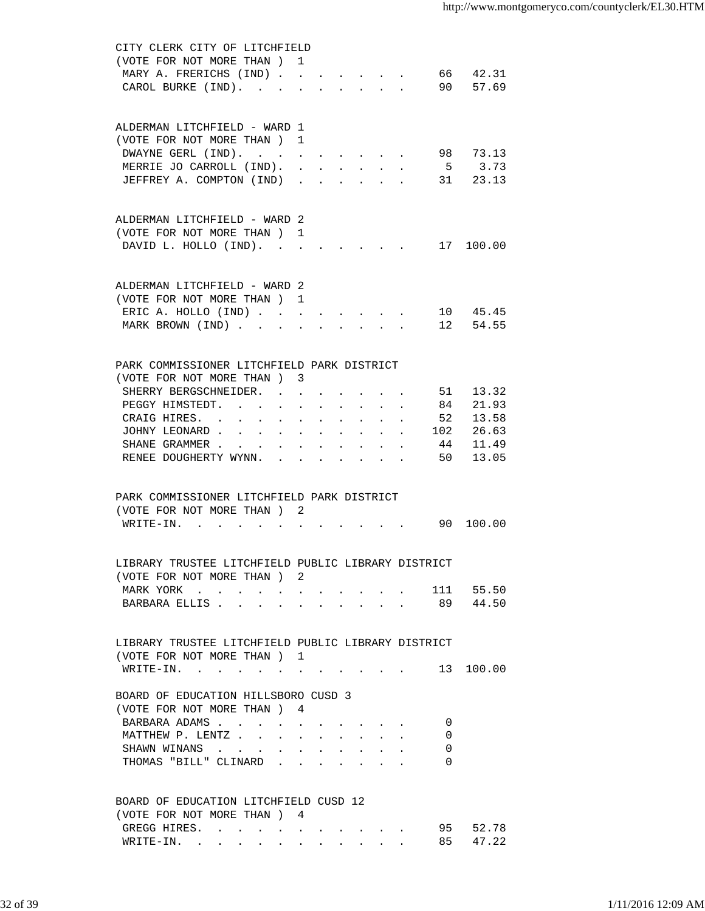| CITY CLERK CITY OF LITCHFIELD                        |                      |                                                                                                                                                                                                                                |                      |                                                           |                      |    |                    |
|------------------------------------------------------|----------------------|--------------------------------------------------------------------------------------------------------------------------------------------------------------------------------------------------------------------------------|----------------------|-----------------------------------------------------------|----------------------|----|--------------------|
| (VOTE FOR NOT MORE THAN) 1                           |                      |                                                                                                                                                                                                                                |                      |                                                           |                      |    |                    |
| MARY A. FRERICHS (IND)                               |                      |                                                                                                                                                                                                                                |                      |                                                           |                      |    | 66 42.31           |
| CAROL BURKE (IND).                                   | $\ddot{\phantom{a}}$ | $\mathbf{L}$                                                                                                                                                                                                                   |                      | $\mathbf{r}$ , $\mathbf{r}$ , $\mathbf{r}$ , $\mathbf{r}$ |                      |    | 90 57.69           |
|                                                      |                      |                                                                                                                                                                                                                                |                      |                                                           |                      |    |                    |
|                                                      |                      |                                                                                                                                                                                                                                |                      |                                                           |                      |    |                    |
| ALDERMAN LITCHFIELD - WARD 1                         |                      |                                                                                                                                                                                                                                |                      |                                                           |                      |    |                    |
| (VOTE FOR NOT MORE THAN) 1                           |                      |                                                                                                                                                                                                                                |                      |                                                           |                      |    |                    |
| DWAYNE GERL (IND).                                   |                      | the contract of the contract of the con-                                                                                                                                                                                       |                      |                                                           |                      |    | 98 73.13           |
| MERRIE JO CARROLL (IND).<br>JEFFREY A. COMPTON (IND) | $\ddot{\phantom{a}}$ |                                                                                                                                                                                                                                | $\ddot{\phantom{0}}$ | $\sim$ 100 $\pm$                                          | $\ddot{\phantom{0}}$ |    | 5 3.73<br>31 23.13 |
|                                                      |                      |                                                                                                                                                                                                                                |                      |                                                           |                      |    |                    |
|                                                      |                      |                                                                                                                                                                                                                                |                      |                                                           |                      |    |                    |
| ALDERMAN LITCHFIELD - WARD 2                         |                      |                                                                                                                                                                                                                                |                      |                                                           |                      |    |                    |
| (VOTE FOR NOT MORE THAN) 1                           |                      |                                                                                                                                                                                                                                |                      |                                                           |                      |    |                    |
| DAVID L. HOLLO (IND).                                |                      |                                                                                                                                                                                                                                |                      |                                                           |                      |    | 17 100.00          |
|                                                      |                      |                                                                                                                                                                                                                                |                      |                                                           |                      |    |                    |
|                                                      |                      |                                                                                                                                                                                                                                |                      |                                                           |                      |    |                    |
| ALDERMAN LITCHFIELD - WARD 2                         |                      |                                                                                                                                                                                                                                |                      |                                                           |                      |    |                    |
| (VOTE FOR NOT MORE THAN ) 1                          |                      |                                                                                                                                                                                                                                |                      |                                                           |                      |    |                    |
| ERIC A. HOLLO (IND)                                  |                      |                                                                                                                                                                                                                                |                      |                                                           |                      |    | 10 45.45           |
| MARK BROWN (IND)                                     |                      |                                                                                                                                                                                                                                |                      |                                                           |                      |    | $\cdot$ 12 54.55   |
|                                                      |                      |                                                                                                                                                                                                                                |                      |                                                           |                      |    |                    |
|                                                      |                      |                                                                                                                                                                                                                                |                      |                                                           |                      |    |                    |
| PARK COMMISSIONER LITCHFIELD PARK DISTRICT           |                      |                                                                                                                                                                                                                                |                      |                                                           |                      |    |                    |
| (VOTE FOR NOT MORE THAN) 3                           |                      |                                                                                                                                                                                                                                |                      |                                                           |                      |    |                    |
| SHERRY BERGSCHNEIDER.                                |                      |                                                                                                                                                                                                                                |                      |                                                           |                      |    | 51 13.32           |
| PEGGY HIMSTEDT.<br>$\ddot{\phantom{0}}$              |                      | $\mathbf{r} = \mathbf{r} + \mathbf{r} + \mathbf{r} + \mathbf{r} + \mathbf{r} + \mathbf{r}$                                                                                                                                     |                      |                                                           |                      | 84 | 21.93              |
| CRAIG HIRES.                                         |                      | and a series of the series of the series of                                                                                                                                                                                    |                      |                                                           |                      |    | 52 13.58           |
| JOHNY LEONARD 102 26.63                              |                      |                                                                                                                                                                                                                                |                      |                                                           |                      |    |                    |
| SHANE GRAMMER                                        |                      | and a strong control of the state of the state of the state of the state of the state of the state of the state of the state of the state of the state of the state of the state of the state of the state of the state of the |                      |                                                           |                      | 44 | 11.49              |
| RENEE DOUGHERTY WYNN.                                |                      | and a series of the series of the series of the series of the series of the series of the series of the series                                                                                                                 |                      |                                                           |                      | 50 | 13.05              |
|                                                      |                      |                                                                                                                                                                                                                                |                      |                                                           |                      |    |                    |
|                                                      |                      |                                                                                                                                                                                                                                |                      |                                                           |                      |    |                    |
| PARK COMMISSIONER LITCHFIELD PARK DISTRICT           |                      |                                                                                                                                                                                                                                |                      |                                                           |                      |    |                    |
| (VOTE FOR NOT MORE THAN) 2                           |                      |                                                                                                                                                                                                                                |                      |                                                           |                      |    |                    |
| WRITE-IN. .                                          |                      |                                                                                                                                                                                                                                |                      |                                                           |                      |    | 90 100.00          |
|                                                      |                      |                                                                                                                                                                                                                                |                      |                                                           |                      |    |                    |
| LIBRARY TRUSTEE LITCHFIELD PUBLIC LIBRARY DISTRICT   |                      |                                                                                                                                                                                                                                |                      |                                                           |                      |    |                    |
| (VOTE FOR NOT MORE THAN) 2                           |                      |                                                                                                                                                                                                                                |                      |                                                           |                      |    |                    |
| MARK YORK 111 55.50                                  |                      |                                                                                                                                                                                                                                |                      |                                                           |                      |    |                    |
| BARBARA ELLIS 89 44.50                               |                      |                                                                                                                                                                                                                                |                      |                                                           |                      |    |                    |
|                                                      |                      |                                                                                                                                                                                                                                |                      |                                                           |                      |    |                    |
|                                                      |                      |                                                                                                                                                                                                                                |                      |                                                           |                      |    |                    |
| LIBRARY TRUSTEE LITCHFIELD PUBLIC LIBRARY DISTRICT   |                      |                                                                                                                                                                                                                                |                      |                                                           |                      |    |                    |
| (VOTE FOR NOT MORE THAN) 1                           |                      |                                                                                                                                                                                                                                |                      |                                                           |                      |    |                    |
| WRITE-IN. 13 100.00                                  |                      |                                                                                                                                                                                                                                |                      |                                                           |                      |    |                    |
|                                                      |                      |                                                                                                                                                                                                                                |                      |                                                           |                      |    |                    |
| BOARD OF EDUCATION HILLSBORO CUSD 3                  |                      |                                                                                                                                                                                                                                |                      |                                                           |                      |    |                    |
| (VOTE FOR NOT MORE THAN ) 4                          |                      |                                                                                                                                                                                                                                |                      |                                                           |                      |    |                    |
| BARBARA ADAMS                                        |                      |                                                                                                                                                                                                                                |                      |                                                           |                      | 0  |                    |
| MATTHEW P. LENTZ                                     |                      |                                                                                                                                                                                                                                |                      |                                                           |                      | 0  |                    |
| SHAWN WINANS                                         |                      |                                                                                                                                                                                                                                |                      |                                                           |                      | 0  |                    |
| THOMAS "BILL" CLINARD                                |                      |                                                                                                                                                                                                                                |                      |                                                           |                      | 0  |                    |
|                                                      |                      |                                                                                                                                                                                                                                |                      |                                                           |                      |    |                    |
| BOARD OF EDUCATION LITCHFIELD CUSD 12                |                      |                                                                                                                                                                                                                                |                      |                                                           |                      |    |                    |
| (VOTE FOR NOT MORE THAN) 4                           |                      |                                                                                                                                                                                                                                |                      |                                                           |                      |    |                    |
|                                                      |                      |                                                                                                                                                                                                                                |                      |                                                           |                      | 95 | 52.78              |
| GREGG HIRES.<br>WRITE-IN.                            |                      |                                                                                                                                                                                                                                |                      |                                                           |                      | 85 | 47.22              |
|                                                      |                      |                                                                                                                                                                                                                                |                      |                                                           |                      |    |                    |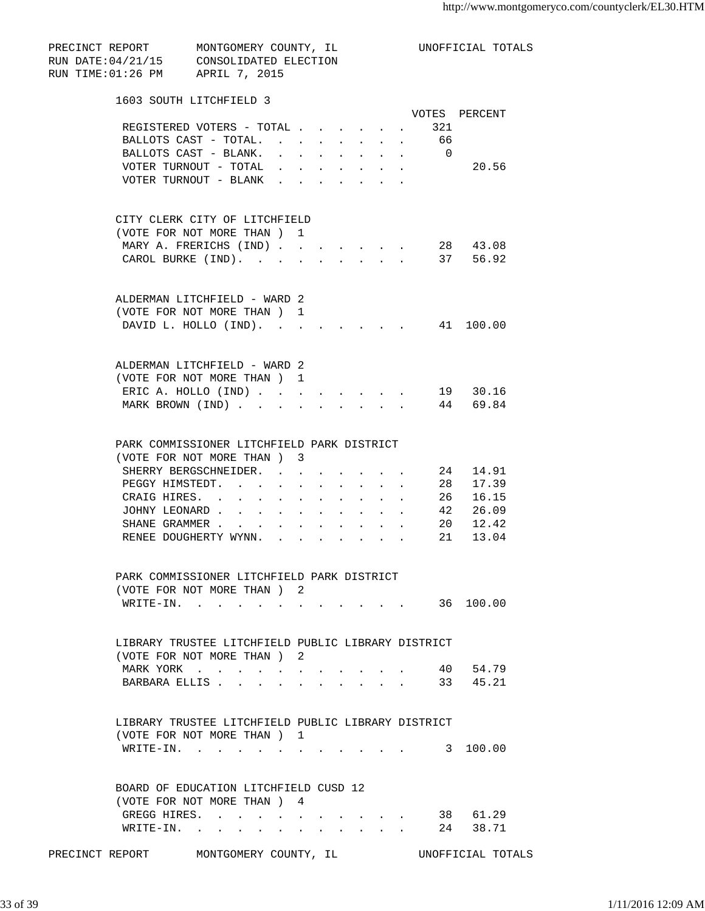| PRECINCT REPORT MONTGOMERY COUNTY, IL<br>RUN DATE: 04/21/15 CONSOLIDATED ELECTION<br>RUN TIME: 01:26 PM APRIL 7, 2015 |                                                |                   |                  |                      |        |                      |                                        |                   | UNOFFICIAL TOTALS    |  |
|-----------------------------------------------------------------------------------------------------------------------|------------------------------------------------|-------------------|------------------|----------------------|--------|----------------------|----------------------------------------|-------------------|----------------------|--|
| 1603 SOUTH LITCHFIELD 3                                                                                               |                                                |                   |                  |                      |        |                      |                                        |                   |                      |  |
|                                                                                                                       |                                                |                   |                  |                      |        |                      |                                        |                   | VOTES PERCENT        |  |
|                                                                                                                       | REGISTERED VOTERS - TOTAL                      |                   |                  |                      |        |                      |                                        | . 321             |                      |  |
|                                                                                                                       | BALLOTS CAST - TOTAL.                          |                   |                  |                      |        |                      |                                        | . 66              |                      |  |
|                                                                                                                       | BALLOTS CAST - BLANK.                          |                   |                  |                      |        |                      |                                        | $\cdot$ $\cdot$ 0 |                      |  |
|                                                                                                                       | VOTER TURNOUT - TOTAL<br>VOTER TURNOUT - BLANK |                   |                  |                      |        |                      |                                        |                   | 20.56                |  |
|                                                                                                                       |                                                | $\sim$            |                  |                      |        |                      |                                        |                   |                      |  |
| CITY CLERK CITY OF LITCHFIELD                                                                                         |                                                |                   |                  |                      |        |                      |                                        |                   |                      |  |
| (VOTE FOR NOT MORE THAN) 1                                                                                            |                                                |                   |                  |                      |        |                      |                                        |                   |                      |  |
| MARY A. FRERICHS (IND) 28 43.08                                                                                       |                                                |                   |                  |                      |        |                      |                                        |                   |                      |  |
|                                                                                                                       | CAROL BURKE (IND). 37 56.92                    |                   |                  |                      |        |                      |                                        |                   |                      |  |
| ALDERMAN LITCHFIELD - WARD 2                                                                                          |                                                |                   |                  |                      |        |                      |                                        |                   |                      |  |
| (VOTE FOR NOT MORE THAN) 1                                                                                            |                                                |                   |                  |                      |        |                      |                                        |                   |                      |  |
|                                                                                                                       | DAVID L. HOLLO (IND). 41 100.00                |                   |                  |                      |        |                      |                                        |                   |                      |  |
|                                                                                                                       |                                                |                   |                  |                      |        |                      |                                        |                   |                      |  |
| ALDERMAN LITCHFIELD - WARD 2                                                                                          |                                                |                   |                  |                      |        |                      |                                        |                   |                      |  |
| (VOTE FOR NOT MORE THAN) 1                                                                                            |                                                |                   |                  |                      |        |                      |                                        |                   |                      |  |
| ERIC A. HOLLO (IND) 19 30.16                                                                                          |                                                |                   |                  |                      |        |                      |                                        |                   |                      |  |
|                                                                                                                       | MARK BROWN (IND)                               |                   |                  |                      |        |                      |                                        |                   | 44 69.84             |  |
| PARK COMMISSIONER LITCHFIELD PARK DISTRICT                                                                            |                                                |                   |                  |                      |        |                      |                                        |                   |                      |  |
| (VOTE FOR NOT MORE THAN) 3                                                                                            |                                                |                   |                  |                      |        |                      |                                        |                   |                      |  |
|                                                                                                                       | SHERRY BERGSCHNEIDER.                          |                   |                  |                      |        |                      |                                        |                   | 24 14.91             |  |
|                                                                                                                       | PEGGY HIMSTEDT.                                |                   |                  |                      |        |                      |                                        |                   |                      |  |
| CRAIG HIRES. .                                                                                                        | $\sim$                                         |                   |                  |                      |        |                      |                                        |                   | 28 17.39<br>26 16.15 |  |
| JOHNY LEONARD.                                                                                                        | $\mathbf{r} = \mathbf{r}$                      |                   |                  |                      |        |                      |                                        |                   | 42 26.09             |  |
|                                                                                                                       | SHANE GRAMMER                                  |                   |                  |                      |        |                      |                                        |                   | 20 12.42             |  |
|                                                                                                                       | RENEE DOUGHERTY WYNN.                          |                   |                  | $\ddot{\phantom{0}}$ | $\sim$ | $\ddot{\phantom{0}}$ | $\mathbf{L} = \mathbf{L} \mathbf{L}$   |                   | 21 13.04             |  |
| PARK COMMISSIONER LITCHFIELD PARK DISTRICT                                                                            |                                                |                   |                  |                      |        |                      |                                        |                   |                      |  |
| (VOTE FOR NOT MORE THAN) 2                                                                                            |                                                |                   |                  |                      |        |                      |                                        |                   |                      |  |
|                                                                                                                       | WRITE-IN. 36 100.00                            |                   |                  |                      |        |                      |                                        |                   |                      |  |
|                                                                                                                       |                                                |                   |                  |                      |        |                      |                                        |                   |                      |  |
| LIBRARY TRUSTEE LITCHFIELD PUBLIC LIBRARY DISTRICT                                                                    |                                                |                   |                  |                      |        |                      |                                        |                   |                      |  |
| (VOTE FOR NOT MORE THAN) 2                                                                                            |                                                |                   |                  |                      |        |                      |                                        |                   |                      |  |
|                                                                                                                       | MARK YORK                                      |                   |                  |                      |        |                      |                                        |                   | 40 54.79             |  |
| BARBARA ELLIS                                                                                                         | $\sim$                                         |                   |                  |                      |        |                      | $\mathbf{r} = \mathbf{r} + \mathbf{r}$ |                   | 33 45.21             |  |
|                                                                                                                       |                                                |                   |                  |                      |        |                      |                                        |                   |                      |  |
| LIBRARY TRUSTEE LITCHFIELD PUBLIC LIBRARY DISTRICT                                                                    |                                                |                   |                  |                      |        |                      |                                        |                   |                      |  |
| (VOTE FOR NOT MORE THAN) 1                                                                                            |                                                |                   |                  |                      |        |                      |                                        |                   |                      |  |
|                                                                                                                       | WRITE-IN.                                      |                   |                  |                      |        |                      |                                        |                   | 3 100.00             |  |
| BOARD OF EDUCATION LITCHFIELD CUSD 12                                                                                 |                                                |                   |                  |                      |        |                      |                                        |                   |                      |  |
| (VOTE FOR NOT MORE THAN) 4                                                                                            |                                                |                   |                  |                      |        |                      |                                        |                   |                      |  |
| GREGG HIRES.                                                                                                          |                                                | $\sim$ 100 $\sim$ | $\sim$ 100 $\pm$ |                      |        |                      |                                        |                   | 38 61.29             |  |
| WRITE-IN.                                                                                                             | $\ddot{\phantom{a}}$                           |                   |                  |                      |        | $\sim$               | $\mathbf{L} = \mathbf{L}$              |                   | 24 38.71             |  |
| PRECINCT REPORT MONTGOMERY COUNTY, IL UNOFFICIAL TOTALS                                                               |                                                |                   |                  |                      |        |                      |                                        |                   |                      |  |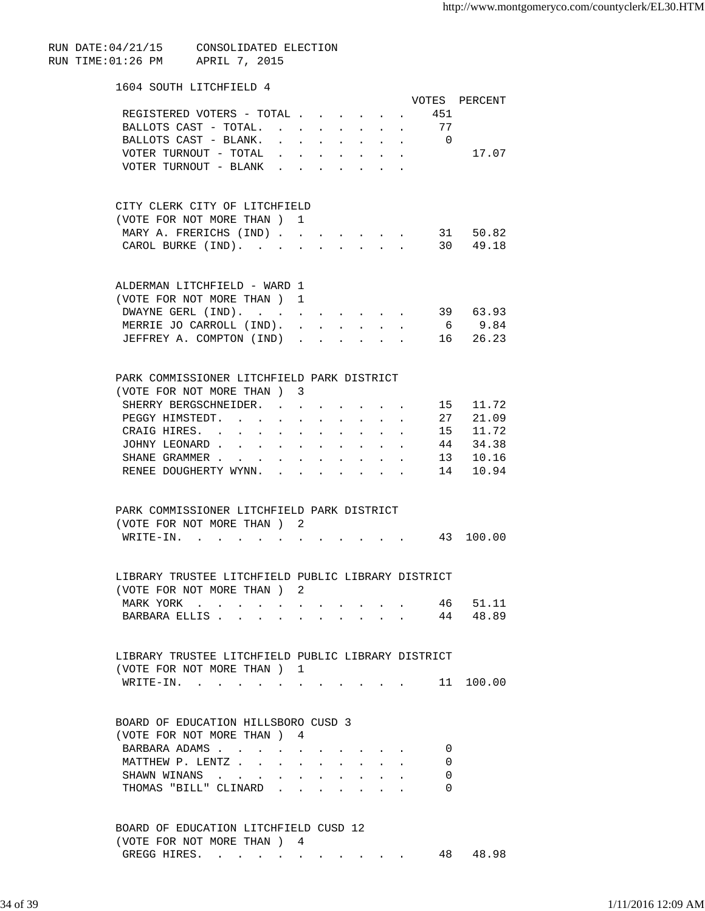RUN DATE:04/21/15 CONSOLIDATED ELECTION RUN TIME:01:26 PM APRIL 7, 2015

## 1604 SOUTH LITCHFIELD 4

|                                                                                                                                  |                                          |                                                             |                                                                               |                                   |                                     |                                                                                               |                                                           |                   | VOTES PERCENT      |
|----------------------------------------------------------------------------------------------------------------------------------|------------------------------------------|-------------------------------------------------------------|-------------------------------------------------------------------------------|-----------------------------------|-------------------------------------|-----------------------------------------------------------------------------------------------|-----------------------------------------------------------|-------------------|--------------------|
| REGISTERED VOTERS - TOTAL                                                                                                        |                                          |                                                             |                                                                               |                                   |                                     |                                                                                               |                                                           | 451               |                    |
| BALLOTS CAST - TOTAL.                                                                                                            |                                          |                                                             |                                                                               |                                   | $\sim$ 100 $\mu$                    |                                                                                               | $\mathbf{L}^{\text{max}}$ , and $\mathbf{L}^{\text{max}}$ | 77                |                    |
| BALLOTS CAST - BLANK.                                                                                                            |                                          |                                                             |                                                                               |                                   |                                     |                                                                                               |                                                           | $\cdot$ $\cdot$ 0 |                    |
|                                                                                                                                  |                                          |                                                             | $\mathbf{r} = \mathbf{r} + \mathbf{r} + \mathbf{r} + \mathbf{r}$              |                                   |                                     |                                                                                               |                                                           |                   |                    |
| VOTER TURNOUT - TOTAL .                                                                                                          |                                          |                                                             | $\mathbf{r}$ , and $\mathbf{r}$ , and $\mathbf{r}$                            |                                   |                                     | $\mathbf{r} = \mathbf{r} \cdot \mathbf{r}$ , where $\mathbf{r} = \mathbf{r} \cdot \mathbf{r}$ |                                                           |                   | 17.07              |
| VOTER TURNOUT - BLANK.                                                                                                           |                                          |                                                             | the contract of the contract of the                                           |                                   |                                     |                                                                                               |                                                           |                   |                    |
|                                                                                                                                  |                                          |                                                             |                                                                               |                                   |                                     |                                                                                               |                                                           |                   |                    |
| CITY CLERK CITY OF LITCHFIELD<br>(VOTE FOR NOT MORE THAN ) 1                                                                     |                                          |                                                             |                                                                               |                                   |                                     |                                                                                               |                                                           |                   |                    |
|                                                                                                                                  |                                          |                                                             |                                                                               |                                   |                                     |                                                                                               |                                                           |                   |                    |
| MARY A. FRERICHS (IND).                                                                                                          |                                          | $\sim$                                                      |                                                                               |                                   |                                     |                                                                                               |                                                           |                   | 31 50.82           |
| CAROL BURKE (IND).                                                                                                               |                                          |                                                             |                                                                               |                                   |                                     |                                                                                               |                                                           |                   | 30 49.18           |
| ALDERMAN LITCHFIELD - WARD 1                                                                                                     |                                          |                                                             |                                                                               |                                   |                                     |                                                                                               |                                                           |                   |                    |
| (VOTE FOR NOT MORE THAN)                                                                                                         |                                          | $\mathbf{1}$                                                |                                                                               |                                   |                                     |                                                                                               |                                                           |                   |                    |
| DWAYNE GERL (IND).                                                                                                               |                                          |                                                             |                                                                               |                                   |                                     |                                                                                               |                                                           |                   | $\cdot$ . 39 63.93 |
| MERRIE JO CARROLL (IND).                                                                                                         |                                          |                                                             |                                                                               |                                   |                                     |                                                                                               |                                                           |                   | 6 9.84             |
|                                                                                                                                  |                                          | $\ddot{\phantom{a}}$                                        |                                                                               | $\ddot{\phantom{0}}$              | $\bullet$                           |                                                                                               |                                                           |                   |                    |
| JEFFREY A. COMPTON (IND).                                                                                                        |                                          |                                                             |                                                                               |                                   | $\bullet$                           |                                                                                               |                                                           |                   | . 16 26.23         |
| PARK COMMISSIONER LITCHFIELD PARK DISTRICT                                                                                       |                                          |                                                             |                                                                               |                                   |                                     |                                                                                               |                                                           |                   |                    |
| (VOTE FOR NOT MORE THAN) 3                                                                                                       |                                          |                                                             |                                                                               |                                   |                                     |                                                                                               |                                                           |                   |                    |
| SHERRY BERGSCHNEIDER. .                                                                                                          |                                          | $\sim$                                                      |                                                                               |                                   |                                     |                                                                                               |                                                           | 15                | 11.72              |
| PEGGY HIMSTEDT.                                                                                                                  |                                          |                                                             |                                                                               |                                   |                                     |                                                                                               |                                                           | 27                | 21.09              |
|                                                                                                                                  |                                          |                                                             |                                                                               |                                   |                                     |                                                                                               |                                                           |                   |                    |
| CRAIG HIRES. .<br>$\ddot{\phantom{0}}$                                                                                           |                                          | $\ddot{\phantom{a}}$                                        | $\ddot{\phantom{0}}$                                                          | $\ddot{\phantom{a}}$              | $\ddot{\phantom{0}}$                | $\ddot{\phantom{a}}$                                                                          | $\mathbf{L}$                                              | 15                | 11.72              |
| JOHNY LEONARD.<br>$\mathbf{L}$                                                                                                   | $\ddot{\phantom{a}}$                     | $\sim$                                                      | $\ddot{\phantom{a}}$                                                          | $\ddot{\phantom{0}}$              | $\ddot{\phantom{a}}$                |                                                                                               |                                                           | 44                | 34.38              |
| SHANE GRAMMER                                                                                                                    | $\ddot{\phantom{a}}$                     | $\bullet$ .<br><br><br><br><br><br><br><br><br><br><br><br> | $\ddot{\phantom{a}}$                                                          | $\ddot{\phantom{a}}$              | $\ddot{\phantom{0}}$                | $\ddot{\phantom{a}}$                                                                          |                                                           | 13                | 10.16              |
| RENEE DOUGHERTY WYNN.                                                                                                            |                                          |                                                             | $\mathbf{r}$ , and $\mathbf{r}$ , and $\mathbf{r}$                            |                                   |                                     | $\cdot$ $\cdot$ $\cdot$ $\cdot$                                                               |                                                           | 14                | 10.94              |
| PARK COMMISSIONER LITCHFIELD PARK DISTRICT                                                                                       |                                          |                                                             |                                                                               |                                   |                                     |                                                                                               |                                                           |                   |                    |
| (VOTE FOR NOT MORE THAN) 2                                                                                                       |                                          |                                                             |                                                                               |                                   |                                     |                                                                                               |                                                           |                   |                    |
| $W$ RITE-IN                                                                                                                      | $\bullet$ . In the case of the $\bullet$ |                                                             |                                                                               |                                   |                                     |                                                                                               |                                                           |                   | 43 100.00          |
|                                                                                                                                  |                                          |                                                             |                                                                               |                                   |                                     |                                                                                               |                                                           |                   |                    |
| LIBRARY TRUSTEE LITCHFIELD PUBLIC LIBRARY DISTRICT                                                                               |                                          |                                                             |                                                                               |                                   |                                     |                                                                                               |                                                           |                   |                    |
| (VOTE FOR NOT MORE THAN ) 2                                                                                                      |                                          |                                                             |                                                                               |                                   |                                     |                                                                                               |                                                           |                   |                    |
| MARK YORK<br>$\mathbf{L} = \mathbf{L} \mathbf{L} + \mathbf{L} \mathbf{L} + \mathbf{L} \mathbf{L}$                                | $\sim$ $\sim$ $\sim$ $\sim$ $\sim$       |                                                             |                                                                               |                                   | the contract of the contract of the |                                                                                               |                                                           | 46                | 51.11              |
| BARBARA ELLIS<br>the contract of the contract of the contract of the contract of the contract of the contract of the contract of |                                          |                                                             |                                                                               |                                   |                                     |                                                                                               |                                                           | 44                | 48.89              |
| LIBRARY TRUSTEE LITCHFIELD PUBLIC LIBRARY DISTRICT                                                                               |                                          |                                                             |                                                                               |                                   |                                     |                                                                                               |                                                           |                   |                    |
| (VOTE FOR NOT MORE THAN) 1                                                                                                       |                                          |                                                             |                                                                               |                                   |                                     |                                                                                               |                                                           |                   |                    |
|                                                                                                                                  |                                          |                                                             |                                                                               |                                   |                                     |                                                                                               |                                                           |                   |                    |
| WRITE-IN.                                                                                                                        |                                          |                                                             |                                                                               |                                   |                                     |                                                                                               |                                                           |                   | 11 100.00          |
| BOARD OF EDUCATION HILLSBORO CUSD 3                                                                                              |                                          |                                                             |                                                                               |                                   |                                     |                                                                                               |                                                           |                   |                    |
| (VOTE FOR NOT MORE THAN) 4                                                                                                       |                                          |                                                             |                                                                               |                                   |                                     |                                                                                               |                                                           |                   |                    |
| BARBARA ADAMS                                                                                                                    |                                          | $\sim$ $-$                                                  |                                                                               |                                   |                                     |                                                                                               |                                                           | 0                 |                    |
| MATTHEW P. LENTZ                                                                                                                 |                                          |                                                             | $\mathbf{r} = \mathbf{r} + \mathbf{r} + \mathbf{r} + \mathbf{r} + \mathbf{r}$ |                                   |                                     |                                                                                               |                                                           | 0                 |                    |
| SHAWN WINANS                                                                                                                     | $\ddot{\phantom{a}}$                     | $\bullet$ .<br><br><br><br><br><br><br><br><br><br><br><br> |                                                                               |                                   |                                     |                                                                                               |                                                           | 0                 |                    |
| THOMAS "BILL" CLINARD                                                                                                            |                                          |                                                             |                                                                               |                                   |                                     |                                                                                               |                                                           | 0                 |                    |
|                                                                                                                                  |                                          |                                                             |                                                                               | <b>Contract Contract Contract</b> |                                     | <b>All Contracts</b>                                                                          |                                                           |                   |                    |
| BOARD OF EDUCATION LITCHFIELD CUSD 12                                                                                            |                                          |                                                             |                                                                               |                                   |                                     |                                                                                               |                                                           |                   |                    |
| (VOTE FOR NOT MORE THAN ) 4                                                                                                      |                                          |                                                             |                                                                               |                                   |                                     |                                                                                               |                                                           |                   |                    |

GREGG HIRES. . . . . . . . . . . 48 48.98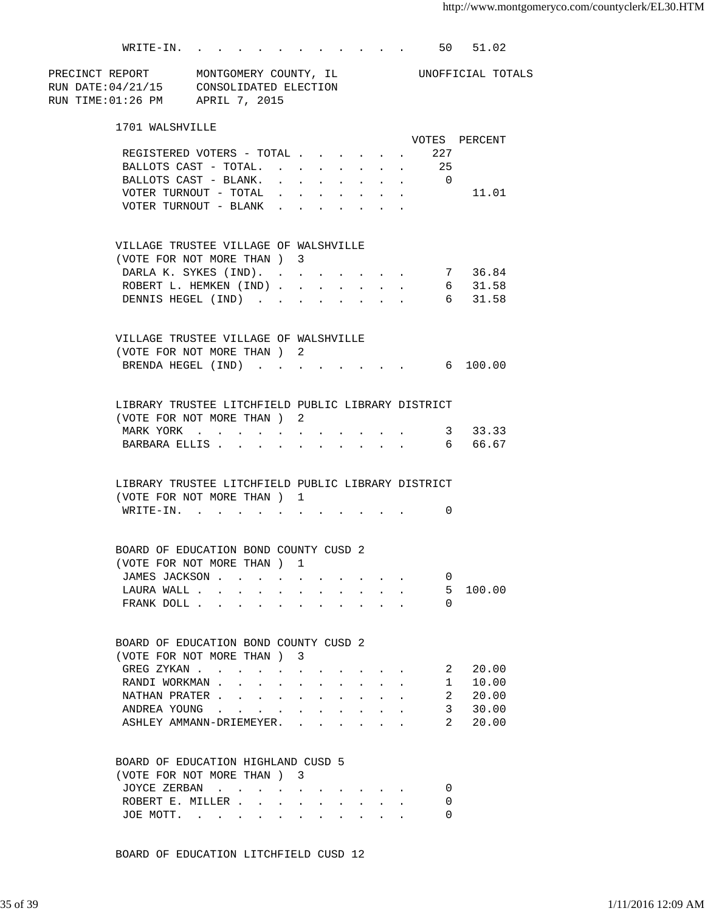|                                                                                                                                        | WRITE-IN. 50 51.02                                                                       |                             |                      |                      |  |          |               |
|----------------------------------------------------------------------------------------------------------------------------------------|------------------------------------------------------------------------------------------|-----------------------------|----------------------|----------------------|--|----------|---------------|
| PRECINCT REPORT MONTGOMERY COUNTY, IL CONOFFICIAL TOTALS<br>RUN DATE:04/21/15 CONSOLIDATED ELECTION<br>RUN TIME:01:26 PM APRIL 7, 2015 |                                                                                          |                             |                      |                      |  |          |               |
| 1701 WALSHVILLE                                                                                                                        |                                                                                          |                             |                      |                      |  |          |               |
|                                                                                                                                        |                                                                                          |                             |                      |                      |  |          | VOTES PERCENT |
|                                                                                                                                        | REGISTERED VOTERS - TOTAL 227                                                            |                             |                      |                      |  |          |               |
|                                                                                                                                        | BALLOTS CAST - TOTAL. 25                                                                 |                             |                      |                      |  |          |               |
|                                                                                                                                        | BALLOTS CAST - BLANK. 0                                                                  |                             |                      |                      |  |          |               |
|                                                                                                                                        | VOTER TURNOUT - TOTAL $\ldots$                                                           |                             |                      |                      |  |          | 11.01         |
|                                                                                                                                        | $\verb VOTER TURNOUT - BLANK$                                                            |                             |                      |                      |  |          |               |
| VILLAGE TRUSTEE VILLAGE OF WALSHVILLE                                                                                                  |                                                                                          |                             |                      |                      |  |          |               |
| (VOTE FOR NOT MORE THAN ) 3                                                                                                            |                                                                                          |                             |                      |                      |  |          |               |
|                                                                                                                                        | DARLA K. SYKES (IND). 7 36.84                                                            |                             |                      |                      |  |          |               |
|                                                                                                                                        | ROBERT L. HEMKEN (IND)                                                                   |                             |                      |                      |  |          | 6 31.58       |
|                                                                                                                                        | DENNIS HEGEL (IND) 6 31.58                                                               |                             |                      |                      |  |          |               |
| VILLAGE TRUSTEE VILLAGE OF WALSHVILLE                                                                                                  |                                                                                          |                             |                      |                      |  |          |               |
| (VOTE FOR NOT MORE THAN) 2                                                                                                             |                                                                                          |                             |                      |                      |  |          |               |
| BRENDA HEGEL (IND) 6 100.00                                                                                                            |                                                                                          |                             |                      |                      |  |          |               |
|                                                                                                                                        |                                                                                          |                             |                      |                      |  |          |               |
| LIBRARY TRUSTEE LITCHFIELD PUBLIC LIBRARY DISTRICT<br>(VOTE FOR NOT MORE THAN) 2                                                       |                                                                                          |                             |                      |                      |  |          |               |
|                                                                                                                                        | MARK YORK 3 33.33                                                                        |                             |                      |                      |  |          |               |
|                                                                                                                                        | BARBARA ELLIS                                                                            |                             |                      |                      |  |          | 6 66.67       |
|                                                                                                                                        |                                                                                          |                             |                      |                      |  |          |               |
| LIBRARY TRUSTEE LITCHFIELD PUBLIC LIBRARY DISTRICT                                                                                     |                                                                                          |                             |                      |                      |  |          |               |
| (VOTE FOR NOT MORE THAN) 1                                                                                                             |                                                                                          |                             |                      |                      |  |          |               |
|                                                                                                                                        | WRITE-IN.                                                                                |                             |                      |                      |  | 0        |               |
| BOARD OF EDUCATION BOND COUNTY CUSD 2                                                                                                  |                                                                                          |                             |                      |                      |  |          |               |
|                                                                                                                                        | (VOTE FOR NOT MORE THAN ) 1                                                              |                             |                      |                      |  |          |               |
|                                                                                                                                        | JAMES JACKSON                                                                            |                             |                      |                      |  | 0        |               |
|                                                                                                                                        | LAURA WALL                                                                               |                             |                      |                      |  | 5        | 100.00        |
|                                                                                                                                        | FRANK DOLL                                                                               |                             |                      |                      |  | $\Omega$ |               |
| BOARD OF EDUCATION BOND COUNTY CUSD 2                                                                                                  |                                                                                          |                             |                      |                      |  |          |               |
| (VOTE FOR NOT MORE THAN)                                                                                                               |                                                                                          |                             | 3                    |                      |  |          |               |
|                                                                                                                                        | GREG ZYKAN                                                                               |                             |                      |                      |  | 2        | 20.00         |
|                                                                                                                                        | RANDI WORKMAN                                                                            |                             |                      |                      |  | 1        | 10.00         |
| NATHAN PRATER .                                                                                                                        | $\mathbf{r} = \mathbf{r} \cdot \mathbf{r}$ , $\mathbf{r} = \mathbf{r} \cdot \mathbf{r}$  |                             |                      | $\ddot{\phantom{a}}$ |  | 2        | 20.00         |
| ANDREA YOUNG .                                                                                                                         | $\bullet$ .<br><br><br><br><br><br><br><br><br><br><br><br><br>$\mathbf{L}^{\text{max}}$ | $\mathbf{a}$ . $\mathbf{a}$ | $\ddot{\phantom{0}}$ | $\ddot{\phantom{a}}$ |  | 3        | 30.00         |
|                                                                                                                                        | ASHLEY AMMANN-DRIEMEYER.                                                                 |                             |                      |                      |  | 2        | 20.00         |
| BOARD OF EDUCATION HIGHLAND CUSD 5                                                                                                     |                                                                                          |                             |                      |                      |  |          |               |
|                                                                                                                                        | (VOTE FOR NOT MORE THAN ) 3                                                              |                             |                      |                      |  |          |               |
|                                                                                                                                        | JOYCE ZERBAN                                                                             |                             |                      |                      |  | 0        |               |
|                                                                                                                                        | ROBERT E. MILLER                                                                         |                             |                      |                      |  | 0        |               |
|                                                                                                                                        | JOE MOTT.                                                                                |                             |                      |                      |  | 0        |               |
|                                                                                                                                        |                                                                                          |                             |                      |                      |  |          |               |

BOARD OF EDUCATION LITCHFIELD CUSD 12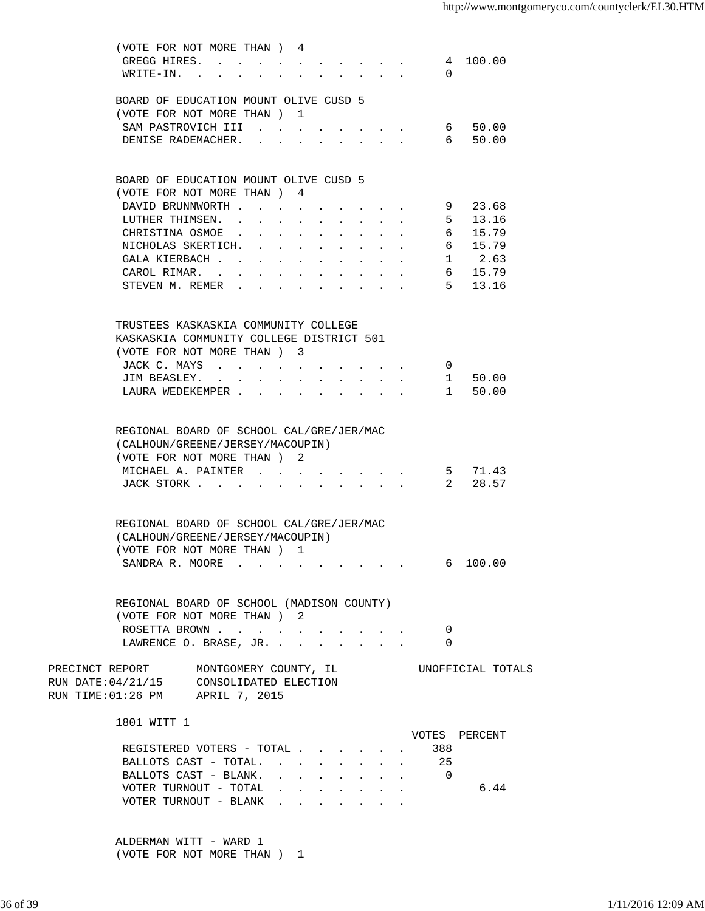| (VOTE FOR NOT MORE THAN) 4<br>GREGG HIRES.<br>$WRITE-IN.$<br>$\mathbf{r} = \mathbf{r}$ and $\mathbf{r} = \mathbf{r}$                                                                                            |                                                             | 4 100.00<br>$\Omega$                                 |  |
|-----------------------------------------------------------------------------------------------------------------------------------------------------------------------------------------------------------------|-------------------------------------------------------------|------------------------------------------------------|--|
| BOARD OF EDUCATION MOUNT OLIVE CUSD 5                                                                                                                                                                           |                                                             |                                                      |  |
| (VOTE FOR NOT MORE THAN) 1<br>SAM PASTROVICH III<br>the contract of the con-<br>DENISE RADEMACHER. .                                                                                                            |                                                             | 50.00<br>6<br>50.00<br>6                             |  |
| and the state of the state of<br>$\ddot{\phantom{a}}$<br>$\bullet$ .<br><br><br><br><br><br><br><br><br><br><br><br>                                                                                            |                                                             |                                                      |  |
| BOARD OF EDUCATION MOUNT OLIVE CUSD 5<br>(VOTE FOR NOT MORE THAN) 4                                                                                                                                             |                                                             |                                                      |  |
| DAVID BRUNNWORTH<br>$\bullet$ .<br><br><br><br><br><br><br><br><br><br><br><br>$\sim$ $-$                                                                                                                       |                                                             | 23.68<br>9                                           |  |
| LUTHER THIMSEN.<br>$\mathbf{L}$<br>$\mathbf{r} = \mathbf{r} + \mathbf{r} + \mathbf{r} + \mathbf{r}$ .                                                                                                           |                                                             | 5 <sub>1</sub><br>13.16<br>$\mathbf{L}^{\text{max}}$ |  |
| $\mathbf{1}=\mathbf{1}=\mathbf{1}=\mathbf{1}=\mathbf{1}$<br>CHRISTINA OSMOE<br>$\mathbf{r} = \mathbf{r} + \mathbf{r} + \mathbf{r} + \mathbf{r}$<br>$\bullet$<br>$\ddot{\phantom{0}}$                            |                                                             | 6<br>15.79                                           |  |
| $\mathbf{1}^{\prime}$ , $\mathbf{1}^{\prime}$ , $\mathbf{1}^{\prime}$ , $\mathbf{1}^{\prime}$ , $\mathbf{1}^{\prime}$<br>NICHOLAS SKERTICH.<br>$\ddot{\phantom{0}}$<br>$\sim$ 100 $\mu$<br>$\ddot{\phantom{0}}$ |                                                             | 6 15.79                                              |  |
| GALA KIERBACH<br>$\bullet$ .<br><br><br><br><br><br><br><br><br><br><br><br><br>$\bullet$<br>$\sim 10^{-10}$<br>$\bullet$                                                                                       | $\mathbf{L} = \mathbf{L} \mathbf{L}$                        | $1 \t 2.63$                                          |  |
| CAROL RIMAR.<br>$\bullet$ .<br><br><br><br><br><br><br><br><br><br><br><br>                                                                                                                                     | $\mathbf{r} = \mathbf{r} + \mathbf{r}$ , where $\mathbf{r}$ | 6 15.79                                              |  |
| STEVEN M. REMER                                                                                                                                                                                                 |                                                             | 5 13.16                                              |  |
| TRUSTEES KASKASKIA COMMUNITY COLLEGE                                                                                                                                                                            |                                                             |                                                      |  |
| KASKASKIA COMMUNITY COLLEGE DISTRICT 501                                                                                                                                                                        |                                                             |                                                      |  |
| (VOTE FOR NOT MORE THAN) 3                                                                                                                                                                                      |                                                             |                                                      |  |
| JACK C. MAYS<br>$\ddot{\phantom{0}}$                                                                                                                                                                            |                                                             | $\overline{0}$                                       |  |
| JIM BEASLEY.<br>$\mathbf{L} = \mathbf{L} \mathbf{L} + \mathbf{L} \mathbf{L}$<br>$\mathbf{L} = \mathbf{L}$<br>$\ddot{\phantom{a}}$                                                                               |                                                             | 1 50.00                                              |  |
| LAURA WEDEKEMPER<br>$\ddot{\phantom{a}}$<br>$\ddot{\phantom{a}}$                                                                                                                                                | $\mathbf{r} = \mathbf{r}$                                   | $1 \quad \blacksquare$<br>50.00                      |  |
| REGIONAL BOARD OF SCHOOL CAL/GRE/JER/MAC<br>(CALHOUN/GREENE/JERSEY/MACOUPIN)<br>(VOTE FOR NOT MORE THAN) 2                                                                                                      |                                                             |                                                      |  |
| MICHAEL A. PAINTER.                                                                                                                                                                                             |                                                             | 5 71.43                                              |  |
| JACK STORK                                                                                                                                                                                                      |                                                             | 28.57<br>$2^{\circ}$                                 |  |
| REGIONAL BOARD OF SCHOOL CAL/GRE/JER/MAC<br>(CALHOUN/GREENE/JERSEY/MACOUPIN)                                                                                                                                    |                                                             |                                                      |  |
| (VOTE FOR NOT MORE THAN ) 1                                                                                                                                                                                     |                                                             |                                                      |  |
| SANDRA R. MOORE                                                                                                                                                                                                 |                                                             | 100.00<br>6                                          |  |
| REGIONAL BOARD OF SCHOOL (MADISON COUNTY)<br>(VOTE FOR NOT MORE THAN) 2                                                                                                                                         |                                                             |                                                      |  |
| ROSETTA BROWN                                                                                                                                                                                                   |                                                             | 0                                                    |  |
| LAWRENCE O. BRASE, JR.                                                                                                                                                                                          |                                                             | 0                                                    |  |
| PRECINCT REPORT MONTGOMERY COUNTY, IL                                                                                                                                                                           |                                                             | UNOFFICIAL TOTALS                                    |  |
| RUN DATE: 04/21/15 CONSOLIDATED ELECTION<br>RUN TIME: 01:26 PM APRIL 7, 2015                                                                                                                                    |                                                             |                                                      |  |
| 1801 WITT 1                                                                                                                                                                                                     |                                                             | VOTES PERCENT                                        |  |
| REGISTERED VOTERS - TOTAL                                                                                                                                                                                       |                                                             | 388                                                  |  |
| BALLOTS CAST - TOTAL. 25                                                                                                                                                                                        |                                                             |                                                      |  |
| BALLOTS CAST - BLANK.<br>and a series of the series of the series of the series of the series of the series of the series of the series                                                                         |                                                             | $\overline{0}$                                       |  |
| VOTER TURNOUT - TOTAL<br>and a strong control of the state of the state of the state of the state of                                                                                                            |                                                             | 6.44                                                 |  |
| VOTER TURNOUT - BLANK<br>$\mathbf{z} = \mathbf{z} + \mathbf{z}$ , where $\mathbf{z} = \mathbf{z}$                                                                                                               |                                                             |                                                      |  |
|                                                                                                                                                                                                                 |                                                             |                                                      |  |

 ALDERMAN WITT - WARD 1 (VOTE FOR NOT MORE THAN ) 1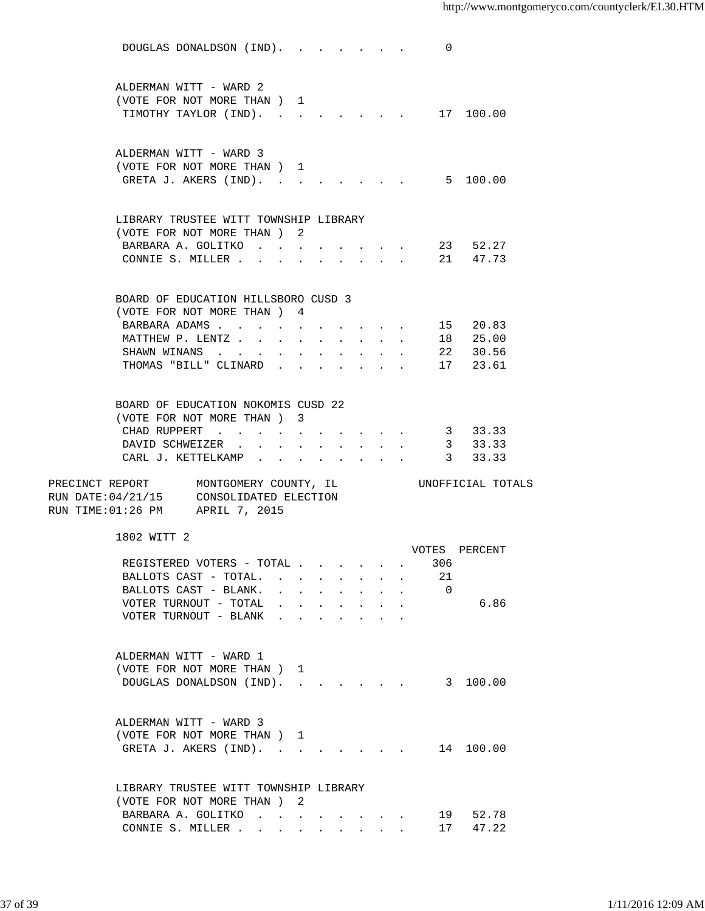|                                                                                                                       | DOUGLAS DONALDSON (IND). |        |                                      |                                                             |                                                                                                                                               |                           | 0                                   |                      |  |
|-----------------------------------------------------------------------------------------------------------------------|--------------------------|--------|--------------------------------------|-------------------------------------------------------------|-----------------------------------------------------------------------------------------------------------------------------------------------|---------------------------|-------------------------------------|----------------------|--|
| ALDERMAN WITT - WARD 2<br>(VOTE FOR NOT MORE THAN) 1<br>TIMOTHY TAYLOR (IND).                                         |                          |        |                                      |                                                             |                                                                                                                                               |                           | the contract of the contract of the | 17 100.00            |  |
| ALDERMAN WITT - WARD 3<br>(VOTE FOR NOT MORE THAN ) 1<br>GRETA J. AKERS (IND).                                        |                          |        |                                      |                                                             |                                                                                                                                               |                           |                                     | 5 100.00             |  |
| LIBRARY TRUSTEE WITT TOWNSHIP LIBRARY<br>(VOTE FOR NOT MORE THAN) 2                                                   |                          |        |                                      |                                                             |                                                                                                                                               |                           |                                     |                      |  |
| BARBARA A. GOLITKO.<br>CONNIE S. MILLER                                                                               |                          |        |                                      |                                                             | $\begin{array}{cccccccccccccc} \bullet & \bullet & \bullet & \bullet & \bullet & \bullet & \bullet & \bullet & \bullet & \bullet \end{array}$ |                           |                                     | 23 52.27<br>21 47.73 |  |
| BOARD OF EDUCATION HILLSBORO CUSD 3<br>(VOTE FOR NOT MORE THAN ) 4                                                    |                          |        |                                      |                                                             |                                                                                                                                               |                           |                                     |                      |  |
| BARBARA ADAMS                                                                                                         |                          |        |                                      |                                                             | $\mathbf{r} = \mathbf{r} + \mathbf{r}$ , where $\mathbf{r} = \mathbf{r} + \mathbf{r}$                                                         |                           |                                     | 15 20.83             |  |
| MATTHEW P. LENTZ                                                                                                      |                          |        |                                      |                                                             |                                                                                                                                               |                           |                                     | 18 25.00             |  |
| SHAWN WINANS                                                                                                          |                          |        | and a strong control of the state of |                                                             |                                                                                                                                               |                           |                                     | 22 30.56             |  |
| THOMAS "BILL" CLINARD                                                                                                 |                          |        |                                      |                                                             |                                                                                                                                               |                           |                                     | 17 23.61             |  |
| BOARD OF EDUCATION NOKOMIS CUSD 22<br>(VOTE FOR NOT MORE THAN) 3                                                      |                          |        |                                      |                                                             |                                                                                                                                               |                           |                                     |                      |  |
| CHAD RUPPERT                                                                                                          |                          |        |                                      |                                                             |                                                                                                                                               |                           |                                     | 3 33.33              |  |
| DAVID SCHWEIZER                                                                                                       |                          |        |                                      |                                                             |                                                                                                                                               |                           |                                     | 3 33.33              |  |
|                                                                                                                       |                          |        |                                      |                                                             |                                                                                                                                               |                           |                                     |                      |  |
| CARL J. KETTELKAMP                                                                                                    |                          |        |                                      | $\bullet$ .<br><br><br><br><br><br><br><br><br><br><br><br> |                                                                                                                                               |                           |                                     | 3 33.33              |  |
| PRECINCT REPORT MONTGOMERY COUNTY, IL<br>RUN DATE: 04/21/15 CONSOLIDATED ELECTION<br>RUN TIME: 01:26 PM APRIL 7, 2015 |                          |        |                                      |                                                             |                                                                                                                                               |                           |                                     | UNOFFICIAL TOTALS    |  |
| 1802 WITT 2                                                                                                           |                          |        |                                      |                                                             |                                                                                                                                               |                           | VOTES                               | PERCENT              |  |
|                                                                                                                       |                          |        |                                      |                                                             |                                                                                                                                               |                           | 306                                 |                      |  |
| REGISTERED VOTERS - TOTAL<br>BALLOTS CAST - TOTAL.                                                                    |                          |        |                                      |                                                             |                                                                                                                                               | $\mathbf{L} = \mathbf{L}$ | 21                                  |                      |  |
| BALLOTS CAST - BLANK.                                                                                                 |                          | $\sim$ |                                      |                                                             | the contract of the contract of                                                                                                               |                           | $\overline{0}$                      |                      |  |
| VOTER TURNOUT - TOTAL                                                                                                 |                          |        |                                      |                                                             |                                                                                                                                               |                           |                                     | 6.86                 |  |
| VOTER TURNOUT - BLANK                                                                                                 |                          |        |                                      |                                                             |                                                                                                                                               |                           |                                     |                      |  |
| ALDERMAN WITT - WARD 1<br>(VOTE FOR NOT MORE THAN) 1<br>DOUGLAS DONALDSON (IND). 3 100.00                             |                          |        |                                      |                                                             |                                                                                                                                               |                           |                                     |                      |  |
| ALDERMAN WITT - WARD 3<br>(VOTE FOR NOT MORE THAN) 1<br>GRETA J. AKERS (IND).                                         |                          |        |                                      |                                                             |                                                                                                                                               |                           |                                     | 14 100.00            |  |
| LIBRARY TRUSTEE WITT TOWNSHIP LIBRARY                                                                                 |                          |        |                                      |                                                             |                                                                                                                                               |                           |                                     |                      |  |
| (VOTE FOR NOT MORE THAN) 2<br>BARBARA A. GOLITKO                                                                      |                          |        |                                      |                                                             |                                                                                                                                               |                           |                                     | 19 52.78             |  |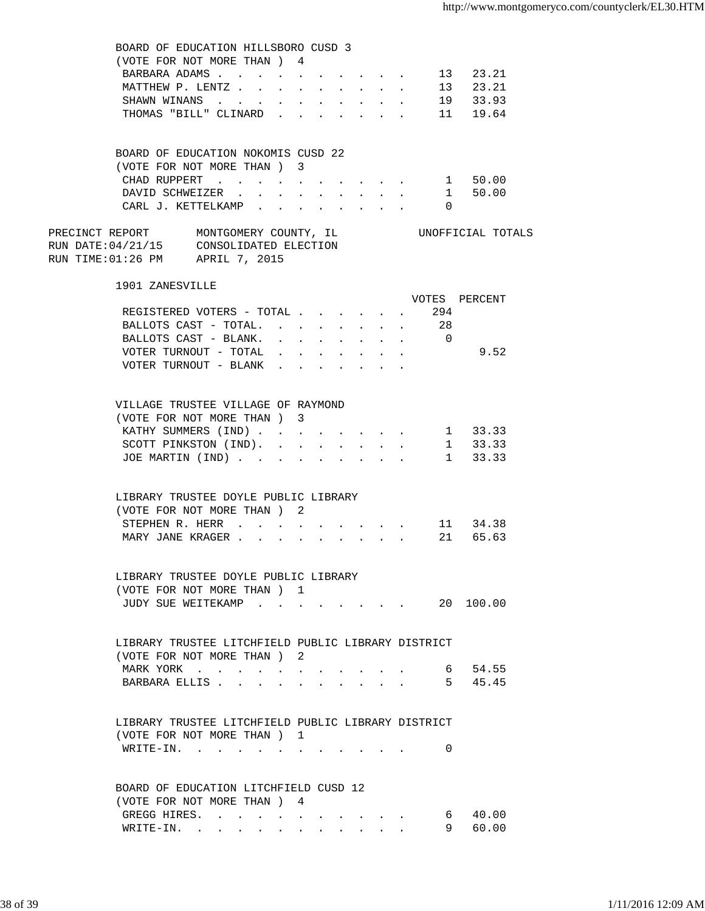| BOARD OF EDUCATION HILLSBORO CUSD 3                               |               |        |        |  |                                                                                               |        |   |                   |  |
|-------------------------------------------------------------------|---------------|--------|--------|--|-----------------------------------------------------------------------------------------------|--------|---|-------------------|--|
| (VOTE FOR NOT MORE THAN) 4                                        |               |        |        |  |                                                                                               |        |   |                   |  |
| BARBARA ADAMS                                                     |               |        |        |  |                                                                                               |        |   | 13 23.21          |  |
| MATTHEW P. LENTZ                                                  | $\sim$        | $\sim$ |        |  | $\mathbf{r} = \mathbf{r} \cdot \mathbf{r}$ , where $\mathbf{r} = \mathbf{r} \cdot \mathbf{r}$ | $\sim$ |   | 13 23.21          |  |
| SHAWN WINANS                                                      |               |        |        |  | $\mathbf{L} = \mathbf{L} \mathbf{L} + \mathbf{L} \mathbf{L}$                                  |        |   | 19 33.93          |  |
| THOMAS "BILL" CLINARD                                             |               |        |        |  |                                                                                               |        |   | 11 19.64          |  |
|                                                                   |               |        |        |  |                                                                                               |        |   |                   |  |
|                                                                   |               |        |        |  |                                                                                               |        |   |                   |  |
| BOARD OF EDUCATION NOKOMIS CUSD 22                                |               |        |        |  |                                                                                               |        |   |                   |  |
| (VOTE FOR NOT MORE THAN ) 3                                       |               |        |        |  |                                                                                               |        |   |                   |  |
| CHAD RUPPERT 1 50.00                                              |               |        |        |  |                                                                                               |        |   |                   |  |
| DAVID SCHWEIZER 1 50.00                                           |               |        |        |  |                                                                                               |        |   |                   |  |
| CARL J. KETTELKAMP 0                                              |               |        |        |  |                                                                                               |        |   |                   |  |
|                                                                   |               |        |        |  |                                                                                               |        |   |                   |  |
| PRECINCT REPORT MONTGOMERY COUNTY, IL                             |               |        |        |  |                                                                                               |        |   | UNOFFICIAL TOTALS |  |
| RUN DATE:04/21/15 CONSOLIDATED ELECTION                           |               |        |        |  |                                                                                               |        |   |                   |  |
| RUN TIME:01:26 PM APRIL 7, 2015                                   |               |        |        |  |                                                                                               |        |   |                   |  |
|                                                                   |               |        |        |  |                                                                                               |        |   |                   |  |
| 1901 ZANESVILLE                                                   |               |        |        |  |                                                                                               |        |   |                   |  |
|                                                                   |               |        |        |  |                                                                                               |        |   | VOTES PERCENT     |  |
| REGISTERED VOTERS - TOTAL 294                                     |               |        |        |  |                                                                                               |        |   |                   |  |
| BALLOTS CAST - TOTAL. 28                                          |               |        |        |  |                                                                                               |        |   |                   |  |
| BALLOTS CAST - BLANK. 0                                           |               |        |        |  |                                                                                               |        |   |                   |  |
| VOTER TURNOUT - TOTAL $\ldots$                                    |               |        |        |  |                                                                                               |        |   | 9.52              |  |
| VOTER TURNOUT - BLANK $\cdot \cdot \cdot \cdot \cdot \cdot \cdot$ |               |        |        |  |                                                                                               |        |   |                   |  |
|                                                                   |               |        |        |  |                                                                                               |        |   |                   |  |
|                                                                   |               |        |        |  |                                                                                               |        |   |                   |  |
| VILLAGE TRUSTEE VILLAGE OF RAYMOND                                |               |        |        |  |                                                                                               |        |   |                   |  |
| (VOTE FOR NOT MORE THAN) 3                                        |               |        |        |  |                                                                                               |        |   |                   |  |
| KATHY SUMMERS (IND) 1 33.33                                       |               |        |        |  |                                                                                               |        |   |                   |  |
|                                                                   |               |        |        |  |                                                                                               |        |   |                   |  |
| SCOTT PINKSTON (IND). 1 33.33                                     |               |        |        |  |                                                                                               |        |   |                   |  |
| JOE MARTIN (IND) 1 33.33                                          |               |        |        |  |                                                                                               |        |   |                   |  |
|                                                                   |               |        |        |  |                                                                                               |        |   |                   |  |
| LIBRARY TRUSTEE DOYLE PUBLIC LIBRARY                              |               |        |        |  |                                                                                               |        |   |                   |  |
| (VOTE FOR NOT MORE THAN) 2                                        |               |        |        |  |                                                                                               |        |   |                   |  |
| STEPHEN R. HERR                                                   |               |        |        |  |                                                                                               |        |   | 11 34.38          |  |
| MARY JANE KRAGER                                                  |               |        |        |  | $\mathbf{r}$ , $\mathbf{r}$ , $\mathbf{r}$ , $\mathbf{r}$ , $\mathbf{r}$                      |        |   | 21 65.63          |  |
|                                                                   | $\sim$ $\sim$ |        | $\sim$ |  |                                                                                               |        |   |                   |  |
|                                                                   |               |        |        |  |                                                                                               |        |   |                   |  |
| LIBRARY TRUSTEE DOYLE PUBLIC LIBRARY                              |               |        |        |  |                                                                                               |        |   |                   |  |
| (VOTE FOR NOT MORE THAN) 1                                        |               |        |        |  |                                                                                               |        |   |                   |  |
| JUDY SUE WEITEKAMP 20 100.00                                      |               |        |        |  |                                                                                               |        |   |                   |  |
|                                                                   |               |        |        |  |                                                                                               |        |   |                   |  |
|                                                                   |               |        |        |  |                                                                                               |        |   |                   |  |
| LIBRARY TRUSTEE LITCHFIELD PUBLIC LIBRARY DISTRICT                |               |        |        |  |                                                                                               |        |   |                   |  |
| (VOTE FOR NOT MORE THAN) 2                                        |               |        |        |  |                                                                                               |        |   |                   |  |
|                                                                   |               |        |        |  |                                                                                               |        |   | 6 54.55           |  |
| MARK YORK                                                         |               |        |        |  |                                                                                               |        |   |                   |  |
| BARBARA ELLIS                                                     |               |        |        |  |                                                                                               |        |   | $\cdot$ 5 45.45   |  |
|                                                                   |               |        |        |  |                                                                                               |        |   |                   |  |
| LIBRARY TRUSTEE LITCHFIELD PUBLIC LIBRARY DISTRICT                |               |        |        |  |                                                                                               |        |   |                   |  |
| (VOTE FOR NOT MORE THAN) 1                                        |               |        |        |  |                                                                                               |        |   |                   |  |
|                                                                   |               |        |        |  |                                                                                               |        |   |                   |  |
| $\texttt{WRITE-IN.}$                                              |               |        |        |  | and the state of the state of                                                                 |        | 0 |                   |  |
|                                                                   |               |        |        |  |                                                                                               |        |   |                   |  |
|                                                                   |               |        |        |  |                                                                                               |        |   |                   |  |
| BOARD OF EDUCATION LITCHFIELD CUSD 12                             |               |        |        |  |                                                                                               |        |   |                   |  |
| (VOTE FOR NOT MORE THAN) 4                                        |               |        |        |  |                                                                                               |        |   |                   |  |
| GREGG HIRES.                                                      |               |        |        |  |                                                                                               |        |   | 6 40.00           |  |
| WRITE-IN.                                                         |               |        |        |  |                                                                                               |        |   | 60.00<br>9        |  |